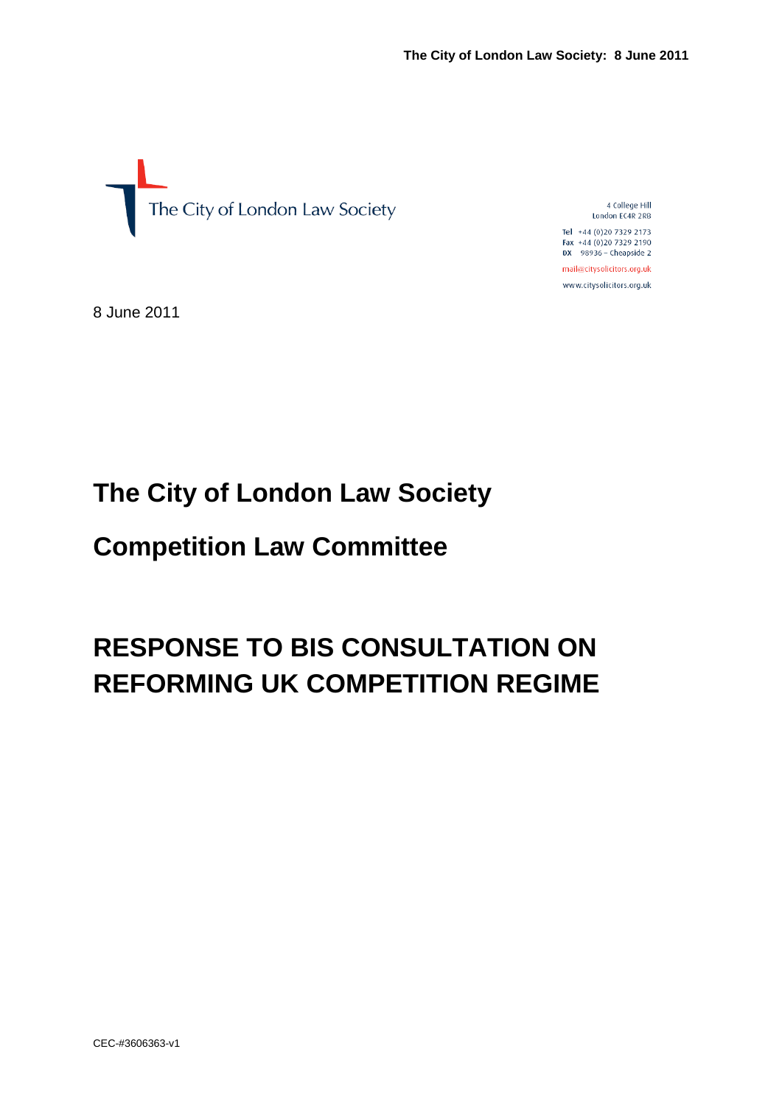

4 College Hill London EC4R 2RB

Tel +44 (0)20 7329 2173 Fax +44 (0)20 7329 2190  $DX$  98936 - Cheapside 2 mail@citysolicitors.org.uk

www.citysolicitors.org.uk

8 June 2011

# **The City of London Law Society**

# **Competition Law Committee**

# **RESPONSE TO BIS CONSULTATION ON REFORMING UK COMPETITION REGIME**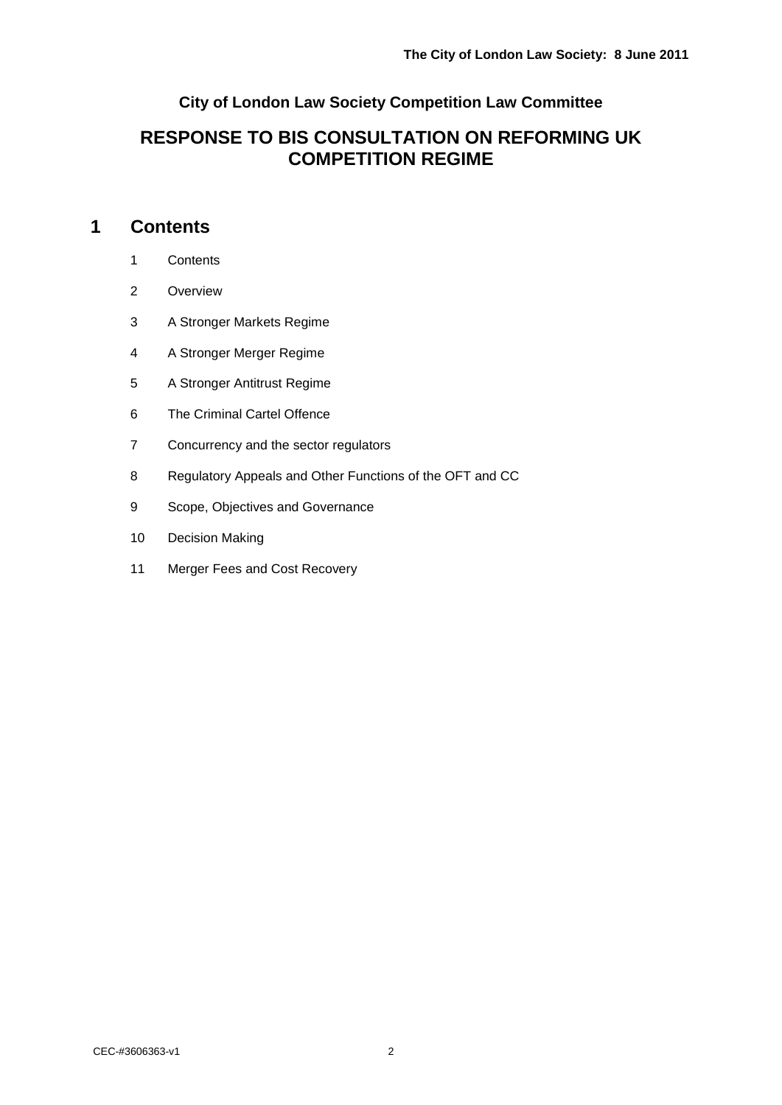### **City of London Law Society Competition Law Committee**

### **RESPONSE TO BIS CONSULTATION ON REFORMING UK COMPETITION REGIME**

### **Contents**

- Contents
- Overview
- A Stronger Markets Regime
- A Stronger Merger Regime
- A Stronger Antitrust Regime
- The Criminal Cartel Offence
- Concurrency and the sector regulators
- Regulatory Appeals and Other Functions of the OFT and CC
- Scope, Objectives and Governance
- Decision Making
- Merger Fees and Cost Recovery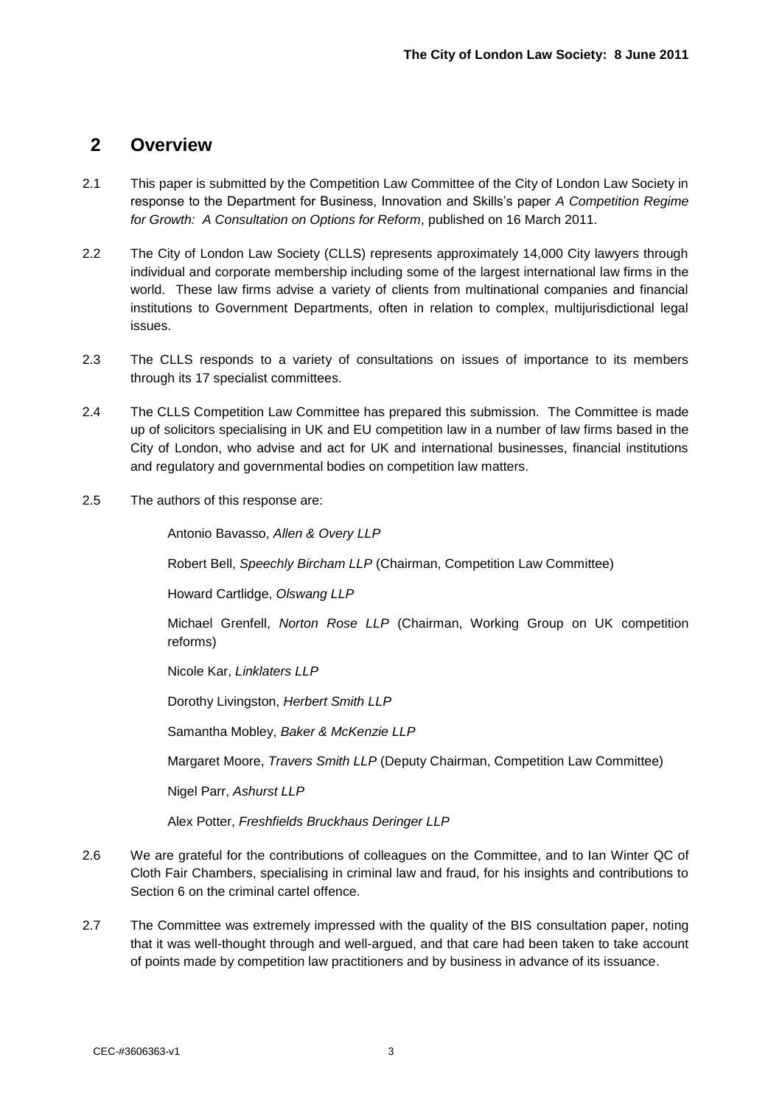### **2 Overview**

- 2.1 This paper is submitted by the Competition Law Committee of the City of London Law Society in response to the Department for Business, Innovation and Skills"s paper *A Competition Regime for Growth: A Consultation on Options for Reform*, published on 16 March 2011.
- 2.2 The City of London Law Society (CLLS) represents approximately 14,000 City lawyers through individual and corporate membership including some of the largest international law firms in the world. These law firms advise a variety of clients from multinational companies and financial institutions to Government Departments, often in relation to complex, multijurisdictional legal issues.
- 2.3 The CLLS responds to a variety of consultations on issues of importance to its members through its 17 specialist committees.
- 2.4 The CLLS Competition Law Committee has prepared this submission. The Committee is made up of solicitors specialising in UK and EU competition law in a number of law firms based in the City of London, who advise and act for UK and international businesses, financial institutions and regulatory and governmental bodies on competition law matters.
- 2.5 The authors of this response are:

Antonio Bavasso, *Allen & Overy LLP*

Robert Bell, *Speechly Bircham LLP* (Chairman, Competition Law Committee)

Howard Cartlidge, *Olswang LLP*

Michael Grenfell, *Norton Rose LLP* (Chairman, Working Group on UK competition reforms)

Nicole Kar, *Linklaters LLP*

Dorothy Livingston, *Herbert Smith LLP*

Samantha Mobley, *Baker & McKenzie LLP*

Margaret Moore, *Travers Smith LLP* (Deputy Chairman, Competition Law Committee)

Nigel Parr, *Ashurst LLP*

Alex Potter, *Freshfields Bruckhaus Deringer LLP*

- 2.6 We are grateful for the contributions of colleagues on the Committee, and to Ian Winter QC of Cloth Fair Chambers, specialising in criminal law and fraud, for his insights and contributions to Section 6 on the criminal cartel offence.
- 2.7 The Committee was extremely impressed with the quality of the BIS consultation paper, noting that it was well-thought through and well-argued, and that care had been taken to take account of points made by competition law practitioners and by business in advance of its issuance.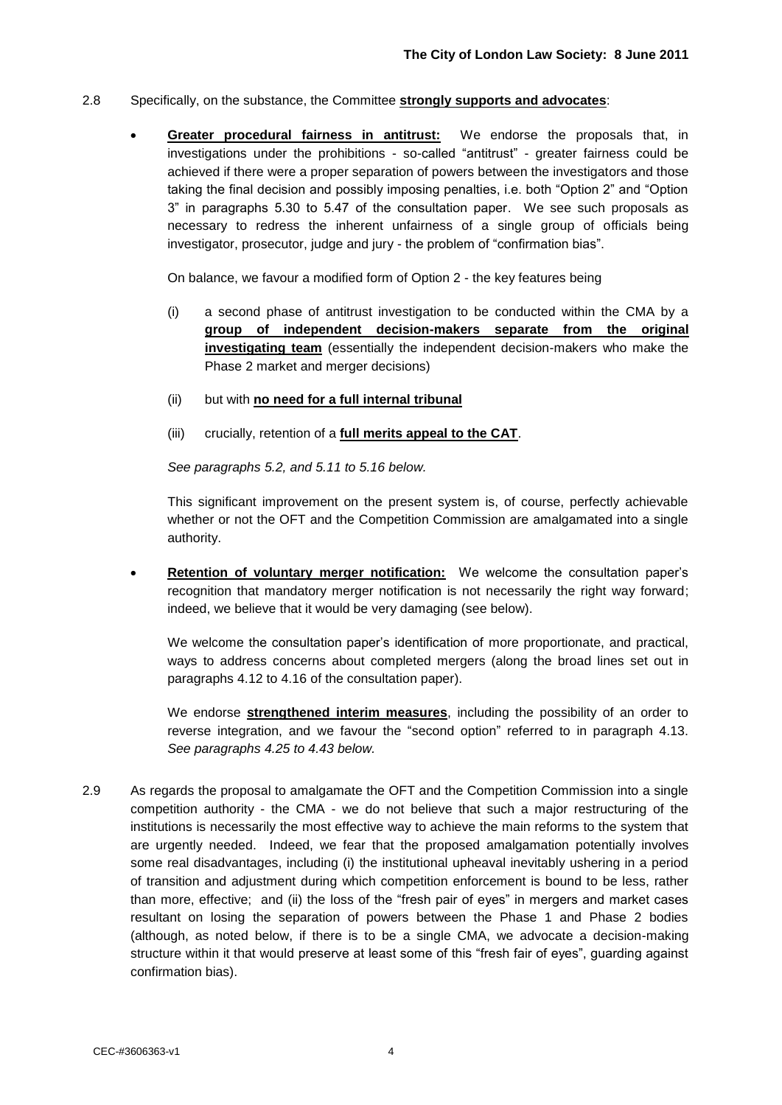#### 2.8 Specifically, on the substance, the Committee **strongly supports and advocates**:

 **Greater procedural fairness in antitrust:** We endorse the proposals that, in investigations under the prohibitions - so-called "antitrust" - greater fairness could be achieved if there were a proper separation of powers between the investigators and those taking the final decision and possibly imposing penalties, i.e. both "Option 2" and "Option 3" in paragraphs 5.30 to 5.47 of the consultation paper. We see such proposals as necessary to redress the inherent unfairness of a single group of officials being investigator, prosecutor, judge and jury - the problem of "confirmation bias".

On balance, we favour a modified form of Option 2 - the key features being

- (i) a second phase of antitrust investigation to be conducted within the CMA by a **group of independent decision-makers separate from the original investigating team** (essentially the independent decision-makers who make the Phase 2 market and merger decisions)
- (ii) but with **no need for a full internal tribunal**
- (iii) crucially, retention of a **full merits appeal to the CAT**.

*See paragraphs 5.2, and 5.11 to 5.16 below.*

This significant improvement on the present system is, of course, perfectly achievable whether or not the OFT and the Competition Commission are amalgamated into a single authority.

 **Retention of voluntary merger notification:** We welcome the consultation paper"s recognition that mandatory merger notification is not necessarily the right way forward; indeed, we believe that it would be very damaging (see below).

We welcome the consultation paper"s identification of more proportionate, and practical, ways to address concerns about completed mergers (along the broad lines set out in paragraphs 4.12 to 4.16 of the consultation paper).

We endorse **strengthened interim measures**, including the possibility of an order to reverse integration, and we favour the "second option" referred to in paragraph 4.13. *See paragraphs 4.25 to 4.43 below.*

2.9 As regards the proposal to amalgamate the OFT and the Competition Commission into a single competition authority - the CMA - we do not believe that such a major restructuring of the institutions is necessarily the most effective way to achieve the main reforms to the system that are urgently needed. Indeed, we fear that the proposed amalgamation potentially involves some real disadvantages, including (i) the institutional upheaval inevitably ushering in a period of transition and adjustment during which competition enforcement is bound to be less, rather than more, effective; and (ii) the loss of the "fresh pair of eyes" in mergers and market cases resultant on losing the separation of powers between the Phase 1 and Phase 2 bodies (although, as noted below, if there is to be a single CMA, we advocate a decision-making structure within it that would preserve at least some of this "fresh fair of eyes", guarding against confirmation bias).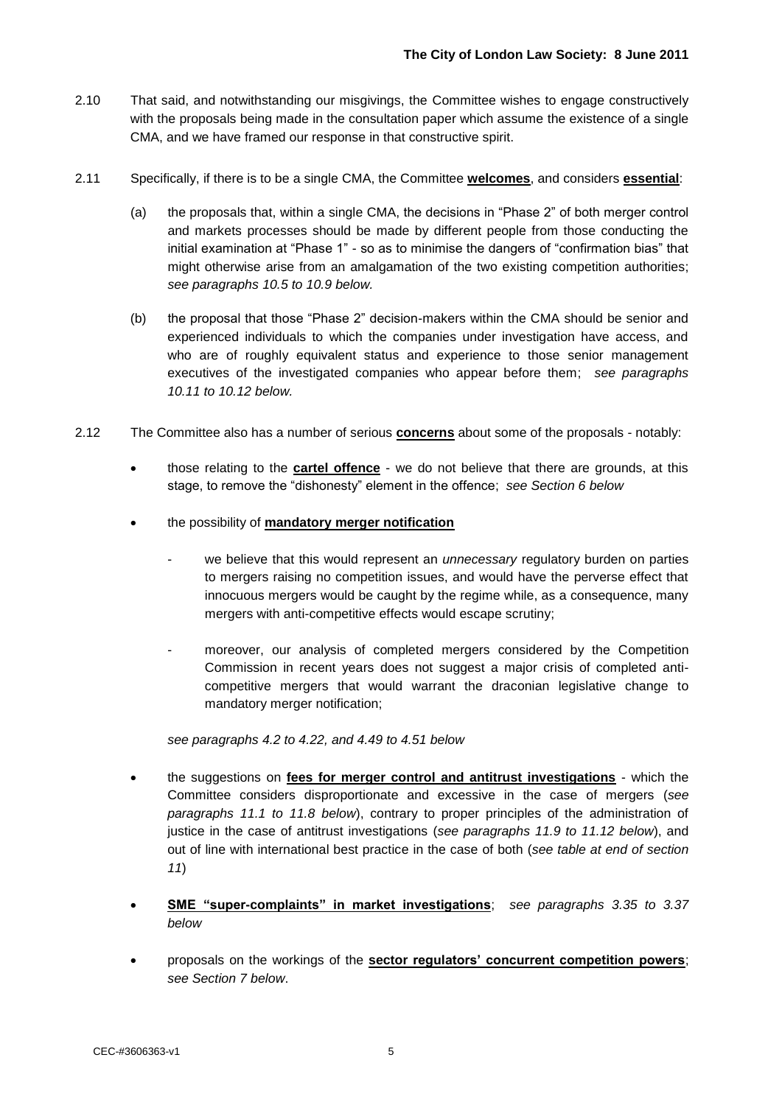- 2.10 That said, and notwithstanding our misgivings, the Committee wishes to engage constructively with the proposals being made in the consultation paper which assume the existence of a single CMA, and we have framed our response in that constructive spirit.
- 2.11 Specifically, if there is to be a single CMA, the Committee **welcomes**, and considers **essential**:
	- (a) the proposals that, within a single CMA, the decisions in "Phase 2" of both merger control and markets processes should be made by different people from those conducting the initial examination at "Phase 1" - so as to minimise the dangers of "confirmation bias" that might otherwise arise from an amalgamation of the two existing competition authorities; *see paragraphs 10.5 to 10.9 below.*
	- (b) the proposal that those "Phase 2" decision-makers within the CMA should be senior and experienced individuals to which the companies under investigation have access, and who are of roughly equivalent status and experience to those senior management executives of the investigated companies who appear before them; *see paragraphs 10.11 to 10.12 below.*
- 2.12 The Committee also has a number of serious **concerns** about some of the proposals notably:
	- those relating to the **cartel offence** we do not believe that there are grounds, at this stage, to remove the "dishonesty" element in the offence; *see Section 6 below*
	- the possibility of **mandatory merger notification**
		- we believe that this would represent an *unnecessary* regulatory burden on parties to mergers raising no competition issues, and would have the perverse effect that innocuous mergers would be caught by the regime while, as a consequence, many mergers with anti-competitive effects would escape scrutiny;
		- moreover, our analysis of completed mergers considered by the Competition Commission in recent years does not suggest a major crisis of completed anticompetitive mergers that would warrant the draconian legislative change to mandatory merger notification;

*see paragraphs 4.2 to 4.22, and 4.49 to 4.51 below*

- the suggestions on **fees for merger control and antitrust investigations** which the Committee considers disproportionate and excessive in the case of mergers (*see paragraphs 11.1 to 11.8 below*), contrary to proper principles of the administration of justice in the case of antitrust investigations (*see paragraphs 11.9 to 11.12 below*), and out of line with international best practice in the case of both (*see table at end of section 11*)
- **SME "super-complaints" in market investigations**; *see paragraphs 3.35 to 3.37 below*
- proposals on the workings of the **sector regulators' concurrent competition powers**; *see Section 7 below*.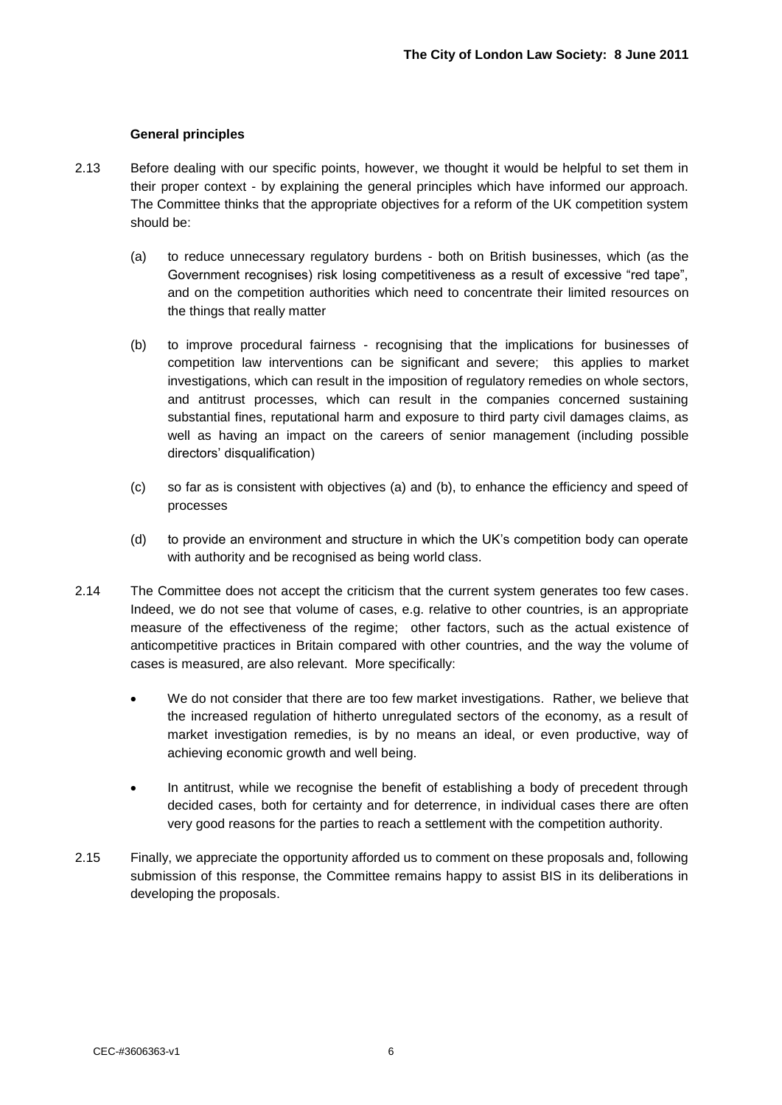#### **General principles**

- 2.13 Before dealing with our specific points, however, we thought it would be helpful to set them in their proper context - by explaining the general principles which have informed our approach. The Committee thinks that the appropriate objectives for a reform of the UK competition system should be:
	- (a) to reduce unnecessary regulatory burdens both on British businesses, which (as the Government recognises) risk losing competitiveness as a result of excessive "red tape", and on the competition authorities which need to concentrate their limited resources on the things that really matter
	- (b) to improve procedural fairness recognising that the implications for businesses of competition law interventions can be significant and severe; this applies to market investigations, which can result in the imposition of regulatory remedies on whole sectors, and antitrust processes, which can result in the companies concerned sustaining substantial fines, reputational harm and exposure to third party civil damages claims, as well as having an impact on the careers of senior management (including possible directors' disqualification)
	- (c) so far as is consistent with objectives (a) and (b), to enhance the efficiency and speed of processes
	- (d) to provide an environment and structure in which the UK"s competition body can operate with authority and be recognised as being world class.
- 2.14 The Committee does not accept the criticism that the current system generates too few cases. Indeed, we do not see that volume of cases, e.g. relative to other countries, is an appropriate measure of the effectiveness of the regime; other factors, such as the actual existence of anticompetitive practices in Britain compared with other countries, and the way the volume of cases is measured, are also relevant. More specifically:
	- We do not consider that there are too few market investigations. Rather, we believe that the increased regulation of hitherto unregulated sectors of the economy, as a result of market investigation remedies, is by no means an ideal, or even productive, way of achieving economic growth and well being.
	- In antitrust, while we recognise the benefit of establishing a body of precedent through decided cases, both for certainty and for deterrence, in individual cases there are often very good reasons for the parties to reach a settlement with the competition authority.
- 2.15 Finally, we appreciate the opportunity afforded us to comment on these proposals and, following submission of this response, the Committee remains happy to assist BIS in its deliberations in developing the proposals.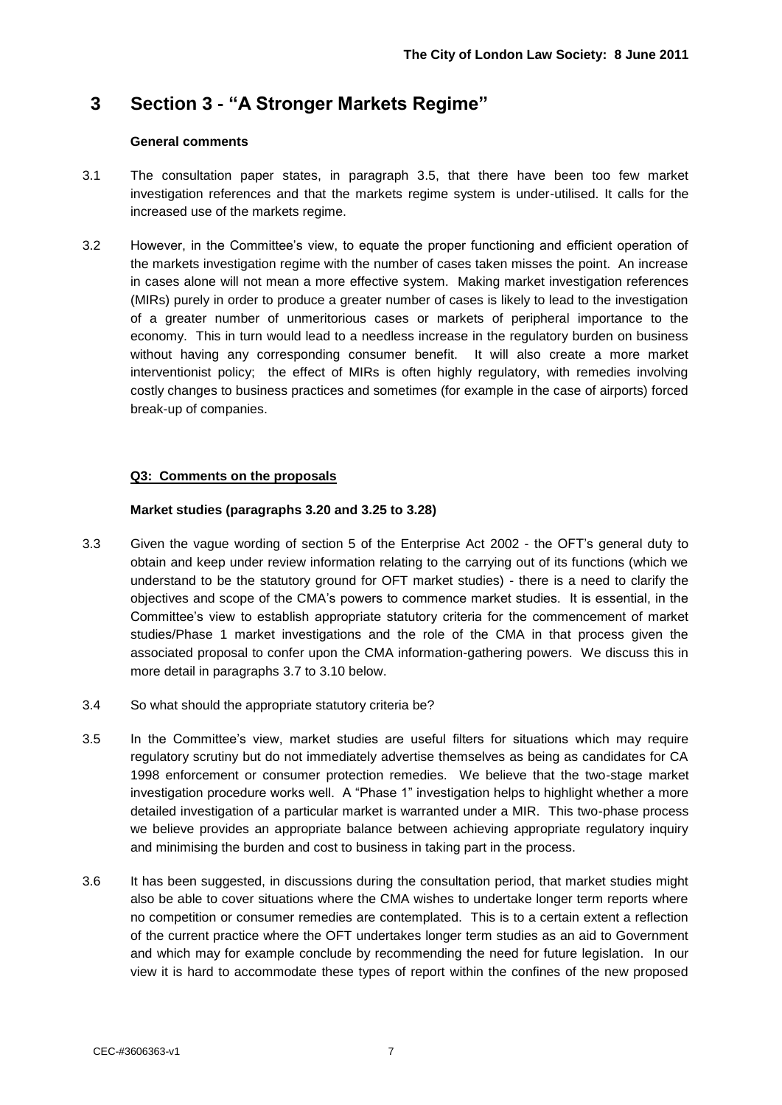## **3 Section 3 - "A Stronger Markets Regime"**

#### **General comments**

- 3.1 The consultation paper states, in paragraph 3.5, that there have been too few market investigation references and that the markets regime system is under-utilised. It calls for the increased use of the markets regime.
- 3.2 However, in the Committee"s view, to equate the proper functioning and efficient operation of the markets investigation regime with the number of cases taken misses the point. An increase in cases alone will not mean a more effective system. Making market investigation references (MIRs) purely in order to produce a greater number of cases is likely to lead to the investigation of a greater number of unmeritorious cases or markets of peripheral importance to the economy. This in turn would lead to a needless increase in the regulatory burden on business without having any corresponding consumer benefit. It will also create a more market interventionist policy; the effect of MIRs is often highly regulatory, with remedies involving costly changes to business practices and sometimes (for example in the case of airports) forced break-up of companies.

#### **Q3: Comments on the proposals**

#### **Market studies (paragraphs 3.20 and 3.25 to 3.28)**

- 3.3 Given the vague wording of section 5 of the Enterprise Act 2002 the OFT"s general duty to obtain and keep under review information relating to the carrying out of its functions (which we understand to be the statutory ground for OFT market studies) - there is a need to clarify the objectives and scope of the CMA"s powers to commence market studies. It is essential, in the Committee"s view to establish appropriate statutory criteria for the commencement of market studies/Phase 1 market investigations and the role of the CMA in that process given the associated proposal to confer upon the CMA information-gathering powers. We discuss this in more detail in paragraphs 3.7 to 3.10 below.
- 3.4 So what should the appropriate statutory criteria be?
- 3.5 In the Committee"s view, market studies are useful filters for situations which may require regulatory scrutiny but do not immediately advertise themselves as being as candidates for CA 1998 enforcement or consumer protection remedies. We believe that the two-stage market investigation procedure works well. A "Phase 1" investigation helps to highlight whether a more detailed investigation of a particular market is warranted under a MIR. This two-phase process we believe provides an appropriate balance between achieving appropriate regulatory inquiry and minimising the burden and cost to business in taking part in the process.
- 3.6 It has been suggested, in discussions during the consultation period, that market studies might also be able to cover situations where the CMA wishes to undertake longer term reports where no competition or consumer remedies are contemplated. This is to a certain extent a reflection of the current practice where the OFT undertakes longer term studies as an aid to Government and which may for example conclude by recommending the need for future legislation. In our view it is hard to accommodate these types of report within the confines of the new proposed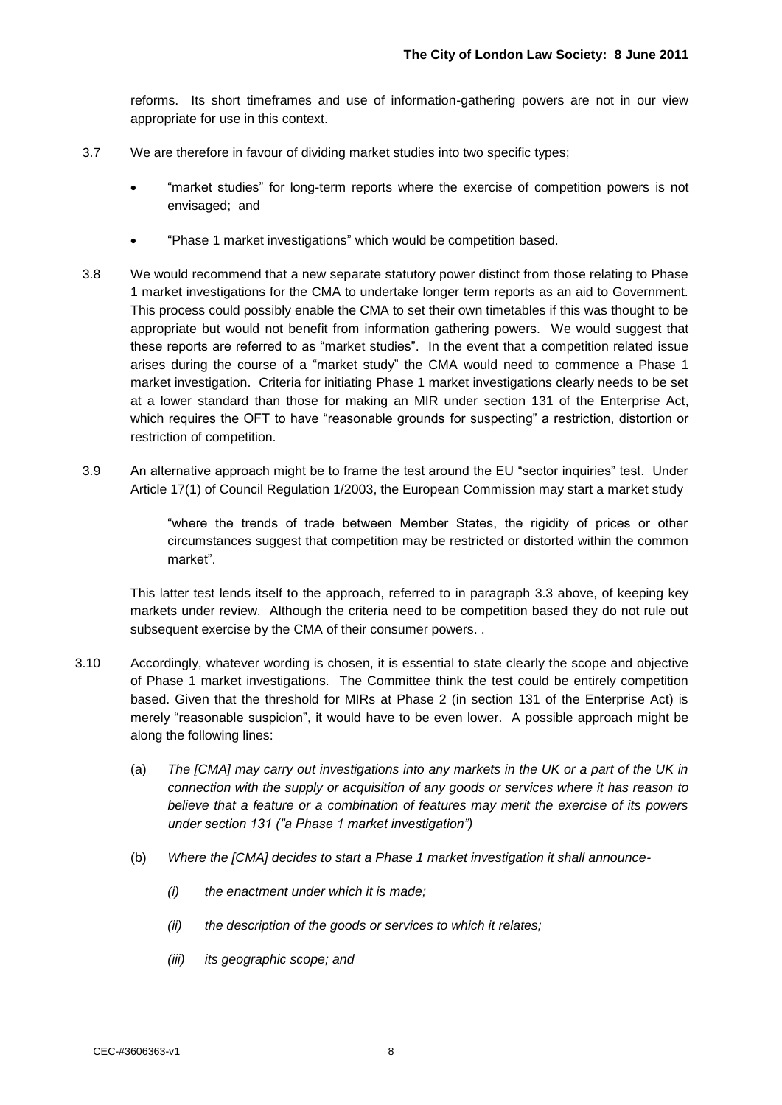reforms. Its short timeframes and use of information-gathering powers are not in our view appropriate for use in this context.

- 3.7 We are therefore in favour of dividing market studies into two specific types;
	- "market studies" for long-term reports where the exercise of competition powers is not envisaged; and
	- "Phase 1 market investigations" which would be competition based.
- 3.8 We would recommend that a new separate statutory power distinct from those relating to Phase 1 market investigations for the CMA to undertake longer term reports as an aid to Government. This process could possibly enable the CMA to set their own timetables if this was thought to be appropriate but would not benefit from information gathering powers. We would suggest that these reports are referred to as "market studies". In the event that a competition related issue arises during the course of a "market study" the CMA would need to commence a Phase 1 market investigation. Criteria for initiating Phase 1 market investigations clearly needs to be set at a lower standard than those for making an MIR under section 131 of the Enterprise Act, which requires the OFT to have "reasonable grounds for suspecting" a restriction, distortion or restriction of competition.
- 3.9 An alternative approach might be to frame the test around the EU "sector inquiries" test. Under Article 17(1) of Council Regulation 1/2003, the European Commission may start a market study

"where the trends of trade between Member States, the rigidity of prices or other circumstances suggest that competition may be restricted or distorted within the common market".

This latter test lends itself to the approach, referred to in paragraph 3.3 above, of keeping key markets under review. Although the criteria need to be competition based they do not rule out subsequent exercise by the CMA of their consumer powers. .

- 3.10 Accordingly, whatever wording is chosen, it is essential to state clearly the scope and objective of Phase 1 market investigations. The Committee think the test could be entirely competition based. Given that the threshold for MIRs at Phase 2 (in section 131 of the Enterprise Act) is merely "reasonable suspicion", it would have to be even lower. A possible approach might be along the following lines:
	- (a) *The [CMA] may carry out investigations into any markets in the UK or a part of the UK in connection with the supply or acquisition of any goods or services where it has reason to believe that a feature or a combination of features may merit the exercise of its powers under section 131 ("a Phase 1 market investigation")*
	- (b) *Where the [CMA] decides to start a Phase 1 market investigation it shall announce-*
		- *(i) the enactment under which it is made;*
		- *(ii) the description of the goods or services to which it relates;*
		- *(iii) its geographic scope; and*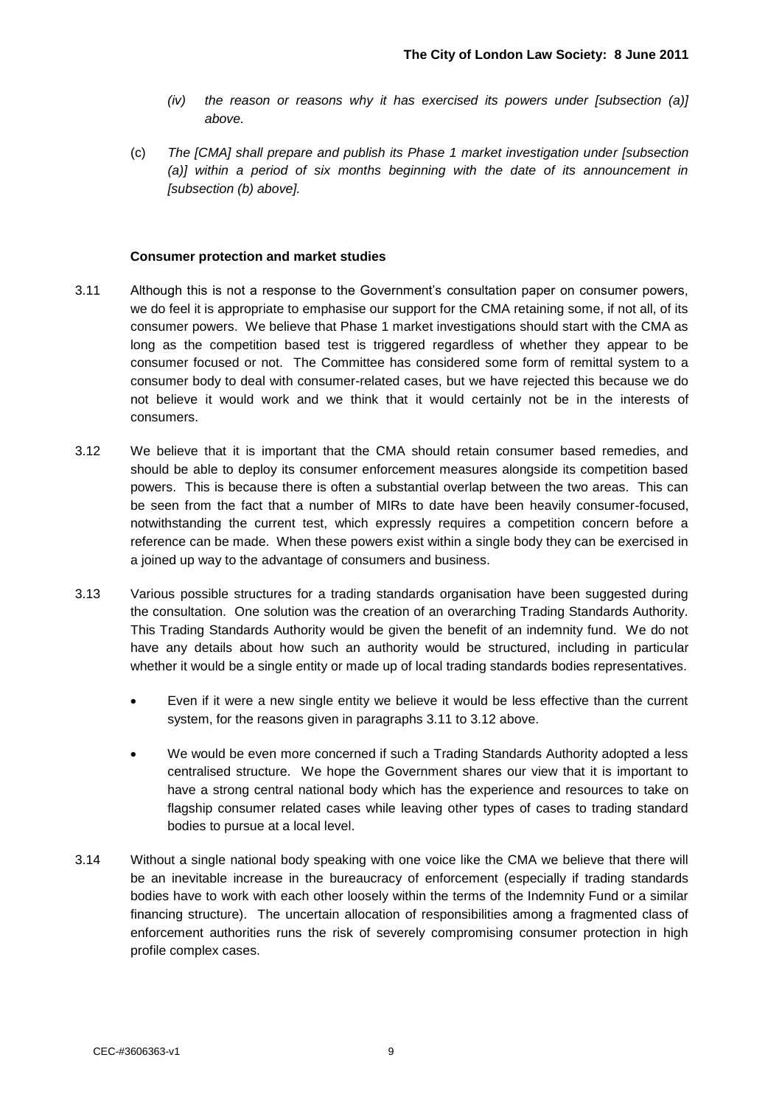- *(iv) the reason or reasons why it has exercised its powers under [subsection (a)] above.*
- (c) *The [CMA] shall prepare and publish its Phase 1 market investigation under [subsection (a)] within a period of six months beginning with the date of its announcement in [subsection (b) above].*

#### **Consumer protection and market studies**

- 3.11 Although this is not a response to the Government"s consultation paper on consumer powers, we do feel it is appropriate to emphasise our support for the CMA retaining some, if not all, of its consumer powers. We believe that Phase 1 market investigations should start with the CMA as long as the competition based test is triggered regardless of whether they appear to be consumer focused or not. The Committee has considered some form of remittal system to a consumer body to deal with consumer-related cases, but we have rejected this because we do not believe it would work and we think that it would certainly not be in the interests of consumers.
- 3.12 We believe that it is important that the CMA should retain consumer based remedies, and should be able to deploy its consumer enforcement measures alongside its competition based powers. This is because there is often a substantial overlap between the two areas. This can be seen from the fact that a number of MIRs to date have been heavily consumer-focused, notwithstanding the current test, which expressly requires a competition concern before a reference can be made. When these powers exist within a single body they can be exercised in a joined up way to the advantage of consumers and business.
- 3.13 Various possible structures for a trading standards organisation have been suggested during the consultation. One solution was the creation of an overarching Trading Standards Authority. This Trading Standards Authority would be given the benefit of an indemnity fund. We do not have any details about how such an authority would be structured, including in particular whether it would be a single entity or made up of local trading standards bodies representatives.
	- Even if it were a new single entity we believe it would be less effective than the current system, for the reasons given in paragraphs 3.11 to 3.12 above.
	- We would be even more concerned if such a Trading Standards Authority adopted a less centralised structure. We hope the Government shares our view that it is important to have a strong central national body which has the experience and resources to take on flagship consumer related cases while leaving other types of cases to trading standard bodies to pursue at a local level.
- 3.14 Without a single national body speaking with one voice like the CMA we believe that there will be an inevitable increase in the bureaucracy of enforcement (especially if trading standards bodies have to work with each other loosely within the terms of the Indemnity Fund or a similar financing structure). The uncertain allocation of responsibilities among a fragmented class of enforcement authorities runs the risk of severely compromising consumer protection in high profile complex cases.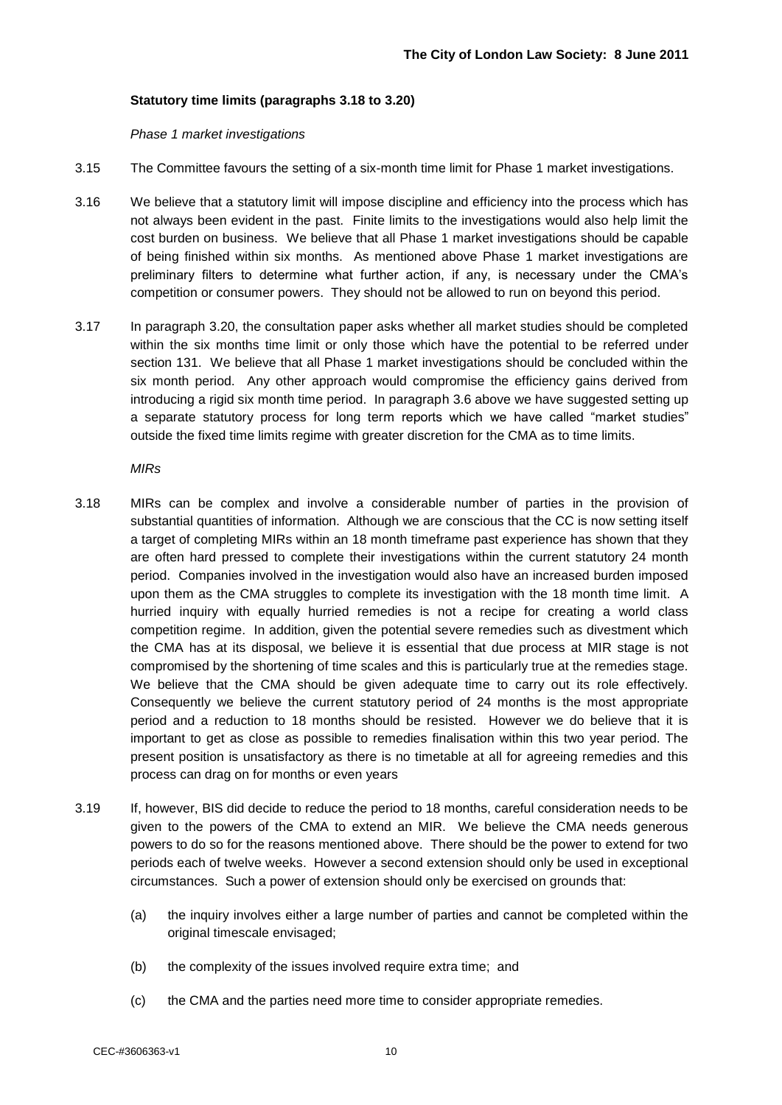#### **Statutory time limits (paragraphs 3.18 to 3.20)**

*Phase 1 market investigations*

- 3.15 The Committee favours the setting of a six-month time limit for Phase 1 market investigations.
- 3.16 We believe that a statutory limit will impose discipline and efficiency into the process which has not always been evident in the past. Finite limits to the investigations would also help limit the cost burden on business. We believe that all Phase 1 market investigations should be capable of being finished within six months. As mentioned above Phase 1 market investigations are preliminary filters to determine what further action, if any, is necessary under the CMA"s competition or consumer powers. They should not be allowed to run on beyond this period.
- 3.17 In paragraph 3.20, the consultation paper asks whether all market studies should be completed within the six months time limit or only those which have the potential to be referred under section 131. We believe that all Phase 1 market investigations should be concluded within the six month period. Any other approach would compromise the efficiency gains derived from introducing a rigid six month time period. In paragraph 3.6 above we have suggested setting up a separate statutory process for long term reports which we have called "market studies" outside the fixed time limits regime with greater discretion for the CMA as to time limits.

*MIRs*

- 3.18 MIRs can be complex and involve a considerable number of parties in the provision of substantial quantities of information. Although we are conscious that the CC is now setting itself a target of completing MIRs within an 18 month timeframe past experience has shown that they are often hard pressed to complete their investigations within the current statutory 24 month period. Companies involved in the investigation would also have an increased burden imposed upon them as the CMA struggles to complete its investigation with the 18 month time limit. A hurried inquiry with equally hurried remedies is not a recipe for creating a world class competition regime. In addition, given the potential severe remedies such as divestment which the CMA has at its disposal, we believe it is essential that due process at MIR stage is not compromised by the shortening of time scales and this is particularly true at the remedies stage. We believe that the CMA should be given adequate time to carry out its role effectively. Consequently we believe the current statutory period of 24 months is the most appropriate period and a reduction to 18 months should be resisted. However we do believe that it is important to get as close as possible to remedies finalisation within this two year period. The present position is unsatisfactory as there is no timetable at all for agreeing remedies and this process can drag on for months or even years
- 3.19 If, however, BIS did decide to reduce the period to 18 months, careful consideration needs to be given to the powers of the CMA to extend an MIR. We believe the CMA needs generous powers to do so for the reasons mentioned above. There should be the power to extend for two periods each of twelve weeks. However a second extension should only be used in exceptional circumstances. Such a power of extension should only be exercised on grounds that:
	- (a) the inquiry involves either a large number of parties and cannot be completed within the original timescale envisaged;
	- (b) the complexity of the issues involved require extra time; and
	- (c) the CMA and the parties need more time to consider appropriate remedies.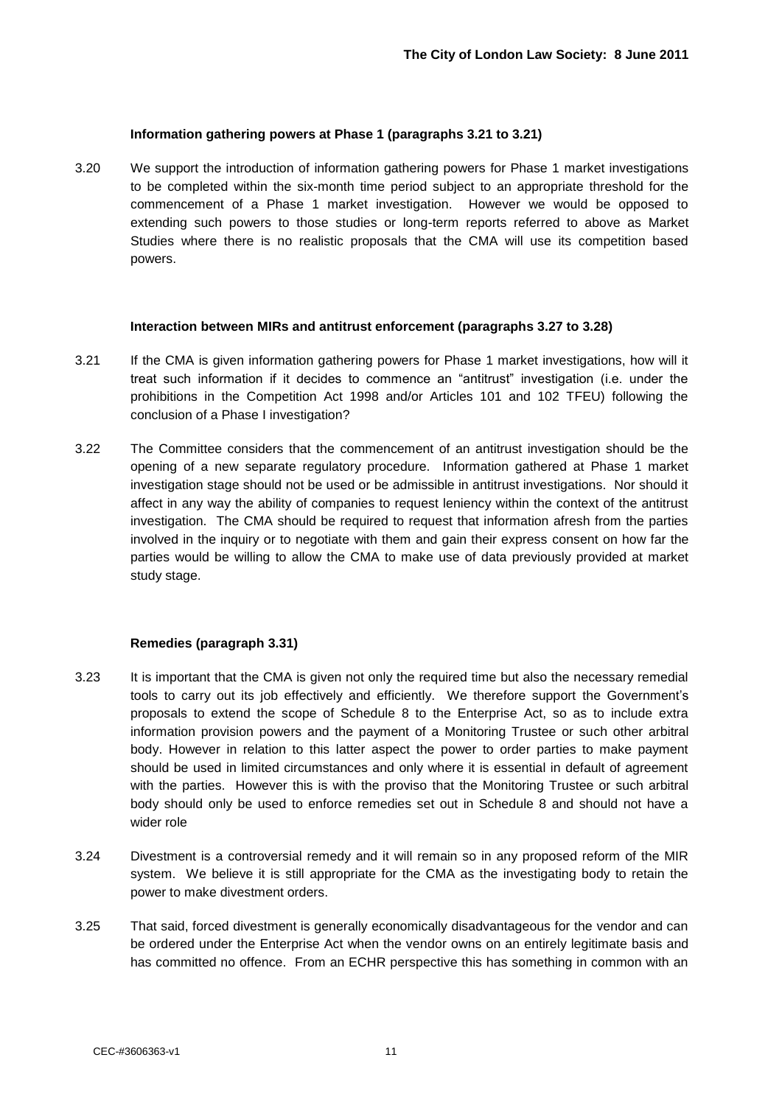#### **Information gathering powers at Phase 1 (paragraphs 3.21 to 3.21)**

3.20 We support the introduction of information gathering powers for Phase 1 market investigations to be completed within the six-month time period subject to an appropriate threshold for the commencement of a Phase 1 market investigation. However we would be opposed to extending such powers to those studies or long-term reports referred to above as Market Studies where there is no realistic proposals that the CMA will use its competition based powers.

#### **Interaction between MIRs and antitrust enforcement (paragraphs 3.27 to 3.28)**

- 3.21 If the CMA is given information gathering powers for Phase 1 market investigations, how will it treat such information if it decides to commence an "antitrust" investigation (i.e. under the prohibitions in the Competition Act 1998 and/or Articles 101 and 102 TFEU) following the conclusion of a Phase I investigation?
- 3.22 The Committee considers that the commencement of an antitrust investigation should be the opening of a new separate regulatory procedure. Information gathered at Phase 1 market investigation stage should not be used or be admissible in antitrust investigations. Nor should it affect in any way the ability of companies to request leniency within the context of the antitrust investigation. The CMA should be required to request that information afresh from the parties involved in the inquiry or to negotiate with them and gain their express consent on how far the parties would be willing to allow the CMA to make use of data previously provided at market study stage.

#### **Remedies (paragraph 3.31)**

- 3.23 It is important that the CMA is given not only the required time but also the necessary remedial tools to carry out its job effectively and efficiently. We therefore support the Government"s proposals to extend the scope of Schedule 8 to the Enterprise Act, so as to include extra information provision powers and the payment of a Monitoring Trustee or such other arbitral body. However in relation to this latter aspect the power to order parties to make payment should be used in limited circumstances and only where it is essential in default of agreement with the parties. However this is with the proviso that the Monitoring Trustee or such arbitral body should only be used to enforce remedies set out in Schedule 8 and should not have a wider role
- 3.24 Divestment is a controversial remedy and it will remain so in any proposed reform of the MIR system. We believe it is still appropriate for the CMA as the investigating body to retain the power to make divestment orders.
- 3.25 That said, forced divestment is generally economically disadvantageous for the vendor and can be ordered under the Enterprise Act when the vendor owns on an entirely legitimate basis and has committed no offence. From an ECHR perspective this has something in common with an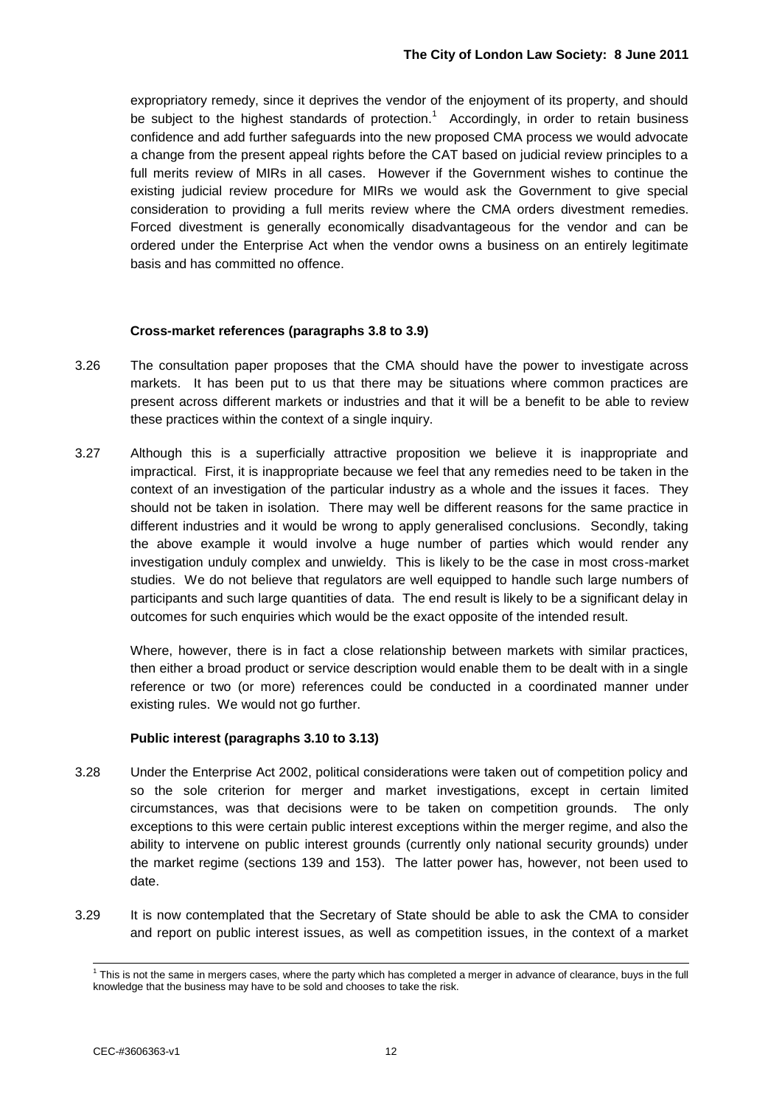expropriatory remedy, since it deprives the vendor of the enjoyment of its property, and should be subject to the highest standards of protection.<sup>1</sup> Accordingly, in order to retain business confidence and add further safeguards into the new proposed CMA process we would advocate a change from the present appeal rights before the CAT based on judicial review principles to a full merits review of MIRs in all cases. However if the Government wishes to continue the existing judicial review procedure for MIRs we would ask the Government to give special consideration to providing a full merits review where the CMA orders divestment remedies. Forced divestment is generally economically disadvantageous for the vendor and can be ordered under the Enterprise Act when the vendor owns a business on an entirely legitimate basis and has committed no offence.

#### **Cross-market references (paragraphs 3.8 to 3.9)**

- 3.26 The consultation paper proposes that the CMA should have the power to investigate across markets. It has been put to us that there may be situations where common practices are present across different markets or industries and that it will be a benefit to be able to review these practices within the context of a single inquiry.
- 3.27 Although this is a superficially attractive proposition we believe it is inappropriate and impractical. First, it is inappropriate because we feel that any remedies need to be taken in the context of an investigation of the particular industry as a whole and the issues it faces. They should not be taken in isolation. There may well be different reasons for the same practice in different industries and it would be wrong to apply generalised conclusions. Secondly, taking the above example it would involve a huge number of parties which would render any investigation unduly complex and unwieldy. This is likely to be the case in most cross-market studies. We do not believe that regulators are well equipped to handle such large numbers of participants and such large quantities of data. The end result is likely to be a significant delay in outcomes for such enquiries which would be the exact opposite of the intended result.

Where, however, there is in fact a close relationship between markets with similar practices, then either a broad product or service description would enable them to be dealt with in a single reference or two (or more) references could be conducted in a coordinated manner under existing rules. We would not go further.

#### **Public interest (paragraphs 3.10 to 3.13)**

- 3.28 Under the Enterprise Act 2002, political considerations were taken out of competition policy and so the sole criterion for merger and market investigations, except in certain limited circumstances, was that decisions were to be taken on competition grounds. The only exceptions to this were certain public interest exceptions within the merger regime, and also the ability to intervene on public interest grounds (currently only national security grounds) under the market regime (sections 139 and 153). The latter power has, however, not been used to date.
- 3.29 It is now contemplated that the Secretary of State should be able to ask the CMA to consider and report on public interest issues, as well as competition issues, in the context of a market

l  $1$  This is not the same in mergers cases, where the party which has completed a merger in advance of clearance, buys in the full knowledge that the business may have to be sold and chooses to take the risk.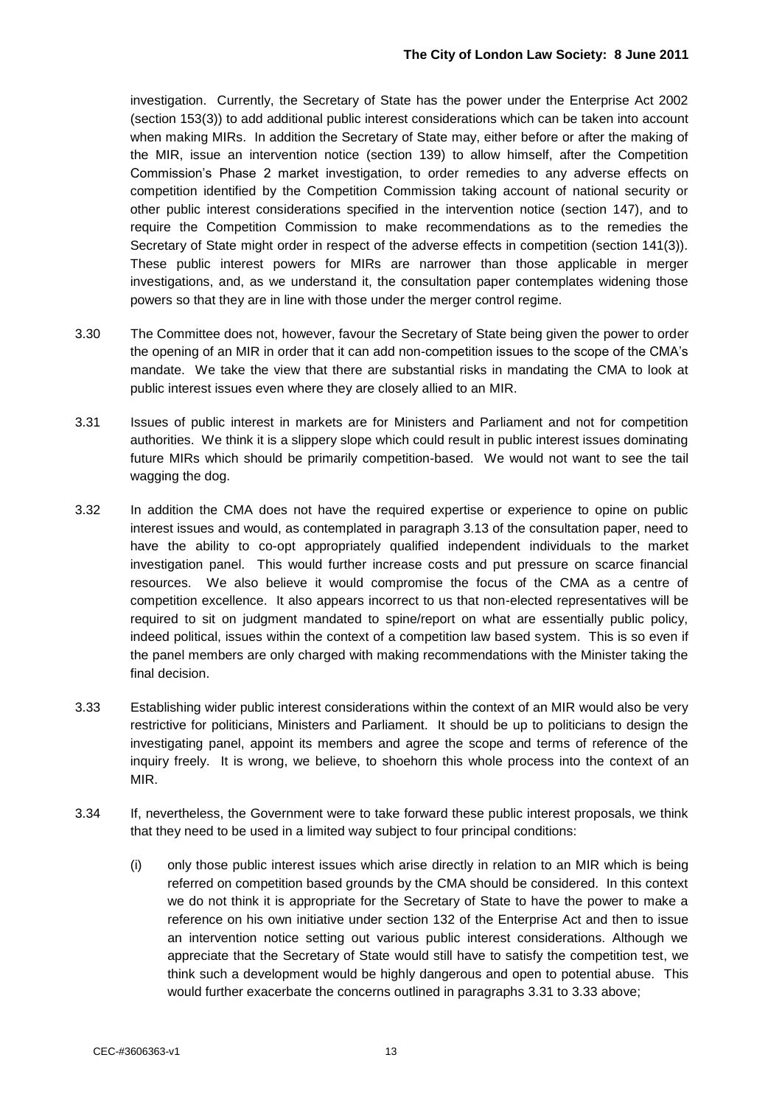investigation. Currently, the Secretary of State has the power under the Enterprise Act 2002 (section 153(3)) to add additional public interest considerations which can be taken into account when making MIRs. In addition the Secretary of State may, either before or after the making of the MIR, issue an intervention notice (section 139) to allow himself, after the Competition Commission"s Phase 2 market investigation, to order remedies to any adverse effects on competition identified by the Competition Commission taking account of national security or other public interest considerations specified in the intervention notice (section 147), and to require the Competition Commission to make recommendations as to the remedies the Secretary of State might order in respect of the adverse effects in competition (section 141(3)). These public interest powers for MIRs are narrower than those applicable in merger investigations, and, as we understand it, the consultation paper contemplates widening those powers so that they are in line with those under the merger control regime.

- 3.30 The Committee does not, however, favour the Secretary of State being given the power to order the opening of an MIR in order that it can add non-competition issues to the scope of the CMA"s mandate. We take the view that there are substantial risks in mandating the CMA to look at public interest issues even where they are closely allied to an MIR.
- 3.31 Issues of public interest in markets are for Ministers and Parliament and not for competition authorities. We think it is a slippery slope which could result in public interest issues dominating future MIRs which should be primarily competition-based. We would not want to see the tail wagging the dog.
- 3.32 In addition the CMA does not have the required expertise or experience to opine on public interest issues and would, as contemplated in paragraph 3.13 of the consultation paper, need to have the ability to co-opt appropriately qualified independent individuals to the market investigation panel. This would further increase costs and put pressure on scarce financial resources. We also believe it would compromise the focus of the CMA as a centre of competition excellence. It also appears incorrect to us that non-elected representatives will be required to sit on judgment mandated to spine/report on what are essentially public policy, indeed political, issues within the context of a competition law based system. This is so even if the panel members are only charged with making recommendations with the Minister taking the final decision.
- 3.33 Establishing wider public interest considerations within the context of an MIR would also be very restrictive for politicians, Ministers and Parliament. It should be up to politicians to design the investigating panel, appoint its members and agree the scope and terms of reference of the inquiry freely. It is wrong, we believe, to shoehorn this whole process into the context of an MIR.
- 3.34 If, nevertheless, the Government were to take forward these public interest proposals, we think that they need to be used in a limited way subject to four principal conditions:
	- (i) only those public interest issues which arise directly in relation to an MIR which is being referred on competition based grounds by the CMA should be considered. In this context we do not think it is appropriate for the Secretary of State to have the power to make a reference on his own initiative under section 132 of the Enterprise Act and then to issue an intervention notice setting out various public interest considerations. Although we appreciate that the Secretary of State would still have to satisfy the competition test, we think such a development would be highly dangerous and open to potential abuse. This would further exacerbate the concerns outlined in paragraphs 3.31 to 3.33 above;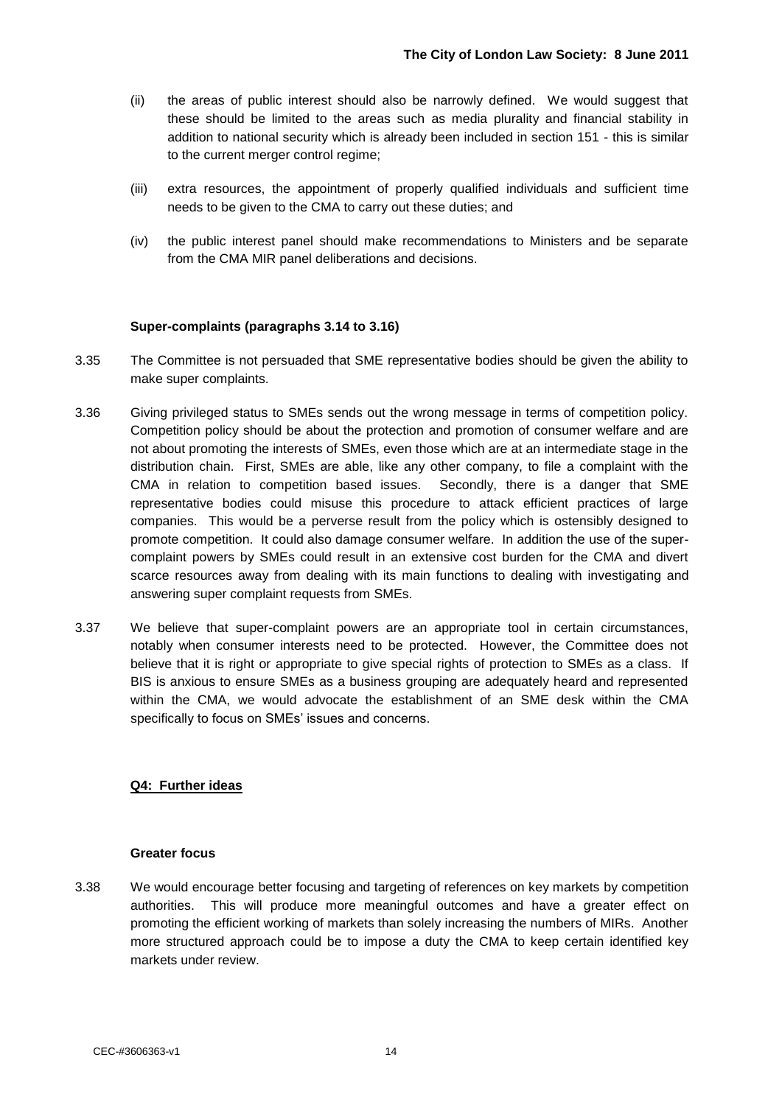- (ii) the areas of public interest should also be narrowly defined. We would suggest that these should be limited to the areas such as media plurality and financial stability in addition to national security which is already been included in section 151 - this is similar to the current merger control regime;
- (iii) extra resources, the appointment of properly qualified individuals and sufficient time needs to be given to the CMA to carry out these duties; and
- (iv) the public interest panel should make recommendations to Ministers and be separate from the CMA MIR panel deliberations and decisions.

#### **Super-complaints (paragraphs 3.14 to 3.16)**

- 3.35 The Committee is not persuaded that SME representative bodies should be given the ability to make super complaints.
- 3.36 Giving privileged status to SMEs sends out the wrong message in terms of competition policy. Competition policy should be about the protection and promotion of consumer welfare and are not about promoting the interests of SMEs, even those which are at an intermediate stage in the distribution chain. First, SMEs are able, like any other company, to file a complaint with the CMA in relation to competition based issues. Secondly, there is a danger that SME representative bodies could misuse this procedure to attack efficient practices of large companies. This would be a perverse result from the policy which is ostensibly designed to promote competition. It could also damage consumer welfare. In addition the use of the supercomplaint powers by SMEs could result in an extensive cost burden for the CMA and divert scarce resources away from dealing with its main functions to dealing with investigating and answering super complaint requests from SMEs.
- 3.37 We believe that super-complaint powers are an appropriate tool in certain circumstances, notably when consumer interests need to be protected. However, the Committee does not believe that it is right or appropriate to give special rights of protection to SMEs as a class. If BIS is anxious to ensure SMEs as a business grouping are adequately heard and represented within the CMA, we would advocate the establishment of an SME desk within the CMA specifically to focus on SMEs' issues and concerns.

#### **Q4: Further ideas**

#### **Greater focus**

3.38 We would encourage better focusing and targeting of references on key markets by competition authorities. This will produce more meaningful outcomes and have a greater effect on promoting the efficient working of markets than solely increasing the numbers of MIRs. Another more structured approach could be to impose a duty the CMA to keep certain identified key markets under review.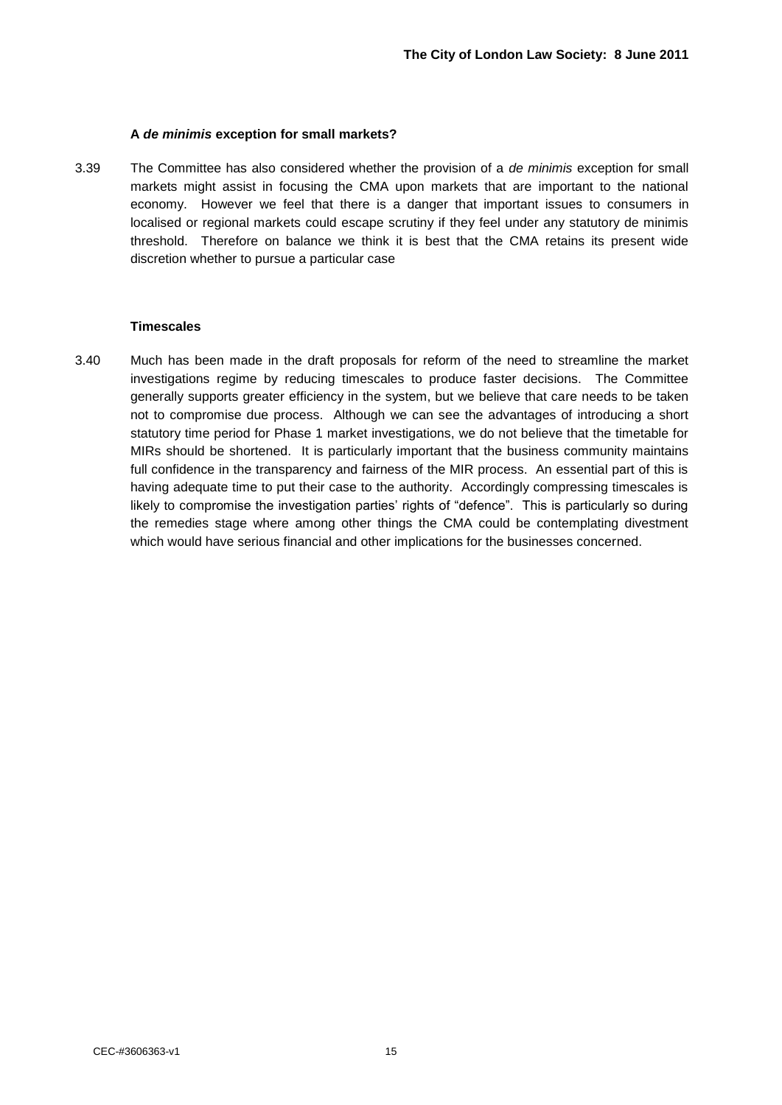#### **A** *de minimis* **exception for small markets?**

3.39 The Committee has also considered whether the provision of a *de minimis* exception for small markets might assist in focusing the CMA upon markets that are important to the national economy. However we feel that there is a danger that important issues to consumers in localised or regional markets could escape scrutiny if they feel under any statutory de minimis threshold. Therefore on balance we think it is best that the CMA retains its present wide discretion whether to pursue a particular case

#### **Timescales**

3.40 Much has been made in the draft proposals for reform of the need to streamline the market investigations regime by reducing timescales to produce faster decisions. The Committee generally supports greater efficiency in the system, but we believe that care needs to be taken not to compromise due process. Although we can see the advantages of introducing a short statutory time period for Phase 1 market investigations, we do not believe that the timetable for MIRs should be shortened. It is particularly important that the business community maintains full confidence in the transparency and fairness of the MIR process. An essential part of this is having adequate time to put their case to the authority. Accordingly compressing timescales is likely to compromise the investigation parties' rights of "defence". This is particularly so during the remedies stage where among other things the CMA could be contemplating divestment which would have serious financial and other implications for the businesses concerned.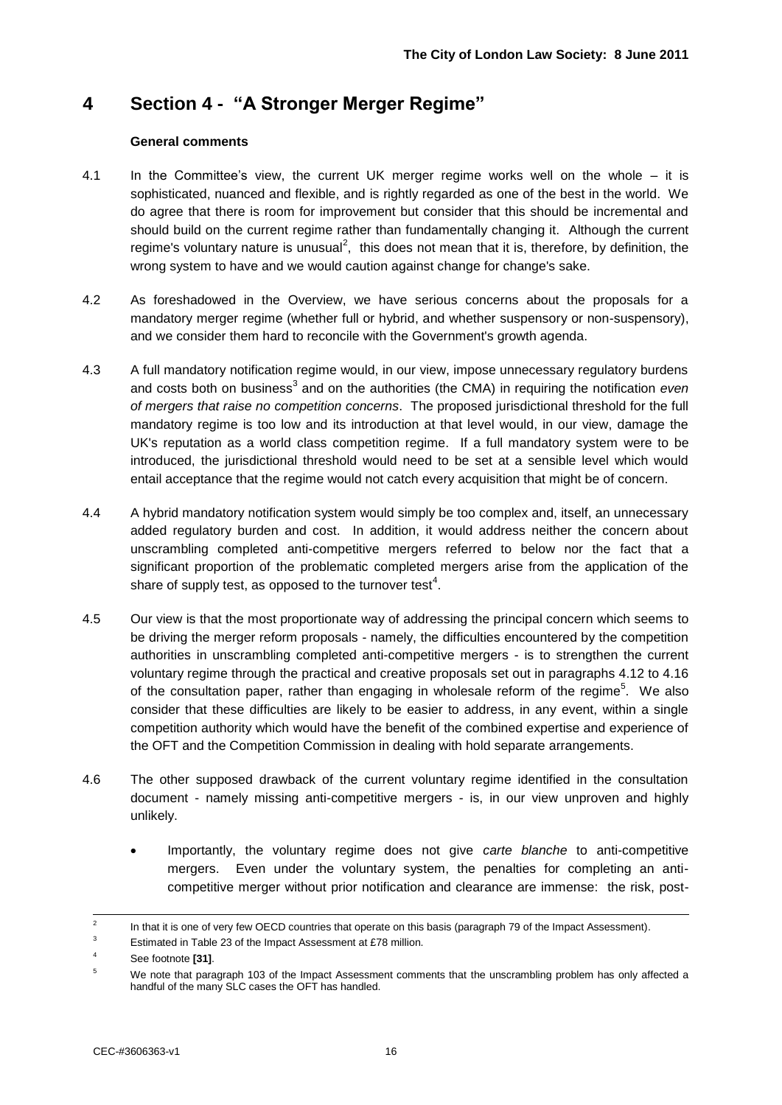## **4 Section 4 - "A Stronger Merger Regime"**

#### **General comments**

- 4.1 In the Committee"s view, the current UK merger regime works well on the whole it is sophisticated, nuanced and flexible, and is rightly regarded as one of the best in the world. We do agree that there is room for improvement but consider that this should be incremental and should build on the current regime rather than fundamentally changing it. Although the current regime's voluntary nature is unusual<sup>2</sup>, this does not mean that it is, therefore, by definition, the wrong system to have and we would caution against change for change's sake.
- 4.2 As foreshadowed in the Overview, we have serious concerns about the proposals for a mandatory merger regime (whether full or hybrid, and whether suspensory or non-suspensory), and we consider them hard to reconcile with the Government's growth agenda.
- 4.3 A full mandatory notification regime would, in our view, impose unnecessary regulatory burdens and costs both on business<sup>3</sup> and on the authorities (the CMA) in requiring the notification *even of mergers that raise no competition concerns*. The proposed jurisdictional threshold for the full mandatory regime is too low and its introduction at that level would, in our view, damage the UK's reputation as a world class competition regime. If a full mandatory system were to be introduced, the jurisdictional threshold would need to be set at a sensible level which would entail acceptance that the regime would not catch every acquisition that might be of concern.
- 4.4 A hybrid mandatory notification system would simply be too complex and, itself, an unnecessary added regulatory burden and cost. In addition, it would address neither the concern about unscrambling completed anti-competitive mergers referred to below nor the fact that a significant proportion of the problematic completed mergers arise from the application of the share of supply test, as opposed to the turnover test<sup>4</sup>.
- 4.5 Our view is that the most proportionate way of addressing the principal concern which seems to be driving the merger reform proposals - namely, the difficulties encountered by the competition authorities in unscrambling completed anti-competitive mergers - is to strengthen the current voluntary regime through the practical and creative proposals set out in paragraphs 4.12 to 4.16 of the consultation paper, rather than engaging in wholesale reform of the regime<sup>5</sup>. We also consider that these difficulties are likely to be easier to address, in any event, within a single competition authority which would have the benefit of the combined expertise and experience of the OFT and the Competition Commission in dealing with hold separate arrangements.
- 4.6 The other supposed drawback of the current voluntary regime identified in the consultation document - namely missing anti-competitive mergers - is, in our view unproven and highly unlikely.
	- Importantly, the voluntary regime does not give *carte blanche* to anti-competitive mergers. Even under the voluntary system, the penalties for completing an anticompetitive merger without prior notification and clearance are immense: the risk, post-

 $\frac{1}{2}$ In that it is one of very few OECD countries that operate on this basis (paragraph 79 of the Impact Assessment).

<sup>&</sup>lt;sup>3</sup><br>Estimated in Table 23 of the Impact Assessment at £78 million.

See footnote **[31]**.

<sup>&</sup>lt;sup>5</sup> We note that paragraph 103 of the Impact Assessment comments that the unscrambling problem has only affected a handful of the many SLC cases the OFT has handled.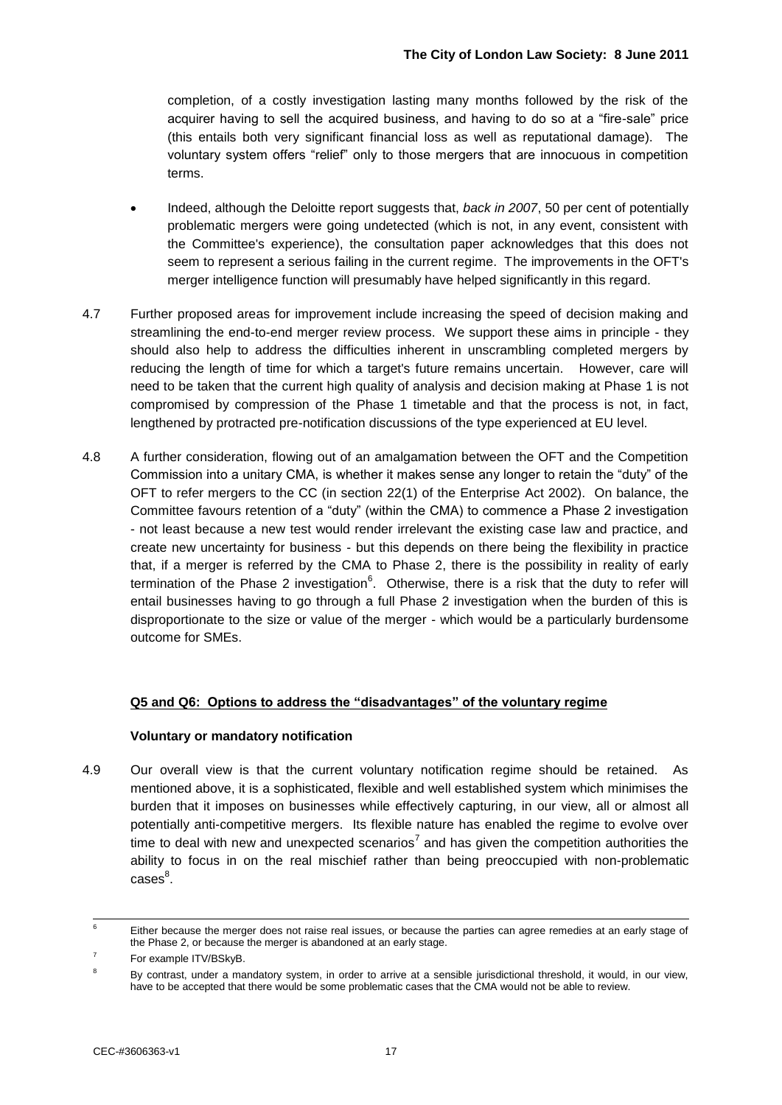completion, of a costly investigation lasting many months followed by the risk of the acquirer having to sell the acquired business, and having to do so at a "fire-sale" price (this entails both very significant financial loss as well as reputational damage). The voluntary system offers "relief" only to those mergers that are innocuous in competition terms.

- Indeed, although the Deloitte report suggests that, *back in 2007*, 50 per cent of potentially problematic mergers were going undetected (which is not, in any event, consistent with the Committee's experience), the consultation paper acknowledges that this does not seem to represent a serious failing in the current regime. The improvements in the OFT's merger intelligence function will presumably have helped significantly in this regard.
- 4.7 Further proposed areas for improvement include increasing the speed of decision making and streamlining the end-to-end merger review process. We support these aims in principle - they should also help to address the difficulties inherent in unscrambling completed mergers by reducing the length of time for which a target's future remains uncertain. However, care will need to be taken that the current high quality of analysis and decision making at Phase 1 is not compromised by compression of the Phase 1 timetable and that the process is not, in fact, lengthened by protracted pre-notification discussions of the type experienced at EU level.
- 4.8 A further consideration, flowing out of an amalgamation between the OFT and the Competition Commission into a unitary CMA, is whether it makes sense any longer to retain the "duty" of the OFT to refer mergers to the CC (in section 22(1) of the Enterprise Act 2002). On balance, the Committee favours retention of a "duty" (within the CMA) to commence a Phase 2 investigation - not least because a new test would render irrelevant the existing case law and practice, and create new uncertainty for business - but this depends on there being the flexibility in practice that, if a merger is referred by the CMA to Phase 2, there is the possibility in reality of early termination of the Phase 2 investigation<sup>6</sup>. Otherwise, there is a risk that the duty to refer will entail businesses having to go through a full Phase 2 investigation when the burden of this is disproportionate to the size or value of the merger - which would be a particularly burdensome outcome for SMEs.

#### **Q5 and Q6: Options to address the "disadvantages" of the voluntary regime**

#### **Voluntary or mandatory notification**

4.9 Our overall view is that the current voluntary notification regime should be retained. As mentioned above, it is a sophisticated, flexible and well established system which minimises the burden that it imposes on businesses while effectively capturing, in our view, all or almost all potentially anti-competitive mergers. Its flexible nature has enabled the regime to evolve over time to deal with new and unexpected scenarios<sup>7</sup> and has given the competition authorities the ability to focus in on the real mischief rather than being preoccupied with non-problematic  $\mathsf{cases}^8.$ 

 $\epsilon$ Either because the merger does not raise real issues, or because the parties can agree remedies at an early stage of the Phase 2, or because the merger is abandoned at an early stage.

<sup>7</sup> For example ITV/BSkyB.

<sup>&</sup>lt;sup>8</sup> By contrast, under a mandatory system, in order to arrive at a sensible jurisdictional threshold, it would, in our view, have to be accepted that there would be some problematic cases that the CMA would not be able to review.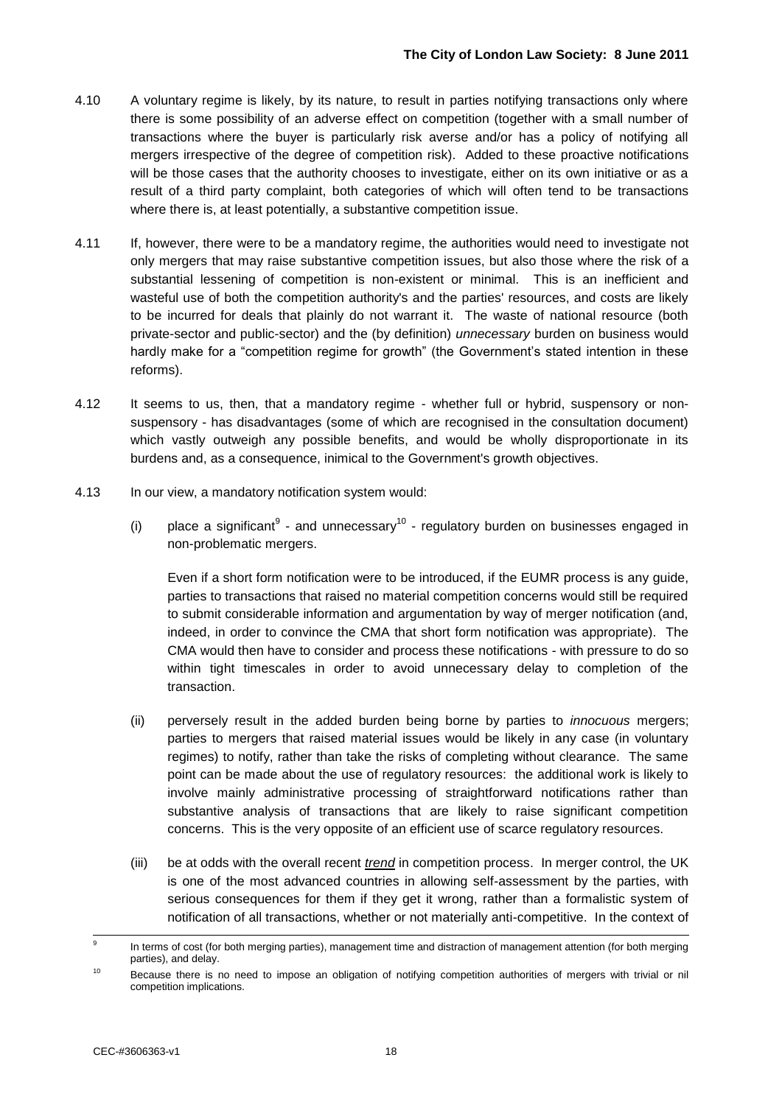- 4.10 A voluntary regime is likely, by its nature, to result in parties notifying transactions only where there is some possibility of an adverse effect on competition (together with a small number of transactions where the buyer is particularly risk averse and/or has a policy of notifying all mergers irrespective of the degree of competition risk). Added to these proactive notifications will be those cases that the authority chooses to investigate, either on its own initiative or as a result of a third party complaint, both categories of which will often tend to be transactions where there is, at least potentially, a substantive competition issue.
- 4.11 If, however, there were to be a mandatory regime, the authorities would need to investigate not only mergers that may raise substantive competition issues, but also those where the risk of a substantial lessening of competition is non-existent or minimal. This is an inefficient and wasteful use of both the competition authority's and the parties' resources, and costs are likely to be incurred for deals that plainly do not warrant it. The waste of national resource (both private-sector and public-sector) and the (by definition) *unnecessary* burden on business would hardly make for a "competition regime for growth" (the Government's stated intention in these reforms).
- 4.12 It seems to us, then, that a mandatory regime whether full or hybrid, suspensory or nonsuspensory - has disadvantages (some of which are recognised in the consultation document) which vastly outweigh any possible benefits, and would be wholly disproportionate in its burdens and, as a consequence, inimical to the Government's growth objectives.
- 4.13 In our view, a mandatory notification system would:
	- (i) place a significant<sup>9</sup> and unnecessary<sup>10</sup> regulatory burden on businesses engaged in non-problematic mergers.

Even if a short form notification were to be introduced, if the EUMR process is any guide, parties to transactions that raised no material competition concerns would still be required to submit considerable information and argumentation by way of merger notification (and, indeed, in order to convince the CMA that short form notification was appropriate). The CMA would then have to consider and process these notifications - with pressure to do so within tight timescales in order to avoid unnecessary delay to completion of the transaction.

- (ii) perversely result in the added burden being borne by parties to *innocuous* mergers; parties to mergers that raised material issues would be likely in any case (in voluntary regimes) to notify, rather than take the risks of completing without clearance. The same point can be made about the use of regulatory resources: the additional work is likely to involve mainly administrative processing of straightforward notifications rather than substantive analysis of transactions that are likely to raise significant competition concerns. This is the very opposite of an efficient use of scarce regulatory resources.
- (iii) be at odds with the overall recent *trend* in competition process. In merger control, the UK is one of the most advanced countries in allowing self-assessment by the parties, with serious consequences for them if they get it wrong, rather than a formalistic system of notification of all transactions, whether or not materially anti-competitive. In the context of

<sup>-&</sup>lt;br>9 In terms of cost (for both merging parties), management time and distraction of management attention (for both merging parties), and delay.

<sup>&</sup>lt;sup>10</sup> Because there is no need to impose an obligation of notifying competition authorities of mergers with trivial or nil competition implications.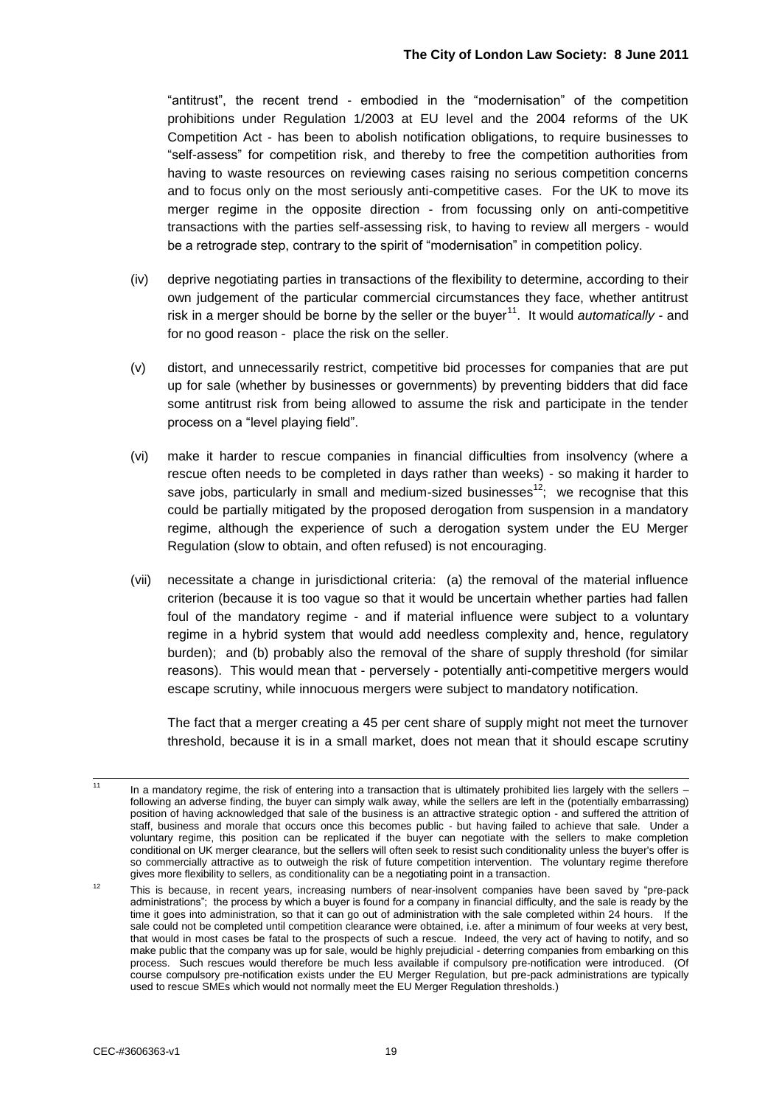"antitrust", the recent trend - embodied in the "modernisation" of the competition prohibitions under Regulation 1/2003 at EU level and the 2004 reforms of the UK Competition Act - has been to abolish notification obligations, to require businesses to "self-assess" for competition risk, and thereby to free the competition authorities from having to waste resources on reviewing cases raising no serious competition concerns and to focus only on the most seriously anti-competitive cases. For the UK to move its merger regime in the opposite direction - from focussing only on anti-competitive transactions with the parties self-assessing risk, to having to review all mergers - would be a retrograde step, contrary to the spirit of "modernisation" in competition policy.

- (iv) deprive negotiating parties in transactions of the flexibility to determine, according to their own judgement of the particular commercial circumstances they face, whether antitrust risk in a merger should be borne by the seller or the buyer<sup>11</sup>. It would *automatically* - and for no good reason - place the risk on the seller.
- (v) distort, and unnecessarily restrict, competitive bid processes for companies that are put up for sale (whether by businesses or governments) by preventing bidders that did face some antitrust risk from being allowed to assume the risk and participate in the tender process on a "level playing field".
- (vi) make it harder to rescue companies in financial difficulties from insolvency (where a rescue often needs to be completed in days rather than weeks) - so making it harder to save jobs, particularly in small and medium-sized businesses<sup>12</sup>; we recognise that this could be partially mitigated by the proposed derogation from suspension in a mandatory regime, although the experience of such a derogation system under the EU Merger Regulation (slow to obtain, and often refused) is not encouraging.
- (vii) necessitate a change in jurisdictional criteria: (a) the removal of the material influence criterion (because it is too vague so that it would be uncertain whether parties had fallen foul of the mandatory regime - and if material influence were subject to a voluntary regime in a hybrid system that would add needless complexity and, hence, regulatory burden); and (b) probably also the removal of the share of supply threshold (for similar reasons). This would mean that - perversely - potentially anti-competitive mergers would escape scrutiny, while innocuous mergers were subject to mandatory notification.

The fact that a merger creating a 45 per cent share of supply might not meet the turnover threshold, because it is in a small market, does not mean that it should escape scrutiny

 $\overline{11}$ In a mandatory regime, the risk of entering into a transaction that is ultimately prohibited lies largely with the sellers – following an adverse finding, the buyer can simply walk away, while the sellers are left in the (potentially embarrassing) position of having acknowledged that sale of the business is an attractive strategic option - and suffered the attrition of staff, business and morale that occurs once this becomes public - but having failed to achieve that sale. Under a voluntary regime, this position can be replicated if the buyer can negotiate with the sellers to make completion conditional on UK merger clearance, but the sellers will often seek to resist such conditionality unless the buyer's offer is so commercially attractive as to outweigh the risk of future competition intervention. The voluntary regime therefore gives more flexibility to sellers, as conditionality can be a negotiating point in a transaction.

<sup>&</sup>lt;sup>12</sup> This is because, in recent years, increasing numbers of near-insolvent companies have been saved by "pre-pack administrations"; the process by which a buyer is found for a company in financial difficulty, and the sale is ready by the time it goes into administration, so that it can go out of administration with the sale completed within 24 hours. If the sale could not be completed until competition clearance were obtained, i.e. after a minimum of four weeks at very best, that would in most cases be fatal to the prospects of such a rescue. Indeed, the very act of having to notify, and so make public that the company was up for sale, would be highly prejudicial - deterring companies from embarking on this process. Such rescues would therefore be much less available if compulsory pre-notification were introduced. (Of course compulsory pre-notification exists under the EU Merger Regulation, but pre-pack administrations are typically used to rescue SMEs which would not normally meet the EU Merger Regulation thresholds.)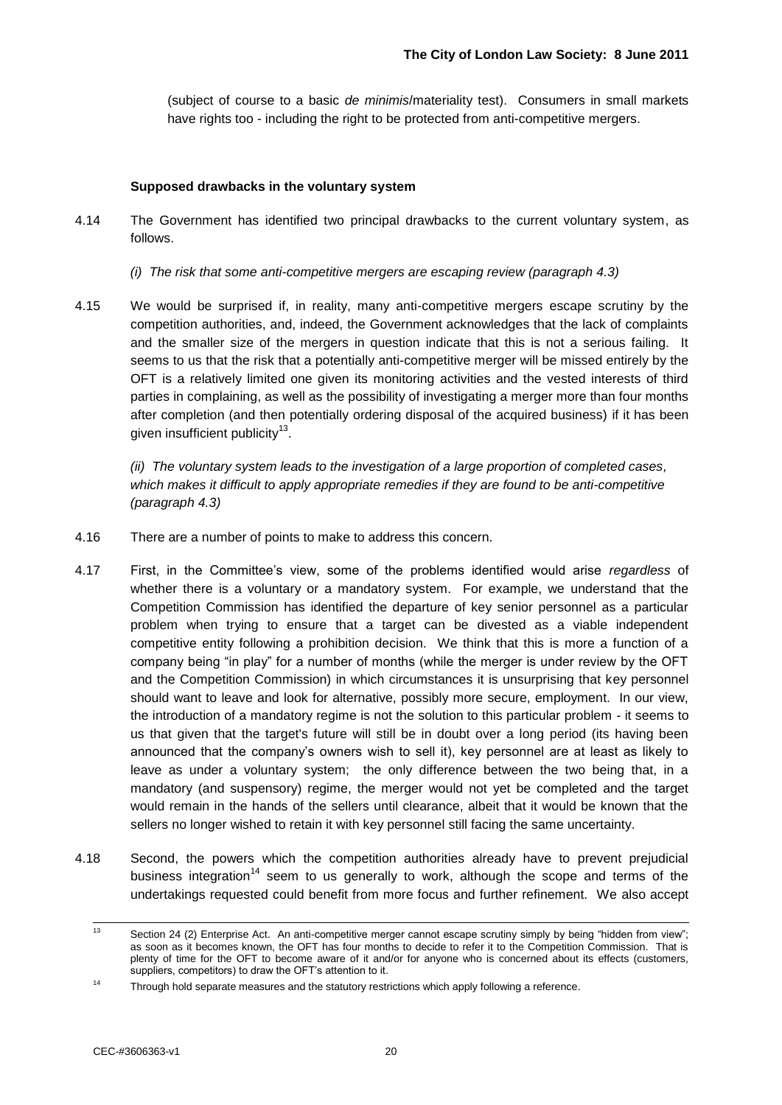(subject of course to a basic *de minimis*/materiality test). Consumers in small markets have rights too - including the right to be protected from anti-competitive mergers.

#### **Supposed drawbacks in the voluntary system**

- 4.14 The Government has identified two principal drawbacks to the current voluntary system, as follows.
	- *(i) The risk that some anti-competitive mergers are escaping review (paragraph 4.3)*
- 4.15 We would be surprised if, in reality, many anti-competitive mergers escape scrutiny by the competition authorities, and, indeed, the Government acknowledges that the lack of complaints and the smaller size of the mergers in question indicate that this is not a serious failing. It seems to us that the risk that a potentially anti-competitive merger will be missed entirely by the OFT is a relatively limited one given its monitoring activities and the vested interests of third parties in complaining, as well as the possibility of investigating a merger more than four months after completion (and then potentially ordering disposal of the acquired business) if it has been given insufficient publicity<sup>13</sup>.

*(ii) The voluntary system leads to the investigation of a large proportion of completed cases, which makes it difficult to apply appropriate remedies if they are found to be anti-competitive (paragraph 4.3)*

- 4.16 There are a number of points to make to address this concern.
- 4.17 First, in the Committee"s view, some of the problems identified would arise *regardless* of whether there is a voluntary or a mandatory system. For example, we understand that the Competition Commission has identified the departure of key senior personnel as a particular problem when trying to ensure that a target can be divested as a viable independent competitive entity following a prohibition decision. We think that this is more a function of a company being "in play" for a number of months (while the merger is under review by the OFT and the Competition Commission) in which circumstances it is unsurprising that key personnel should want to leave and look for alternative, possibly more secure, employment. In our view, the introduction of a mandatory regime is not the solution to this particular problem - it seems to us that given that the target's future will still be in doubt over a long period (its having been announced that the company"s owners wish to sell it), key personnel are at least as likely to leave as under a voluntary system; the only difference between the two being that, in a mandatory (and suspensory) regime, the merger would not yet be completed and the target would remain in the hands of the sellers until clearance, albeit that it would be known that the sellers no longer wished to retain it with key personnel still facing the same uncertainty.
- 4.18 Second, the powers which the competition authorities already have to prevent prejudicial business integration<sup>14</sup> seem to us generally to work, although the scope and terms of the undertakings requested could benefit from more focus and further refinement. We also accept

 $\overline{13}$ Section 24 (2) Enterprise Act. An anti-competitive merger cannot escape scrutiny simply by being "hidden from view"; as soon as it becomes known, the OFT has four months to decide to refer it to the Competition Commission. That is plenty of time for the OFT to become aware of it and/or for anyone who is concerned about its effects (customers, suppliers, competitors) to draw the OFT's attention to it.

 $14$  Through hold separate measures and the statutory restrictions which apply following a reference.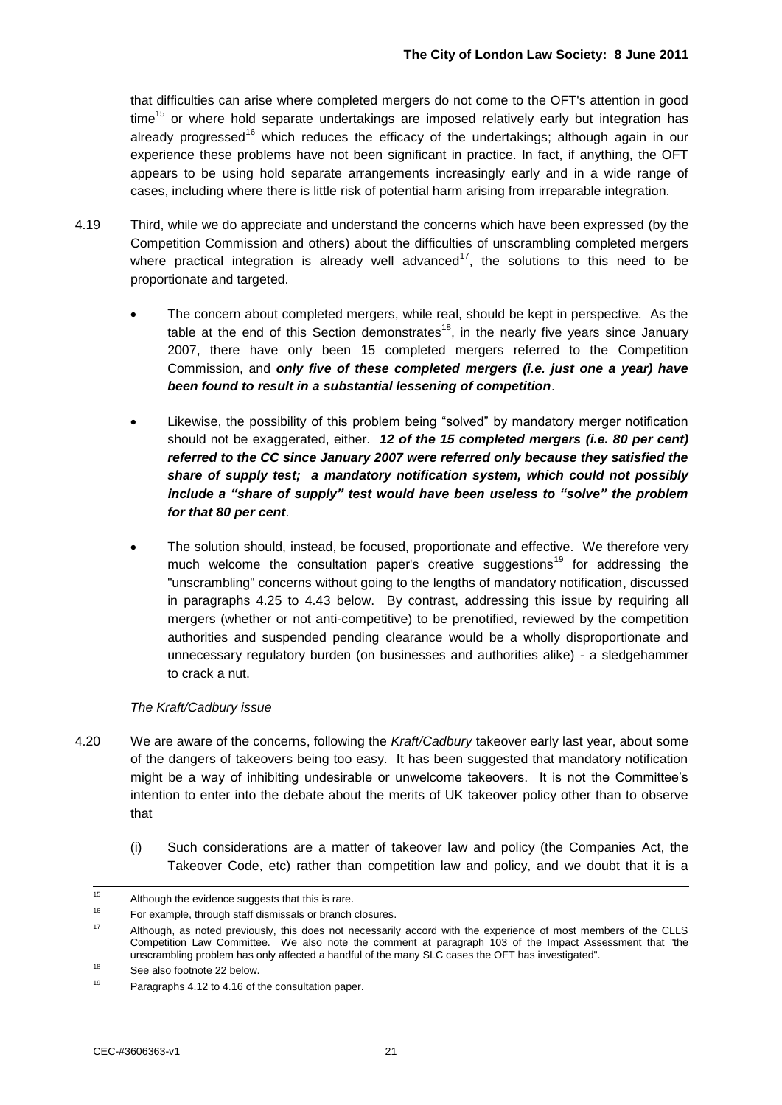that difficulties can arise where completed mergers do not come to the OFT's attention in good  $time<sup>15</sup>$  or where hold separate undertakings are imposed relatively early but integration has already progressed<sup>16</sup> which reduces the efficacy of the undertakings; although again in our experience these problems have not been significant in practice. In fact, if anything, the OFT appears to be using hold separate arrangements increasingly early and in a wide range of cases, including where there is little risk of potential harm arising from irreparable integration.

- 4.19 Third, while we do appreciate and understand the concerns which have been expressed (by the Competition Commission and others) about the difficulties of unscrambling completed mergers where practical integration is already well advanced<sup>17</sup>, the solutions to this need to be proportionate and targeted.
	- The concern about completed mergers, while real, should be kept in perspective. As the table at the end of this Section demonstrates<sup>18</sup>, in the nearly five years since January 2007, there have only been 15 completed mergers referred to the Competition Commission, and *only five of these completed mergers (i.e. just one a year) have been found to result in a substantial lessening of competition*.
	- Likewise, the possibility of this problem being "solved" by mandatory merger notification should not be exaggerated, either. *12 of the 15 completed mergers (i.e. 80 per cent) referred to the CC since January 2007 were referred only because they satisfied the share of supply test; a mandatory notification system, which could not possibly include a "share of supply" test would have been useless to "solve" the problem for that 80 per cent*.
	- The solution should, instead, be focused, proportionate and effective. We therefore very much welcome the consultation paper's creative suggestions<sup>19</sup> for addressing the "unscrambling" concerns without going to the lengths of mandatory notification, discussed in paragraphs 4.25 to 4.43 below. By contrast, addressing this issue by requiring all mergers (whether or not anti-competitive) to be prenotified, reviewed by the competition authorities and suspended pending clearance would be a wholly disproportionate and unnecessary regulatory burden (on businesses and authorities alike) - a sledgehammer to crack a nut.

#### *The Kraft/Cadbury issue*

- 4.20 We are aware of the concerns, following the *Kraft/Cadbury* takeover early last year, about some of the dangers of takeovers being too easy. It has been suggested that mandatory notification might be a way of inhibiting undesirable or unwelcome takeovers. It is not the Committee"s intention to enter into the debate about the merits of UK takeover policy other than to observe that
	- (i) Such considerations are a matter of takeover law and policy (the Companies Act, the Takeover Code, etc) rather than competition law and policy, and we doubt that it is a

 $15$ <sup>15</sup> Although the evidence suggests that this is rare.

<sup>16</sup> For example, through staff dismissals or branch closures.

<sup>&</sup>lt;sup>17</sup> Although, as noted previously, this does not necessarily accord with the experience of most members of the CLLS Competition Law Committee. We also note the comment at paragraph 103 of the Impact Assessment that "the unscrambling problem has only affected a handful of the many SLC cases the OFT has investigated".

<sup>&</sup>lt;sup>18</sup> See also footnote 22 below.

Paragraphs 4.12 to 4.16 of the consultation paper.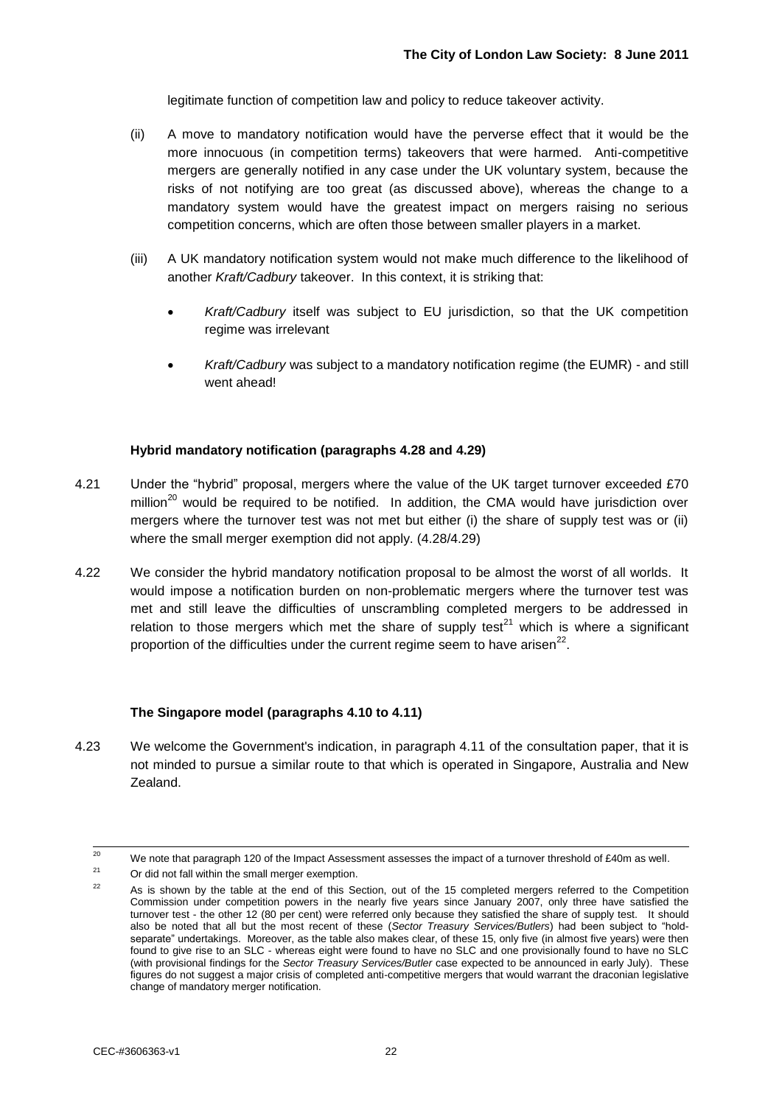legitimate function of competition law and policy to reduce takeover activity.

- (ii) A move to mandatory notification would have the perverse effect that it would be the more innocuous (in competition terms) takeovers that were harmed. Anti-competitive mergers are generally notified in any case under the UK voluntary system, because the risks of not notifying are too great (as discussed above), whereas the change to a mandatory system would have the greatest impact on mergers raising no serious competition concerns, which are often those between smaller players in a market.
- (iii) A UK mandatory notification system would not make much difference to the likelihood of another *Kraft/Cadbury* takeover. In this context, it is striking that:
	- *Kraft/Cadbury* itself was subject to EU jurisdiction, so that the UK competition regime was irrelevant
	- *Kraft/Cadbury* was subject to a mandatory notification regime (the EUMR) and still went ahead!

#### **Hybrid mandatory notification (paragraphs 4.28 and 4.29)**

- 4.21 Under the "hybrid" proposal, mergers where the value of the UK target turnover exceeded £70 million<sup>20</sup> would be required to be notified. In addition, the CMA would have jurisdiction over mergers where the turnover test was not met but either (i) the share of supply test was or (ii) where the small merger exemption did not apply. (4.28/4.29)
- 4.22 We consider the hybrid mandatory notification proposal to be almost the worst of all worlds. It would impose a notification burden on non-problematic mergers where the turnover test was met and still leave the difficulties of unscrambling completed mergers to be addressed in relation to those mergers which met the share of supply test<sup>21</sup> which is where a significant proportion of the difficulties under the current regime seem to have arisen<sup>22</sup>.

#### **The Singapore model (paragraphs 4.10 to 4.11)**

4.23 We welcome the Government's indication, in paragraph 4.11 of the consultation paper, that it is not minded to pursue a similar route to that which is operated in Singapore, Australia and New Zealand.

<sup>20</sup> <sup>20</sup> We note that paragraph 120 of the Impact Assessment assesses the impact of a turnover threshold of £40m as well.<br><sup>21</sup> a contribution in the state of the state of the state of the state of the state of the state of th

Or did not fall within the small merger exemption.

<sup>&</sup>lt;sup>22</sup> As is shown by the table at the end of this Section, out of the 15 completed mergers referred to the Competition Commission under competition powers in the nearly five years since January 2007, only three have satisfied the turnover test - the other 12 (80 per cent) were referred only because they satisfied the share of supply test. It should also be noted that all but the most recent of these (*Sector Treasury Services/Butlers*) had been subject to "holdseparate" undertakings. Moreover, as the table also makes clear, of these 15, only five (in almost five years) were then found to give rise to an SLC - whereas eight were found to have no SLC and one provisionally found to have no SLC (with provisional findings for the *Sector Treasury Services/Butler* case expected to be announced in early July). These figures do not suggest a major crisis of completed anti-competitive mergers that would warrant the draconian legislative change of mandatory merger notification.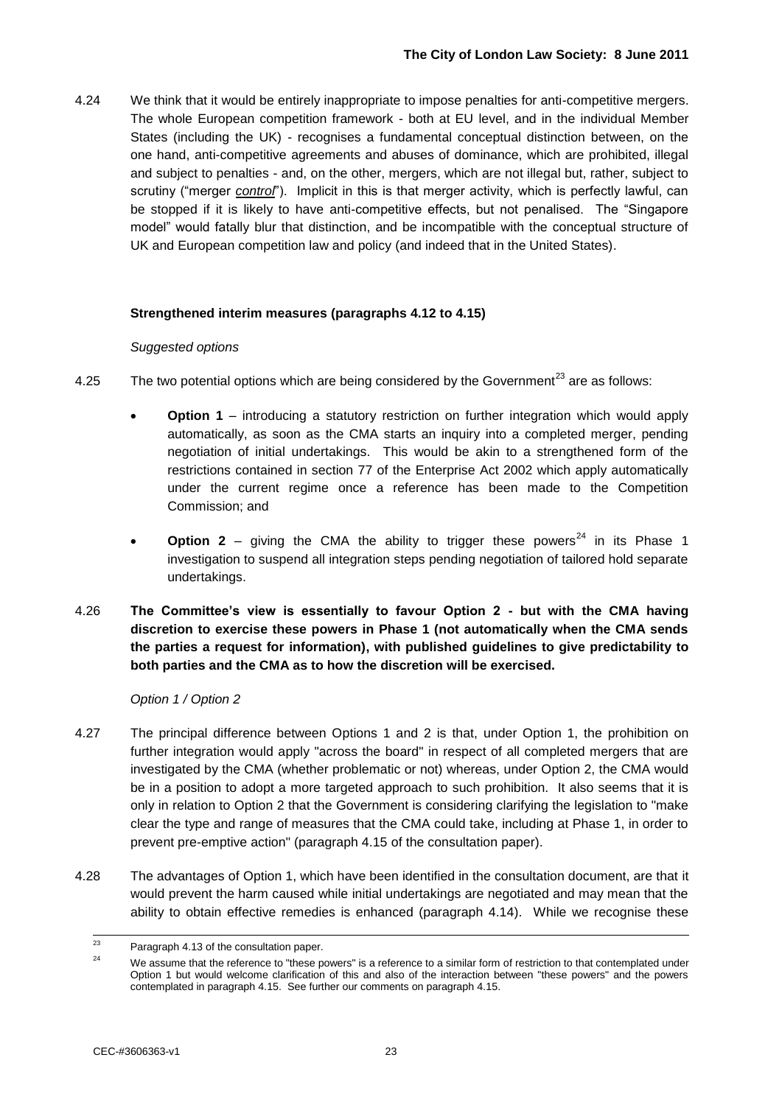4.24 We think that it would be entirely inappropriate to impose penalties for anti-competitive mergers. The whole European competition framework - both at EU level, and in the individual Member States (including the UK) - recognises a fundamental conceptual distinction between, on the one hand, anti-competitive agreements and abuses of dominance, which are prohibited, illegal and subject to penalties - and, on the other, mergers, which are not illegal but, rather, subject to scrutiny ("merger *control*"). Implicit in this is that merger activity, which is perfectly lawful, can be stopped if it is likely to have anti-competitive effects, but not penalised. The "Singapore model" would fatally blur that distinction, and be incompatible with the conceptual structure of UK and European competition law and policy (and indeed that in the United States).

#### **Strengthened interim measures (paragraphs 4.12 to 4.15)**

#### *Suggested options*

- 4.25 The two potential options which are being considered by the Government<sup>23</sup> are as follows:
	- **Option 1** introducing a statutory restriction on further integration which would apply automatically, as soon as the CMA starts an inquiry into a completed merger, pending negotiation of initial undertakings. This would be akin to a strengthened form of the restrictions contained in section 77 of the Enterprise Act 2002 which apply automatically under the current regime once a reference has been made to the Competition Commission; and
	- **Option 2** giving the CMA the ability to trigger these powers<sup>24</sup> in its Phase 1 investigation to suspend all integration steps pending negotiation of tailored hold separate undertakings.
- 4.26 **The Committee's view is essentially to favour Option 2 - but with the CMA having discretion to exercise these powers in Phase 1 (not automatically when the CMA sends the parties a request for information), with published guidelines to give predictability to both parties and the CMA as to how the discretion will be exercised.**

#### *Option 1 / Option 2*

- 4.27 The principal difference between Options 1 and 2 is that, under Option 1, the prohibition on further integration would apply "across the board" in respect of all completed mergers that are investigated by the CMA (whether problematic or not) whereas, under Option 2, the CMA would be in a position to adopt a more targeted approach to such prohibition. It also seems that it is only in relation to Option 2 that the Government is considering clarifying the legislation to "make clear the type and range of measures that the CMA could take, including at Phase 1, in order to prevent pre-emptive action" (paragraph 4.15 of the consultation paper).
- 4.28 The advantages of Option 1, which have been identified in the consultation document, are that it would prevent the harm caused while initial undertakings are negotiated and may mean that the ability to obtain effective remedies is enhanced (paragraph 4.14). While we recognise these

<sup>23</sup> Paragraph 4.13 of the consultation paper.

<sup>&</sup>lt;sup>24</sup> We assume that the reference to "these powers" is a reference to a similar form of restriction to that contemplated under Option 1 but would welcome clarification of this and also of the interaction between "these powers" and the powers contemplated in paragraph 4.15. See further our comments on paragraph 4.15.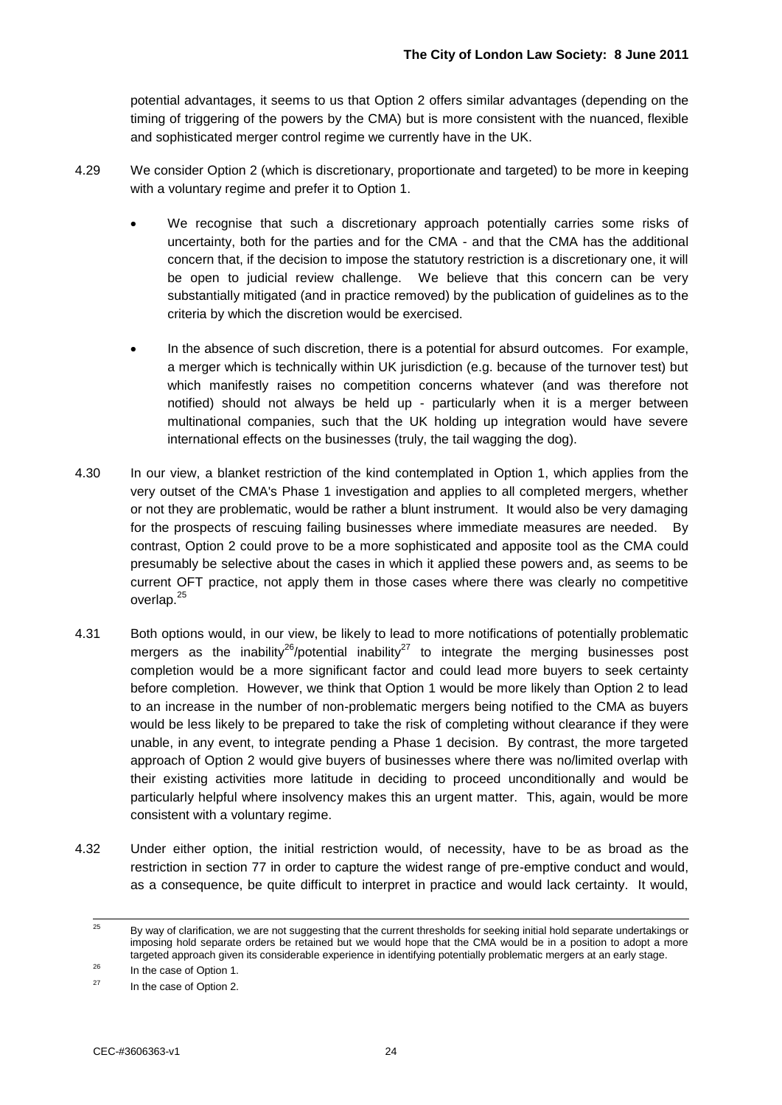potential advantages, it seems to us that Option 2 offers similar advantages (depending on the timing of triggering of the powers by the CMA) but is more consistent with the nuanced, flexible and sophisticated merger control regime we currently have in the UK.

- 4.29 We consider Option 2 (which is discretionary, proportionate and targeted) to be more in keeping with a voluntary regime and prefer it to Option 1.
	- We recognise that such a discretionary approach potentially carries some risks of uncertainty, both for the parties and for the CMA - and that the CMA has the additional concern that, if the decision to impose the statutory restriction is a discretionary one, it will be open to judicial review challenge. We believe that this concern can be very substantially mitigated (and in practice removed) by the publication of guidelines as to the criteria by which the discretion would be exercised.
	- In the absence of such discretion, there is a potential for absurd outcomes. For example, a merger which is technically within UK jurisdiction (e.g. because of the turnover test) but which manifestly raises no competition concerns whatever (and was therefore not notified) should not always be held up - particularly when it is a merger between multinational companies, such that the UK holding up integration would have severe international effects on the businesses (truly, the tail wagging the dog).
- 4.30 In our view, a blanket restriction of the kind contemplated in Option 1, which applies from the very outset of the CMA's Phase 1 investigation and applies to all completed mergers, whether or not they are problematic, would be rather a blunt instrument. It would also be very damaging for the prospects of rescuing failing businesses where immediate measures are needed. By contrast, Option 2 could prove to be a more sophisticated and apposite tool as the CMA could presumably be selective about the cases in which it applied these powers and, as seems to be current OFT practice, not apply them in those cases where there was clearly no competitive overlap.<sup>25</sup>
- 4.31 Both options would, in our view, be likely to lead to more notifications of potentially problematic mergers as the inability<sup>26</sup>/potential inability<sup>27</sup> to integrate the merging businesses post completion would be a more significant factor and could lead more buyers to seek certainty before completion. However, we think that Option 1 would be more likely than Option 2 to lead to an increase in the number of non-problematic mergers being notified to the CMA as buyers would be less likely to be prepared to take the risk of completing without clearance if they were unable, in any event, to integrate pending a Phase 1 decision. By contrast, the more targeted approach of Option 2 would give buyers of businesses where there was no/limited overlap with their existing activities more latitude in deciding to proceed unconditionally and would be particularly helpful where insolvency makes this an urgent matter. This, again, would be more consistent with a voluntary regime.
- 4.32 Under either option, the initial restriction would, of necessity, have to be as broad as the restriction in section 77 in order to capture the widest range of pre-emptive conduct and would, as a consequence, be quite difficult to interpret in practice and would lack certainty. It would,

 $\frac{1}{25}$ <sup>25</sup> By way of clarification, we are not suggesting that the current thresholds for seeking initial hold separate undertakings or imposing hold separate orders be retained but we would hope that the CMA would be in a position to adopt a more targeted approach given its considerable experience in identifying potentially problematic mergers at an early stage.

 $^{26}$  In the case of Option 1.

In the case of Option 2.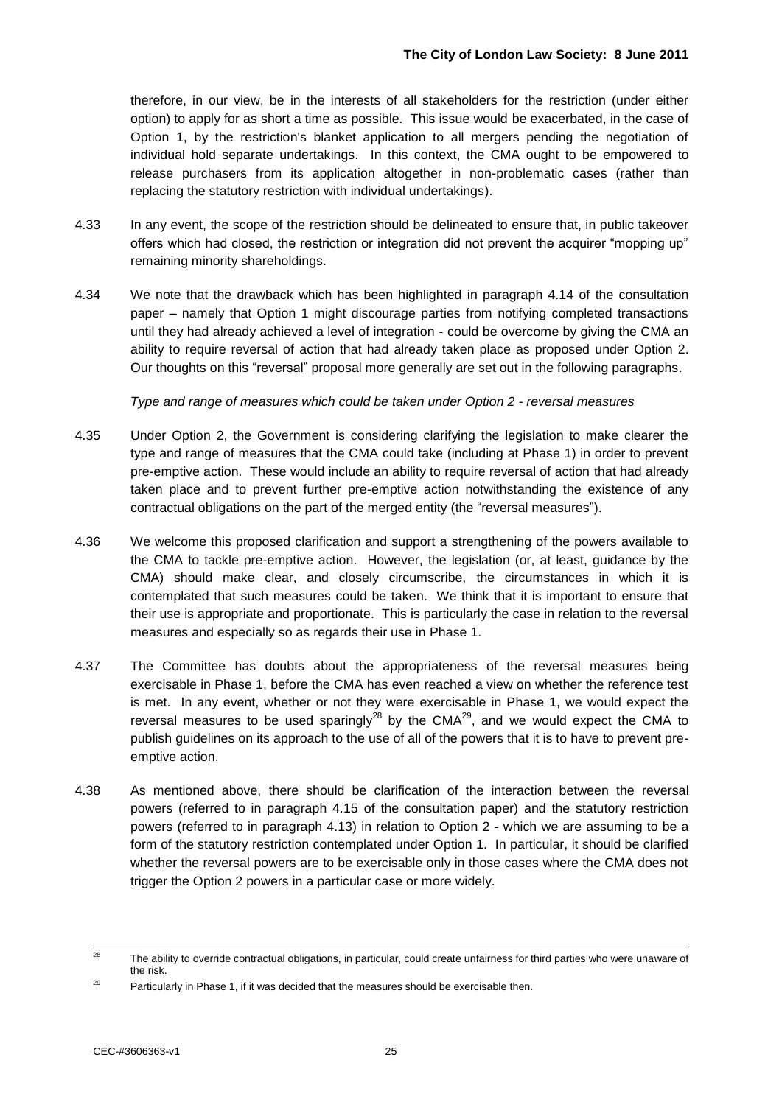therefore, in our view, be in the interests of all stakeholders for the restriction (under either option) to apply for as short a time as possible. This issue would be exacerbated, in the case of Option 1, by the restriction's blanket application to all mergers pending the negotiation of individual hold separate undertakings. In this context, the CMA ought to be empowered to release purchasers from its application altogether in non-problematic cases (rather than replacing the statutory restriction with individual undertakings).

- 4.33 In any event, the scope of the restriction should be delineated to ensure that, in public takeover offers which had closed, the restriction or integration did not prevent the acquirer "mopping up" remaining minority shareholdings.
- 4.34 We note that the drawback which has been highlighted in paragraph 4.14 of the consultation paper – namely that Option 1 might discourage parties from notifying completed transactions until they had already achieved a level of integration - could be overcome by giving the CMA an ability to require reversal of action that had already taken place as proposed under Option 2. Our thoughts on this "reversal" proposal more generally are set out in the following paragraphs.

*Type and range of measures which could be taken under Option 2 - reversal measures*

- 4.35 Under Option 2, the Government is considering clarifying the legislation to make clearer the type and range of measures that the CMA could take (including at Phase 1) in order to prevent pre-emptive action. These would include an ability to require reversal of action that had already taken place and to prevent further pre-emptive action notwithstanding the existence of any contractual obligations on the part of the merged entity (the "reversal measures").
- 4.36 We welcome this proposed clarification and support a strengthening of the powers available to the CMA to tackle pre-emptive action. However, the legislation (or, at least, guidance by the CMA) should make clear, and closely circumscribe, the circumstances in which it is contemplated that such measures could be taken. We think that it is important to ensure that their use is appropriate and proportionate. This is particularly the case in relation to the reversal measures and especially so as regards their use in Phase 1.
- 4.37 The Committee has doubts about the appropriateness of the reversal measures being exercisable in Phase 1, before the CMA has even reached a view on whether the reference test is met. In any event, whether or not they were exercisable in Phase 1, we would expect the reversal measures to be used sparingly<sup>28</sup> by the CMA<sup>29</sup>, and we would expect the CMA to publish guidelines on its approach to the use of all of the powers that it is to have to prevent preemptive action.
- 4.38 As mentioned above, there should be clarification of the interaction between the reversal powers (referred to in paragraph 4.15 of the consultation paper) and the statutory restriction powers (referred to in paragraph 4.13) in relation to Option 2 - which we are assuming to be a form of the statutory restriction contemplated under Option 1. In particular, it should be clarified whether the reversal powers are to be exercisable only in those cases where the CMA does not trigger the Option 2 powers in a particular case or more widely.

 $\overline{28}$ The ability to override contractual obligations, in particular, could create unfairness for third parties who were unaware of the risk.

<sup>&</sup>lt;sup>29</sup> Particularly in Phase 1, if it was decided that the measures should be exercisable then.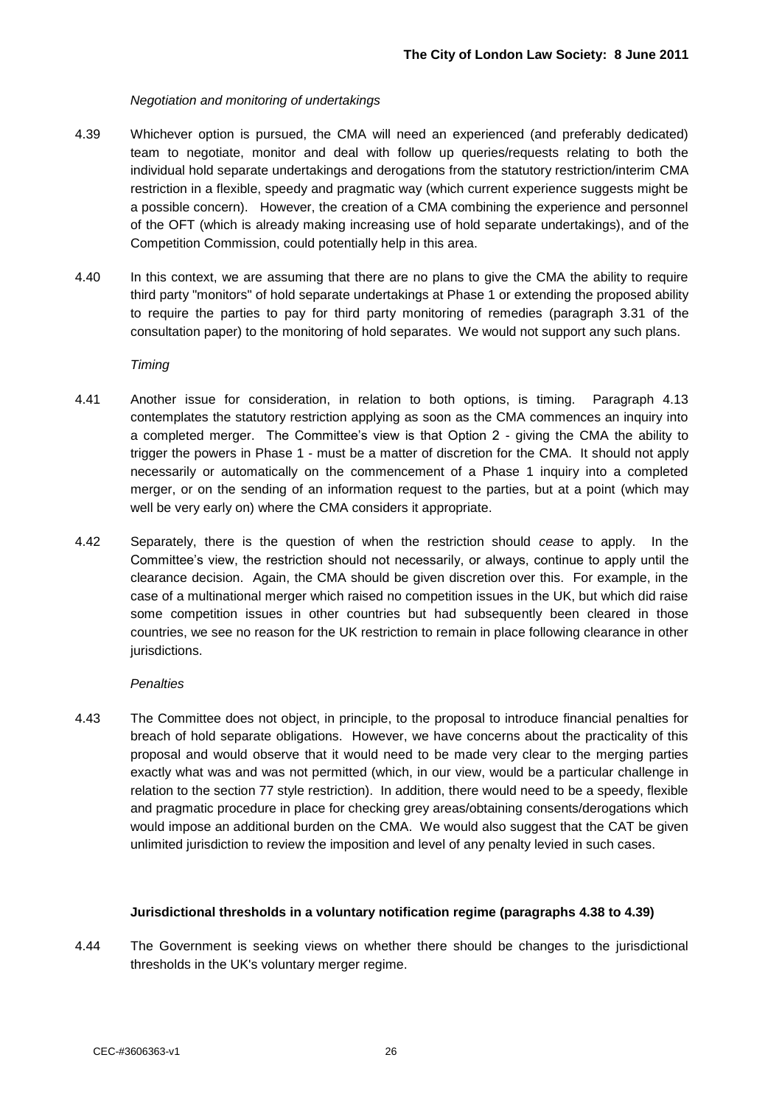#### *Negotiation and monitoring of undertakings*

- 4.39 Whichever option is pursued, the CMA will need an experienced (and preferably dedicated) team to negotiate, monitor and deal with follow up queries/requests relating to both the individual hold separate undertakings and derogations from the statutory restriction/interim CMA restriction in a flexible, speedy and pragmatic way (which current experience suggests might be a possible concern). However, the creation of a CMA combining the experience and personnel of the OFT (which is already making increasing use of hold separate undertakings), and of the Competition Commission, could potentially help in this area.
- 4.40 In this context, we are assuming that there are no plans to give the CMA the ability to require third party "monitors" of hold separate undertakings at Phase 1 or extending the proposed ability to require the parties to pay for third party monitoring of remedies (paragraph 3.31 of the consultation paper) to the monitoring of hold separates. We would not support any such plans.

#### *Timing*

- 4.41 Another issue for consideration, in relation to both options, is timing. Paragraph 4.13 contemplates the statutory restriction applying as soon as the CMA commences an inquiry into a completed merger. The Committee's view is that Option 2 - giving the CMA the ability to trigger the powers in Phase 1 - must be a matter of discretion for the CMA. It should not apply necessarily or automatically on the commencement of a Phase 1 inquiry into a completed merger, or on the sending of an information request to the parties, but at a point (which may well be very early on) where the CMA considers it appropriate.
- 4.42 Separately, there is the question of when the restriction should *cease* to apply. In the Committee"s view, the restriction should not necessarily, or always, continue to apply until the clearance decision. Again, the CMA should be given discretion over this. For example, in the case of a multinational merger which raised no competition issues in the UK, but which did raise some competition issues in other countries but had subsequently been cleared in those countries, we see no reason for the UK restriction to remain in place following clearance in other jurisdictions.

#### *Penalties*

4.43 The Committee does not object, in principle, to the proposal to introduce financial penalties for breach of hold separate obligations. However, we have concerns about the practicality of this proposal and would observe that it would need to be made very clear to the merging parties exactly what was and was not permitted (which, in our view, would be a particular challenge in relation to the section 77 style restriction). In addition, there would need to be a speedy, flexible and pragmatic procedure in place for checking grey areas/obtaining consents/derogations which would impose an additional burden on the CMA. We would also suggest that the CAT be given unlimited jurisdiction to review the imposition and level of any penalty levied in such cases.

#### **Jurisdictional thresholds in a voluntary notification regime (paragraphs 4.38 to 4.39)**

4.44 The Government is seeking views on whether there should be changes to the jurisdictional thresholds in the UK's voluntary merger regime.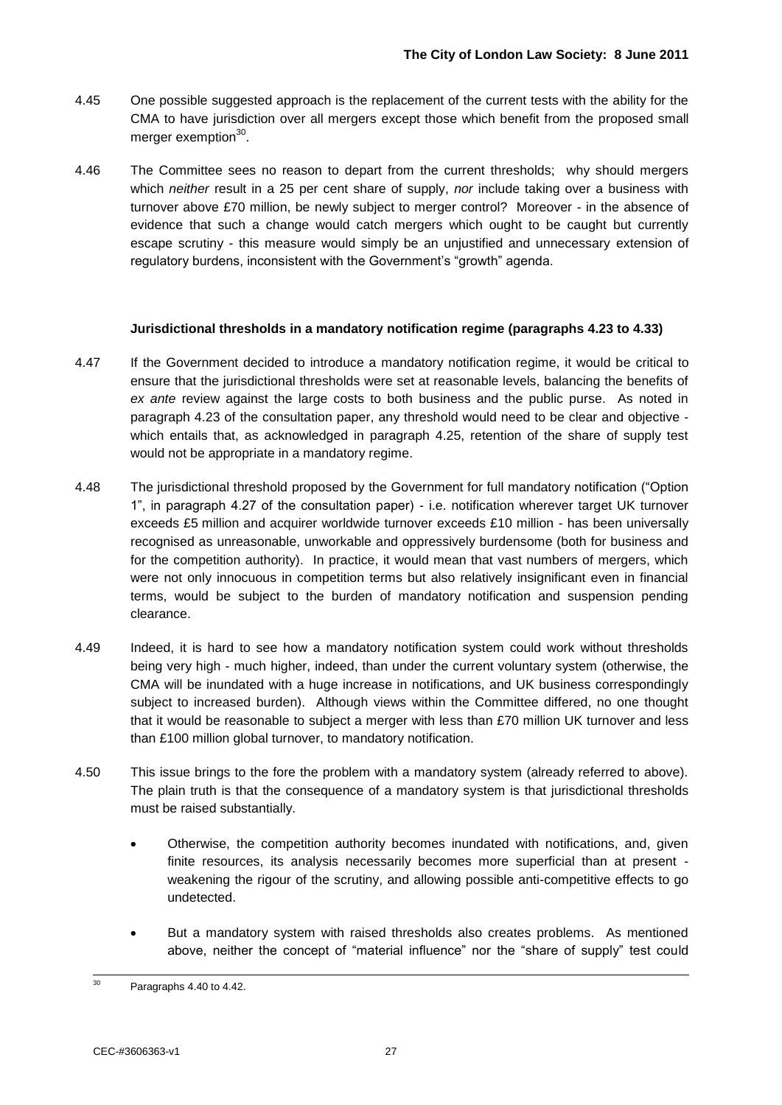- 4.45 One possible suggested approach is the replacement of the current tests with the ability for the CMA to have jurisdiction over all mergers except those which benefit from the proposed small merger exemption<sup>30</sup>.
- 4.46 The Committee sees no reason to depart from the current thresholds; why should mergers which *neither* result in a 25 per cent share of supply, *nor* include taking over a business with turnover above £70 million, be newly subject to merger control? Moreover - in the absence of evidence that such a change would catch mergers which ought to be caught but currently escape scrutiny - this measure would simply be an unjustified and unnecessary extension of regulatory burdens, inconsistent with the Government"s "growth" agenda.

#### **Jurisdictional thresholds in a mandatory notification regime (paragraphs 4.23 to 4.33)**

- 4.47 If the Government decided to introduce a mandatory notification regime, it would be critical to ensure that the jurisdictional thresholds were set at reasonable levels, balancing the benefits of *ex ante* review against the large costs to both business and the public purse. As noted in paragraph 4.23 of the consultation paper, any threshold would need to be clear and objective which entails that, as acknowledged in paragraph 4.25, retention of the share of supply test would not be appropriate in a mandatory regime.
- 4.48 The jurisdictional threshold proposed by the Government for full mandatory notification ("Option 1", in paragraph 4.27 of the consultation paper) - i.e. notification wherever target UK turnover exceeds £5 million and acquirer worldwide turnover exceeds £10 million - has been universally recognised as unreasonable, unworkable and oppressively burdensome (both for business and for the competition authority). In practice, it would mean that vast numbers of mergers, which were not only innocuous in competition terms but also relatively insignificant even in financial terms, would be subject to the burden of mandatory notification and suspension pending clearance.
- 4.49 Indeed, it is hard to see how a mandatory notification system could work without thresholds being very high - much higher, indeed, than under the current voluntary system (otherwise, the CMA will be inundated with a huge increase in notifications, and UK business correspondingly subject to increased burden). Although views within the Committee differed, no one thought that it would be reasonable to subject a merger with less than £70 million UK turnover and less than £100 million global turnover, to mandatory notification.
- 4.50 This issue brings to the fore the problem with a mandatory system (already referred to above). The plain truth is that the consequence of a mandatory system is that jurisdictional thresholds must be raised substantially.
	- Otherwise, the competition authority becomes inundated with notifications, and, given finite resources, its analysis necessarily becomes more superficial than at present weakening the rigour of the scrutiny, and allowing possible anti-competitive effects to go undetected.
	- But a mandatory system with raised thresholds also creates problems. As mentioned above, neither the concept of "material influence" nor the "share of supply" test could

 $30^{\circ}$ Paragraphs 4.40 to 4.42.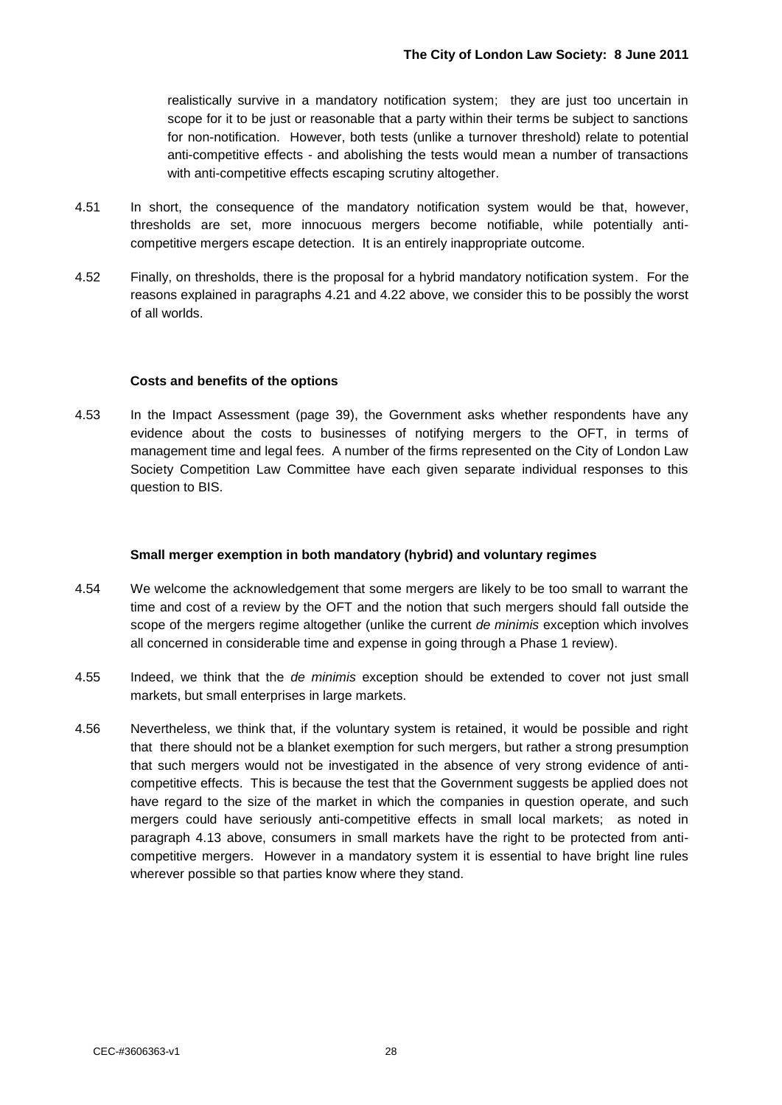realistically survive in a mandatory notification system; they are just too uncertain in scope for it to be just or reasonable that a party within their terms be subject to sanctions for non-notification. However, both tests (unlike a turnover threshold) relate to potential anti-competitive effects - and abolishing the tests would mean a number of transactions with anti-competitive effects escaping scrutiny altogether.

- 4.51 In short, the consequence of the mandatory notification system would be that, however, thresholds are set, more innocuous mergers become notifiable, while potentially anticompetitive mergers escape detection. It is an entirely inappropriate outcome.
- 4.52 Finally, on thresholds, there is the proposal for a hybrid mandatory notification system. For the reasons explained in paragraphs 4.21 and 4.22 above, we consider this to be possibly the worst of all worlds.

#### **Costs and benefits of the options**

4.53 In the Impact Assessment (page 39), the Government asks whether respondents have any evidence about the costs to businesses of notifying mergers to the OFT, in terms of management time and legal fees. A number of the firms represented on the City of London Law Society Competition Law Committee have each given separate individual responses to this question to BIS.

#### **Small merger exemption in both mandatory (hybrid) and voluntary regimes**

- 4.54 We welcome the acknowledgement that some mergers are likely to be too small to warrant the time and cost of a review by the OFT and the notion that such mergers should fall outside the scope of the mergers regime altogether (unlike the current *de minimis* exception which involves all concerned in considerable time and expense in going through a Phase 1 review).
- 4.55 Indeed, we think that the *de minimis* exception should be extended to cover not just small markets, but small enterprises in large markets.
- 4.56 Nevertheless, we think that, if the voluntary system is retained, it would be possible and right that there should not be a blanket exemption for such mergers, but rather a strong presumption that such mergers would not be investigated in the absence of very strong evidence of anticompetitive effects. This is because the test that the Government suggests be applied does not have regard to the size of the market in which the companies in question operate, and such mergers could have seriously anti-competitive effects in small local markets; as noted in paragraph 4.13 above, consumers in small markets have the right to be protected from anticompetitive mergers. However in a mandatory system it is essential to have bright line rules wherever possible so that parties know where they stand.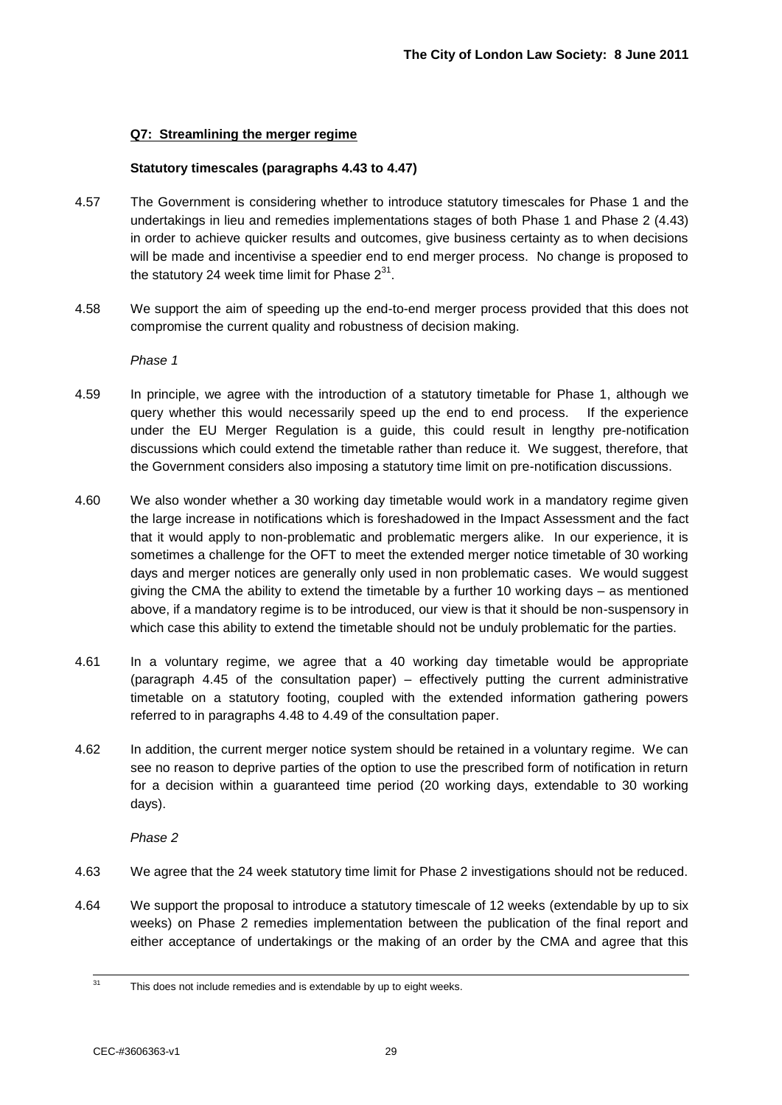#### **Q7: Streamlining the merger regime**

#### **Statutory timescales (paragraphs 4.43 to 4.47)**

- 4.57 The Government is considering whether to introduce statutory timescales for Phase 1 and the undertakings in lieu and remedies implementations stages of both Phase 1 and Phase 2 (4.43) in order to achieve quicker results and outcomes, give business certainty as to when decisions will be made and incentivise a speedier end to end merger process. No change is proposed to the statutory 24 week time limit for Phase  $2^{31}$ .
- 4.58 We support the aim of speeding up the end-to-end merger process provided that this does not compromise the current quality and robustness of decision making.

*Phase 1*

- 4.59 In principle, we agree with the introduction of a statutory timetable for Phase 1, although we query whether this would necessarily speed up the end to end process. If the experience under the EU Merger Regulation is a guide, this could result in lengthy pre-notification discussions which could extend the timetable rather than reduce it. We suggest, therefore, that the Government considers also imposing a statutory time limit on pre-notification discussions.
- 4.60 We also wonder whether a 30 working day timetable would work in a mandatory regime given the large increase in notifications which is foreshadowed in the Impact Assessment and the fact that it would apply to non-problematic and problematic mergers alike. In our experience, it is sometimes a challenge for the OFT to meet the extended merger notice timetable of 30 working days and merger notices are generally only used in non problematic cases. We would suggest giving the CMA the ability to extend the timetable by a further 10 working days – as mentioned above, if a mandatory regime is to be introduced, our view is that it should be non-suspensory in which case this ability to extend the timetable should not be unduly problematic for the parties.
- 4.61 In a voluntary regime, we agree that a 40 working day timetable would be appropriate (paragraph 4.45 of the consultation paper) – effectively putting the current administrative timetable on a statutory footing, coupled with the extended information gathering powers referred to in paragraphs 4.48 to 4.49 of the consultation paper.
- 4.62 In addition, the current merger notice system should be retained in a voluntary regime. We can see no reason to deprive parties of the option to use the prescribed form of notification in return for a decision within a guaranteed time period (20 working days, extendable to 30 working days).

*Phase 2*

- 4.63 We agree that the 24 week statutory time limit for Phase 2 investigations should not be reduced.
- 4.64 We support the proposal to introduce a statutory timescale of 12 weeks (extendable by up to six weeks) on Phase 2 remedies implementation between the publication of the final report and either acceptance of undertakings or the making of an order by the CMA and agree that this

 $31$ This does not include remedies and is extendable by up to eight weeks.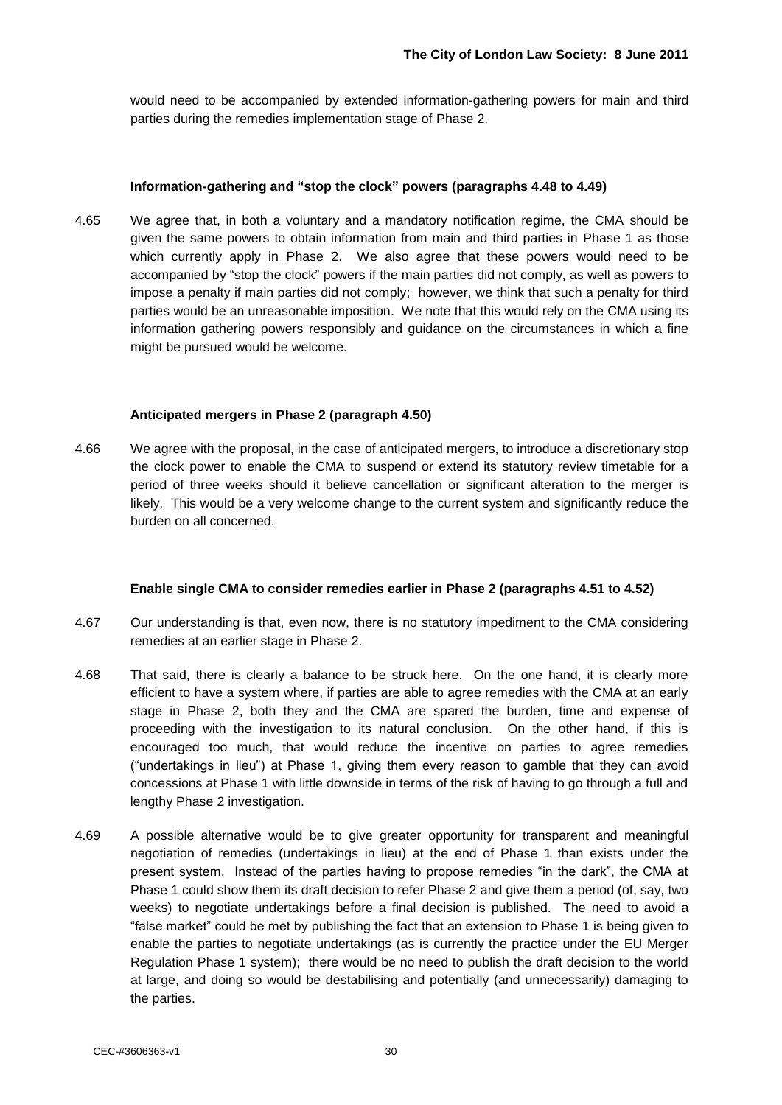would need to be accompanied by extended information-gathering powers for main and third parties during the remedies implementation stage of Phase 2.

#### **Information-gathering and "stop the clock" powers (paragraphs 4.48 to 4.49)**

4.65 We agree that, in both a voluntary and a mandatory notification regime, the CMA should be given the same powers to obtain information from main and third parties in Phase 1 as those which currently apply in Phase 2. We also agree that these powers would need to be accompanied by "stop the clock" powers if the main parties did not comply, as well as powers to impose a penalty if main parties did not comply; however, we think that such a penalty for third parties would be an unreasonable imposition. We note that this would rely on the CMA using its information gathering powers responsibly and guidance on the circumstances in which a fine might be pursued would be welcome.

#### **Anticipated mergers in Phase 2 (paragraph 4.50)**

4.66 We agree with the proposal, in the case of anticipated mergers, to introduce a discretionary stop the clock power to enable the CMA to suspend or extend its statutory review timetable for a period of three weeks should it believe cancellation or significant alteration to the merger is likely. This would be a very welcome change to the current system and significantly reduce the burden on all concerned.

#### **Enable single CMA to consider remedies earlier in Phase 2 (paragraphs 4.51 to 4.52)**

- 4.67 Our understanding is that, even now, there is no statutory impediment to the CMA considering remedies at an earlier stage in Phase 2.
- 4.68 That said, there is clearly a balance to be struck here. On the one hand, it is clearly more efficient to have a system where, if parties are able to agree remedies with the CMA at an early stage in Phase 2, both they and the CMA are spared the burden, time and expense of proceeding with the investigation to its natural conclusion. On the other hand, if this is encouraged too much, that would reduce the incentive on parties to agree remedies ("undertakings in lieu") at Phase 1, giving them every reason to gamble that they can avoid concessions at Phase 1 with little downside in terms of the risk of having to go through a full and lengthy Phase 2 investigation.
- 4.69 A possible alternative would be to give greater opportunity for transparent and meaningful negotiation of remedies (undertakings in lieu) at the end of Phase 1 than exists under the present system. Instead of the parties having to propose remedies "in the dark", the CMA at Phase 1 could show them its draft decision to refer Phase 2 and give them a period (of, say, two weeks) to negotiate undertakings before a final decision is published. The need to avoid a "false market" could be met by publishing the fact that an extension to Phase 1 is being given to enable the parties to negotiate undertakings (as is currently the practice under the EU Merger Regulation Phase 1 system); there would be no need to publish the draft decision to the world at large, and doing so would be destabilising and potentially (and unnecessarily) damaging to the parties.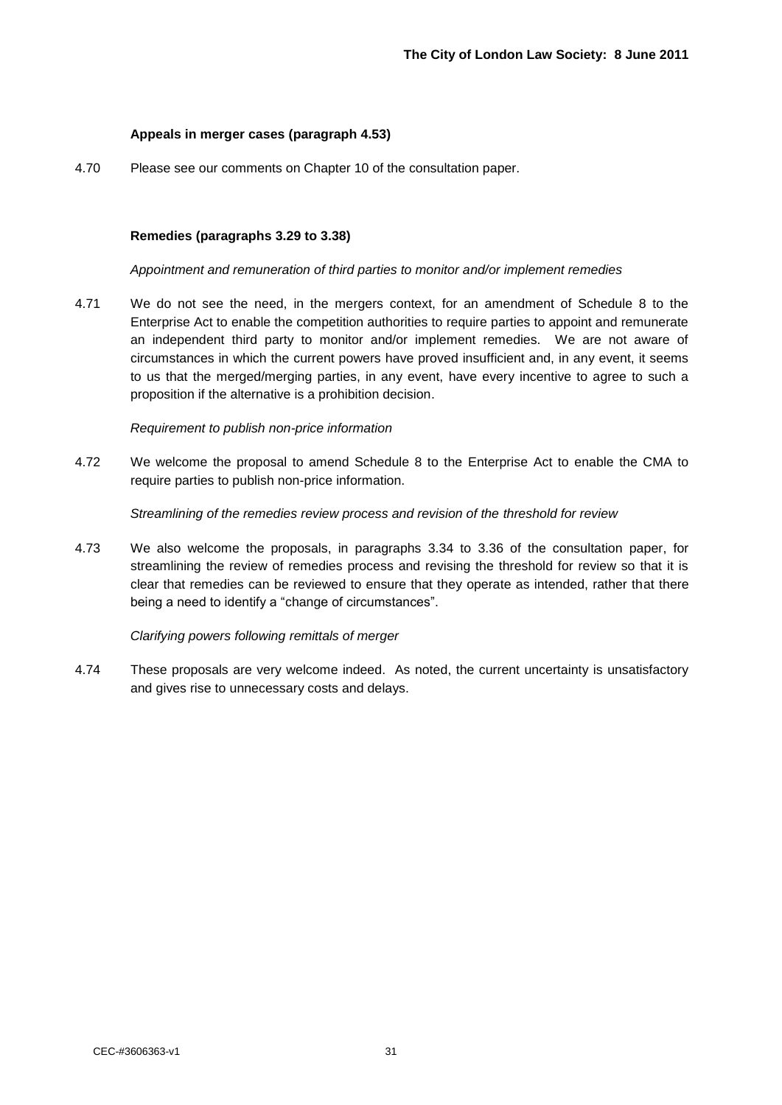#### **Appeals in merger cases (paragraph 4.53)**

4.70 Please see our comments on Chapter 10 of the consultation paper.

#### **Remedies (paragraphs 3.29 to 3.38)**

#### *Appointment and remuneration of third parties to monitor and/or implement remedies*

4.71 We do not see the need, in the mergers context, for an amendment of Schedule 8 to the Enterprise Act to enable the competition authorities to require parties to appoint and remunerate an independent third party to monitor and/or implement remedies. We are not aware of circumstances in which the current powers have proved insufficient and, in any event, it seems to us that the merged/merging parties, in any event, have every incentive to agree to such a proposition if the alternative is a prohibition decision.

#### *Requirement to publish non-price information*

4.72 We welcome the proposal to amend Schedule 8 to the Enterprise Act to enable the CMA to require parties to publish non-price information.

*Streamlining of the remedies review process and revision of the threshold for review*

4.73 We also welcome the proposals, in paragraphs 3.34 to 3.36 of the consultation paper, for streamlining the review of remedies process and revising the threshold for review so that it is clear that remedies can be reviewed to ensure that they operate as intended, rather that there being a need to identify a "change of circumstances".

#### *Clarifying powers following remittals of merger*

4.74 These proposals are very welcome indeed. As noted, the current uncertainty is unsatisfactory and gives rise to unnecessary costs and delays.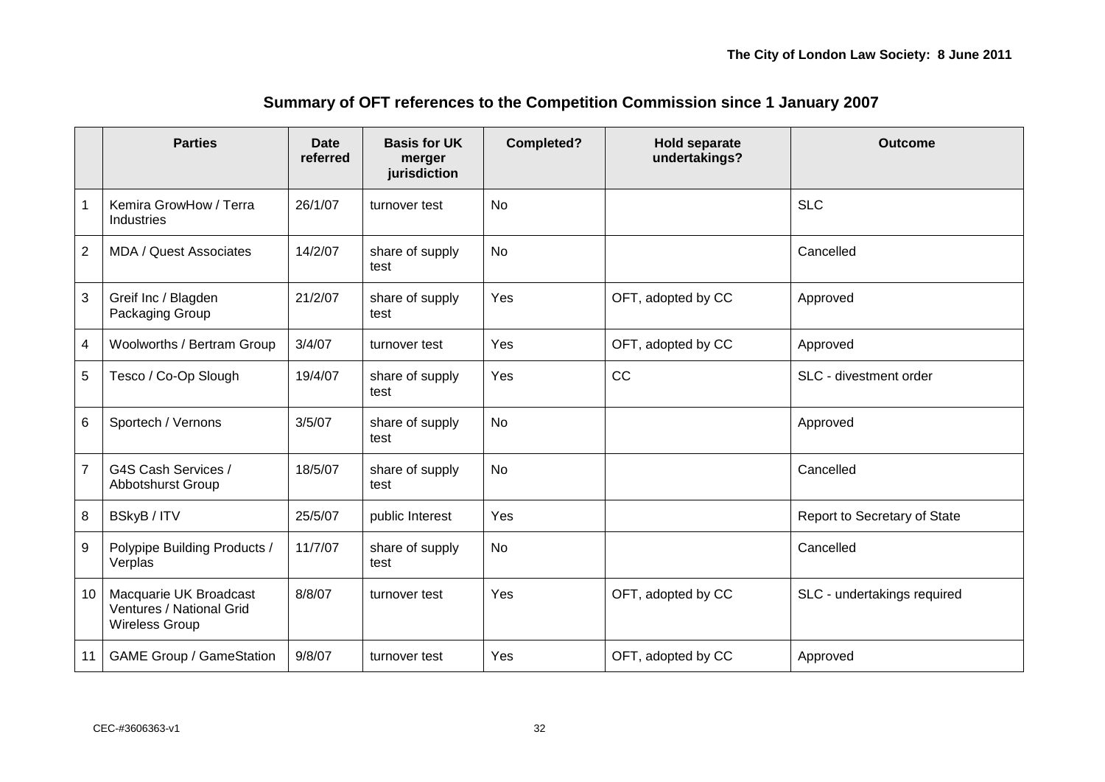|                | <b>Parties</b>                                                       | <b>Date</b><br>referred | <b>Basis for UK</b><br>merger<br>jurisdiction | <b>Completed?</b> | <b>Hold separate</b><br>undertakings? | <b>Outcome</b>               |
|----------------|----------------------------------------------------------------------|-------------------------|-----------------------------------------------|-------------------|---------------------------------------|------------------------------|
| -1             | Kemira GrowHow / Terra<br>Industries                                 | 26/1/07                 | turnover test                                 | <b>No</b>         |                                       | <b>SLC</b>                   |
| $\overline{2}$ | <b>MDA / Quest Associates</b>                                        | 14/2/07                 | share of supply<br>test                       | <b>No</b>         |                                       | Cancelled                    |
| 3              | Greif Inc / Blagden<br>Packaging Group                               | 21/2/07                 | share of supply<br>test                       | Yes               | OFT, adopted by CC                    | Approved                     |
| 4              | Woolworths / Bertram Group                                           | 3/4/07                  | turnover test                                 | Yes               | OFT, adopted by CC                    | Approved                     |
| 5              | Tesco / Co-Op Slough                                                 | 19/4/07                 | share of supply<br>test                       | Yes               | <b>CC</b>                             | SLC - divestment order       |
| 6              | Sportech / Vernons                                                   | 3/5/07                  | share of supply<br>test                       | <b>No</b>         |                                       | Approved                     |
| $\overline{7}$ | G4S Cash Services /<br>Abbotshurst Group                             | 18/5/07                 | share of supply<br>test                       | <b>No</b>         |                                       | Cancelled                    |
| 8              | BSkyB / ITV                                                          | 25/5/07                 | public Interest                               | Yes               |                                       | Report to Secretary of State |
| 9              | Polypipe Building Products /<br>Verplas                              | 11/7/07                 | share of supply<br>test                       | No                |                                       | Cancelled                    |
| 10             | Macquarie UK Broadcast<br>Ventures / National Grid<br>Wireless Group | 8/8/07                  | turnover test                                 | Yes               | OFT, adopted by CC                    | SLC - undertakings required  |
| 11             | <b>GAME Group / GameStation</b>                                      | 9/8/07                  | turnover test                                 | Yes               | OFT, adopted by CC                    | Approved                     |

## **Summary of OFT references to the Competition Commission since 1 January 2007**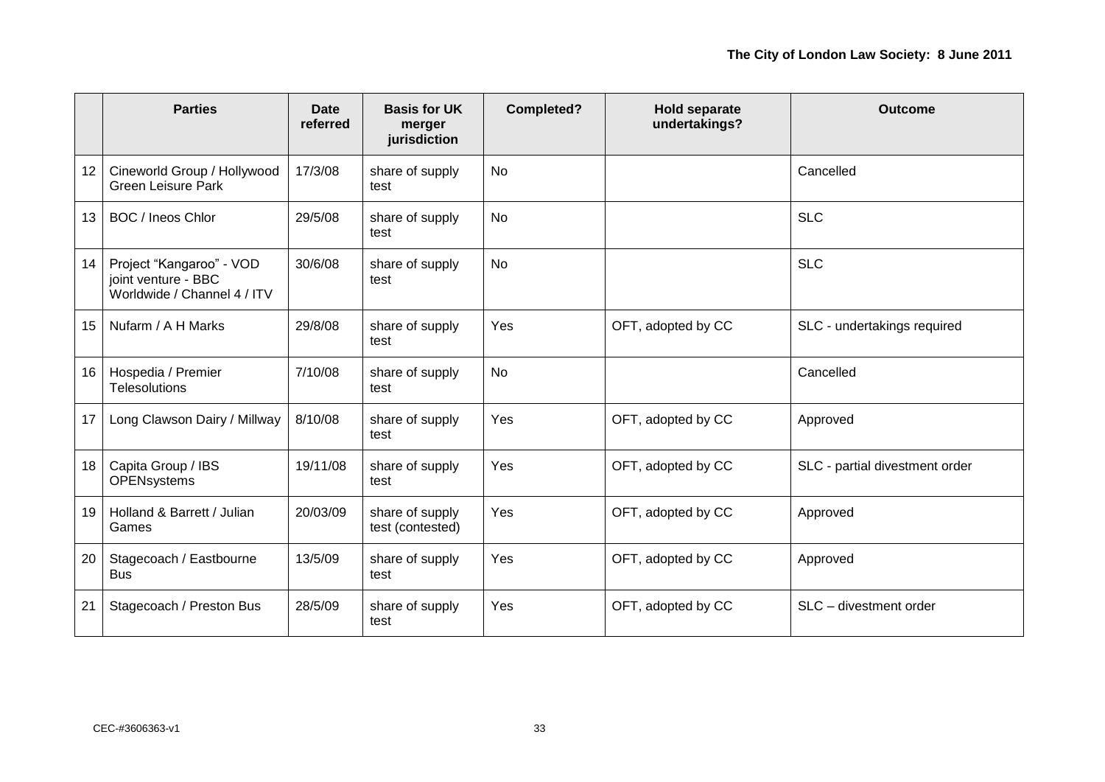|    | <b>Parties</b>                                                                 | <b>Date</b><br>referred | <b>Basis for UK</b><br>merger<br>jurisdiction | <b>Completed?</b> | <b>Hold separate</b><br>undertakings? | <b>Outcome</b>                 |
|----|--------------------------------------------------------------------------------|-------------------------|-----------------------------------------------|-------------------|---------------------------------------|--------------------------------|
| 12 | Cineworld Group / Hollywood<br><b>Green Leisure Park</b>                       | 17/3/08                 | share of supply<br>test                       | No                |                                       | Cancelled                      |
| 13 | BOC / Ineos Chlor                                                              | 29/5/08                 | share of supply<br>test                       | No                |                                       | <b>SLC</b>                     |
| 14 | Project "Kangaroo" - VOD<br>joint venture - BBC<br>Worldwide / Channel 4 / ITV | 30/6/08                 | share of supply<br>test                       | <b>No</b>         |                                       | <b>SLC</b>                     |
| 15 | Nufarm / A H Marks                                                             | 29/8/08                 | share of supply<br>test                       | Yes               | OFT, adopted by CC                    | SLC - undertakings required    |
| 16 | Hospedia / Premier<br><b>Telesolutions</b>                                     | 7/10/08                 | share of supply<br>test                       | No                |                                       | Cancelled                      |
| 17 | Long Clawson Dairy / Millway                                                   | 8/10/08                 | share of supply<br>test                       | Yes               | OFT, adopted by CC                    | Approved                       |
| 18 | Capita Group / IBS<br><b>OPENsystems</b>                                       | 19/11/08                | share of supply<br>test                       | Yes               | OFT, adopted by CC                    | SLC - partial divestment order |
| 19 | Holland & Barrett / Julian<br>Games                                            | 20/03/09                | share of supply<br>test (contested)           | Yes               | OFT, adopted by CC                    | Approved                       |
| 20 | Stagecoach / Eastbourne<br><b>Bus</b>                                          | 13/5/09                 | share of supply<br>test                       | Yes               | OFT, adopted by CC                    | Approved                       |
| 21 | Stagecoach / Preston Bus                                                       | 28/5/09                 | share of supply<br>test                       | Yes               | OFT, adopted by CC                    | SLC - divestment order         |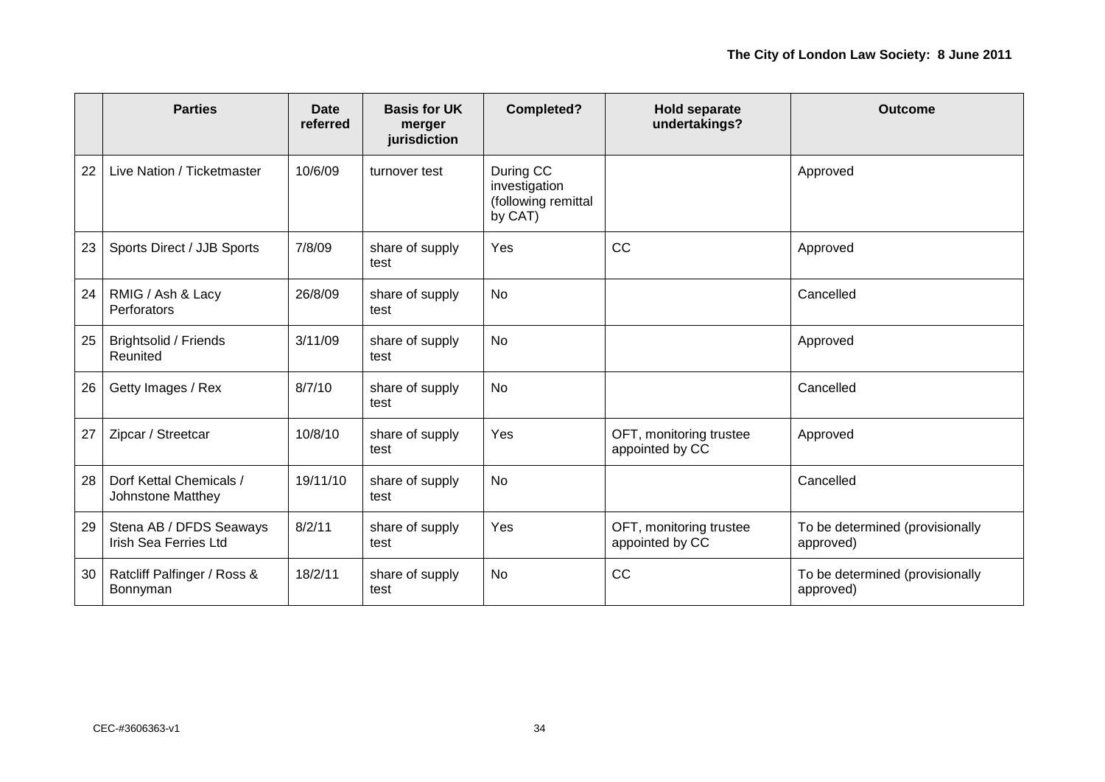|    | <b>Parties</b>                                          | <b>Date</b><br>referred | <b>Basis for UK</b><br>merger<br>jurisdiction | Completed?                                                   | <b>Hold separate</b><br>undertakings?      | <b>Outcome</b>                               |
|----|---------------------------------------------------------|-------------------------|-----------------------------------------------|--------------------------------------------------------------|--------------------------------------------|----------------------------------------------|
| 22 | Live Nation / Ticketmaster                              | 10/6/09                 | turnover test                                 | During CC<br>investigation<br>(following remittal<br>by CAT) |                                            | Approved                                     |
| 23 | Sports Direct / JJB Sports                              | 7/8/09                  | share of supply<br>test                       | Yes                                                          | CC                                         | Approved                                     |
| 24 | RMIG / Ash & Lacy<br>Perforators                        | 26/8/09                 | share of supply<br>test                       | No                                                           |                                            | Cancelled                                    |
| 25 | Brightsolid / Friends<br>Reunited                       | 3/11/09                 | share of supply<br>test                       | No                                                           |                                            | Approved                                     |
| 26 | Getty Images / Rex                                      | 8/7/10                  | share of supply<br>test                       | No                                                           |                                            | Cancelled                                    |
| 27 | Zipcar / Streetcar                                      | 10/8/10                 | share of supply<br>test                       | Yes                                                          | OFT, monitoring trustee<br>appointed by CC | Approved                                     |
| 28 | Dorf Kettal Chemicals /<br>Johnstone Matthey            | 19/11/10                | share of supply<br>test                       | No                                                           |                                            | Cancelled                                    |
| 29 | Stena AB / DFDS Seaways<br><b>Irish Sea Ferries Ltd</b> | 8/2/11                  | share of supply<br>test                       | Yes                                                          | OFT, monitoring trustee<br>appointed by CC | To be determined (provisionally<br>approved) |
| 30 | Ratcliff Palfinger / Ross &<br>Bonnyman                 | 18/2/11                 | share of supply<br>test                       | No                                                           | CC                                         | To be determined (provisionally<br>approved) |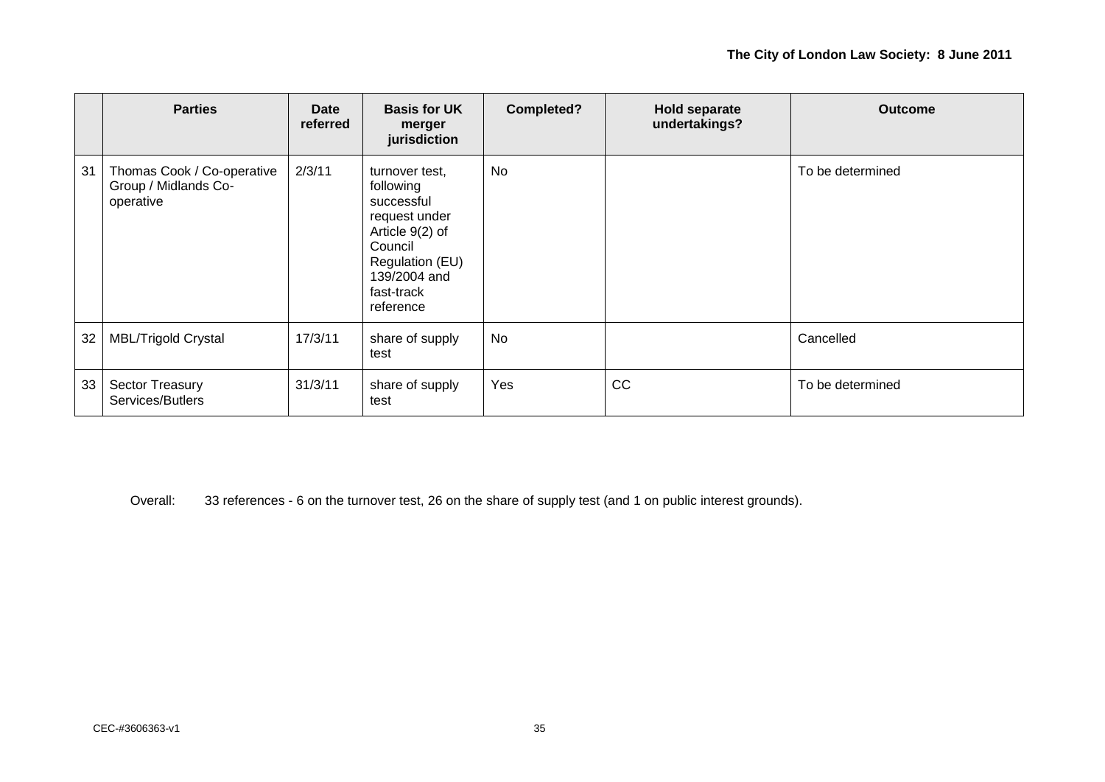|    | <b>Parties</b>                                                  | Date<br>referred | <b>Basis for UK</b><br>merger<br>jurisdiction                                                                                                          | Completed? | <b>Hold separate</b><br>undertakings? | <b>Outcome</b>   |
|----|-----------------------------------------------------------------|------------------|--------------------------------------------------------------------------------------------------------------------------------------------------------|------------|---------------------------------------|------------------|
| 31 | Thomas Cook / Co-operative<br>Group / Midlands Co-<br>operative | 2/3/11           | turnover test,<br>following<br>successful<br>request under<br>Article 9(2) of<br>Council<br>Regulation (EU)<br>139/2004 and<br>fast-track<br>reference | No         |                                       | To be determined |
| 32 | <b>MBL/Trigold Crystal</b>                                      | 17/3/11          | share of supply<br>test                                                                                                                                | No         |                                       | Cancelled        |
| 33 | Sector Treasury<br>Services/Butlers                             | 31/3/11          | share of supply<br>test                                                                                                                                | Yes        | <b>CC</b>                             | To be determined |

Overall: 33 references - 6 on the turnover test, 26 on the share of supply test (and 1 on public interest grounds).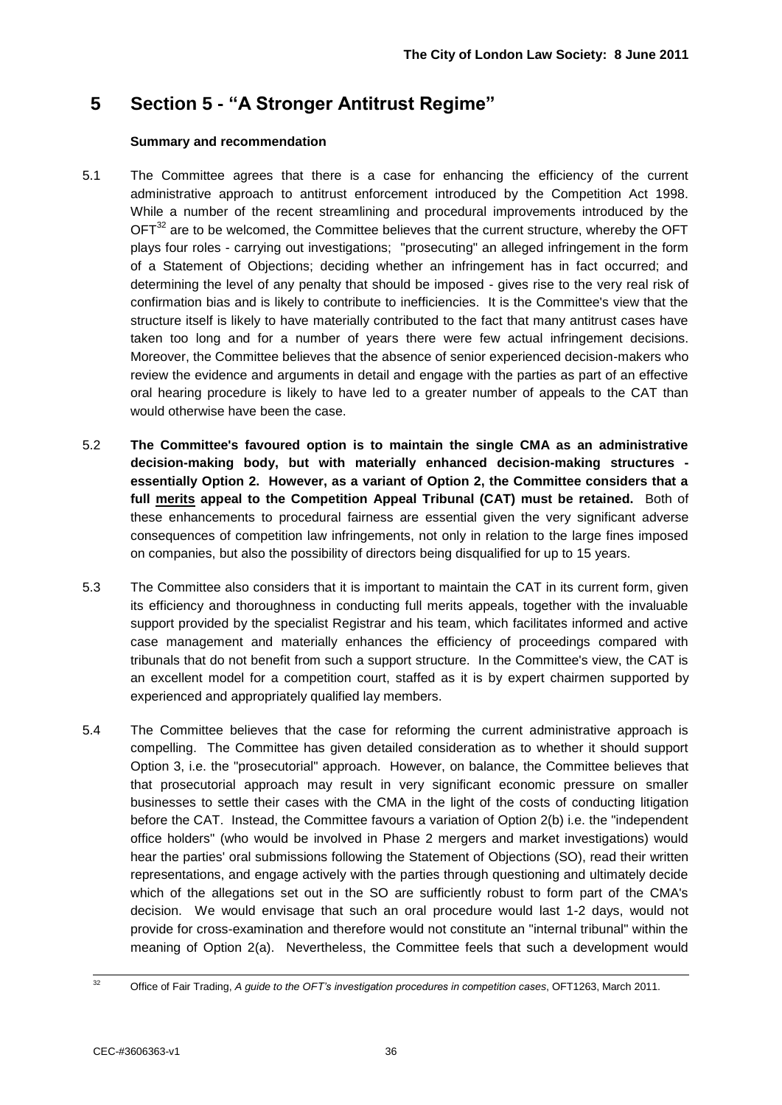## **5 Section 5 - "A Stronger Antitrust Regime"**

#### **Summary and recommendation**

- 5.1 The Committee agrees that there is a case for enhancing the efficiency of the current administrative approach to antitrust enforcement introduced by the Competition Act 1998. While a number of the recent streamlining and procedural improvements introduced by the  $\text{OFT}^{32}$  are to be welcomed, the Committee believes that the current structure, whereby the OFT plays four roles - carrying out investigations; "prosecuting" an alleged infringement in the form of a Statement of Objections; deciding whether an infringement has in fact occurred; and determining the level of any penalty that should be imposed - gives rise to the very real risk of confirmation bias and is likely to contribute to inefficiencies. It is the Committee's view that the structure itself is likely to have materially contributed to the fact that many antitrust cases have taken too long and for a number of years there were few actual infringement decisions. Moreover, the Committee believes that the absence of senior experienced decision-makers who review the evidence and arguments in detail and engage with the parties as part of an effective oral hearing procedure is likely to have led to a greater number of appeals to the CAT than would otherwise have been the case.
- 5.2 **The Committee's favoured option is to maintain the single CMA as an administrative decision-making body, but with materially enhanced decision-making structures essentially Option 2. However, as a variant of Option 2, the Committee considers that a full merits appeal to the Competition Appeal Tribunal (CAT) must be retained.** Both of these enhancements to procedural fairness are essential given the very significant adverse consequences of competition law infringements, not only in relation to the large fines imposed on companies, but also the possibility of directors being disqualified for up to 15 years.
- 5.3 The Committee also considers that it is important to maintain the CAT in its current form, given its efficiency and thoroughness in conducting full merits appeals, together with the invaluable support provided by the specialist Registrar and his team, which facilitates informed and active case management and materially enhances the efficiency of proceedings compared with tribunals that do not benefit from such a support structure. In the Committee's view, the CAT is an excellent model for a competition court, staffed as it is by expert chairmen supported by experienced and appropriately qualified lay members.
- 5.4 The Committee believes that the case for reforming the current administrative approach is compelling. The Committee has given detailed consideration as to whether it should support Option 3, i.e. the "prosecutorial" approach. However, on balance, the Committee believes that that prosecutorial approach may result in very significant economic pressure on smaller businesses to settle their cases with the CMA in the light of the costs of conducting litigation before the CAT. Instead, the Committee favours a variation of Option 2(b) i.e. the "independent office holders" (who would be involved in Phase 2 mergers and market investigations) would hear the parties' oral submissions following the Statement of Objections (SO), read their written representations, and engage actively with the parties through questioning and ultimately decide which of the allegations set out in the SO are sufficiently robust to form part of the CMA's decision. We would envisage that such an oral procedure would last 1-2 days, would not provide for cross-examination and therefore would not constitute an "internal tribunal" within the meaning of Option 2(a). Nevertheless, the Committee feels that such a development would

 $32$ <sup>32</sup> Office of Fair Trading, *A guide to the OFT's investigation procedures in competition cases*, OFT1263, March 2011.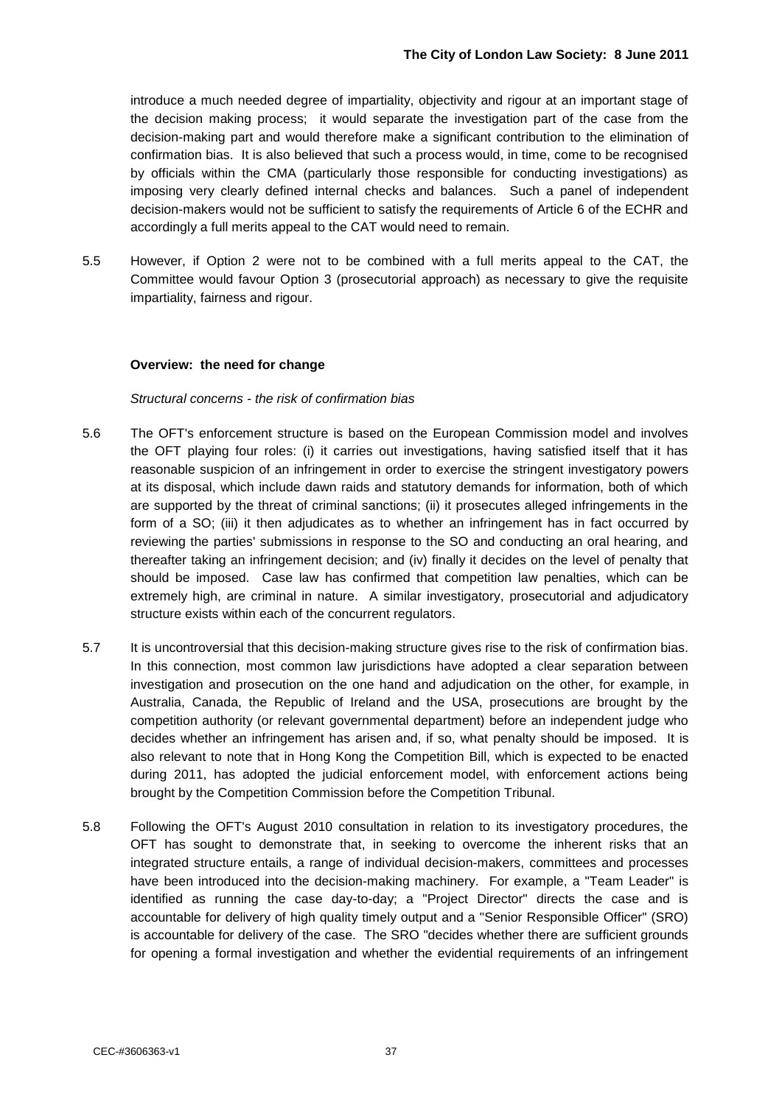introduce a much needed degree of impartiality, objectivity and rigour at an important stage of the decision making process; it would separate the investigation part of the case from the decision-making part and would therefore make a significant contribution to the elimination of confirmation bias. It is also believed that such a process would, in time, come to be recognised by officials within the CMA (particularly those responsible for conducting investigations) as imposing very clearly defined internal checks and balances. Such a panel of independent decision-makers would not be sufficient to satisfy the requirements of Article 6 of the ECHR and accordingly a full merits appeal to the CAT would need to remain.

5.5 However, if Option 2 were not to be combined with a full merits appeal to the CAT, the Committee would favour Option 3 (prosecutorial approach) as necessary to give the requisite impartiality, fairness and rigour.

#### **Overview: the need for change**

#### *Structural concerns - the risk of confirmation bias*

- 5.6 The OFT's enforcement structure is based on the European Commission model and involves the OFT playing four roles: (i) it carries out investigations, having satisfied itself that it has reasonable suspicion of an infringement in order to exercise the stringent investigatory powers at its disposal, which include dawn raids and statutory demands for information, both of which are supported by the threat of criminal sanctions; (ii) it prosecutes alleged infringements in the form of a SO; (iii) it then adjudicates as to whether an infringement has in fact occurred by reviewing the parties' submissions in response to the SO and conducting an oral hearing, and thereafter taking an infringement decision; and (iv) finally it decides on the level of penalty that should be imposed. Case law has confirmed that competition law penalties, which can be extremely high, are criminal in nature. A similar investigatory, prosecutorial and adjudicatory structure exists within each of the concurrent regulators.
- 5.7 It is uncontroversial that this decision-making structure gives rise to the risk of confirmation bias. In this connection, most common law jurisdictions have adopted a clear separation between investigation and prosecution on the one hand and adjudication on the other, for example, in Australia, Canada, the Republic of Ireland and the USA, prosecutions are brought by the competition authority (or relevant governmental department) before an independent judge who decides whether an infringement has arisen and, if so, what penalty should be imposed. It is also relevant to note that in Hong Kong the Competition Bill, which is expected to be enacted during 2011, has adopted the judicial enforcement model, with enforcement actions being brought by the Competition Commission before the Competition Tribunal.
- 5.8 Following the OFT's August 2010 consultation in relation to its investigatory procedures, the OFT has sought to demonstrate that, in seeking to overcome the inherent risks that an integrated structure entails, a range of individual decision-makers, committees and processes have been introduced into the decision-making machinery. For example, a "Team Leader" is identified as running the case day-to-day; a "Project Director" directs the case and is accountable for delivery of high quality timely output and a "Senior Responsible Officer" (SRO) is accountable for delivery of the case. The SRO "decides whether there are sufficient grounds for opening a formal investigation and whether the evidential requirements of an infringement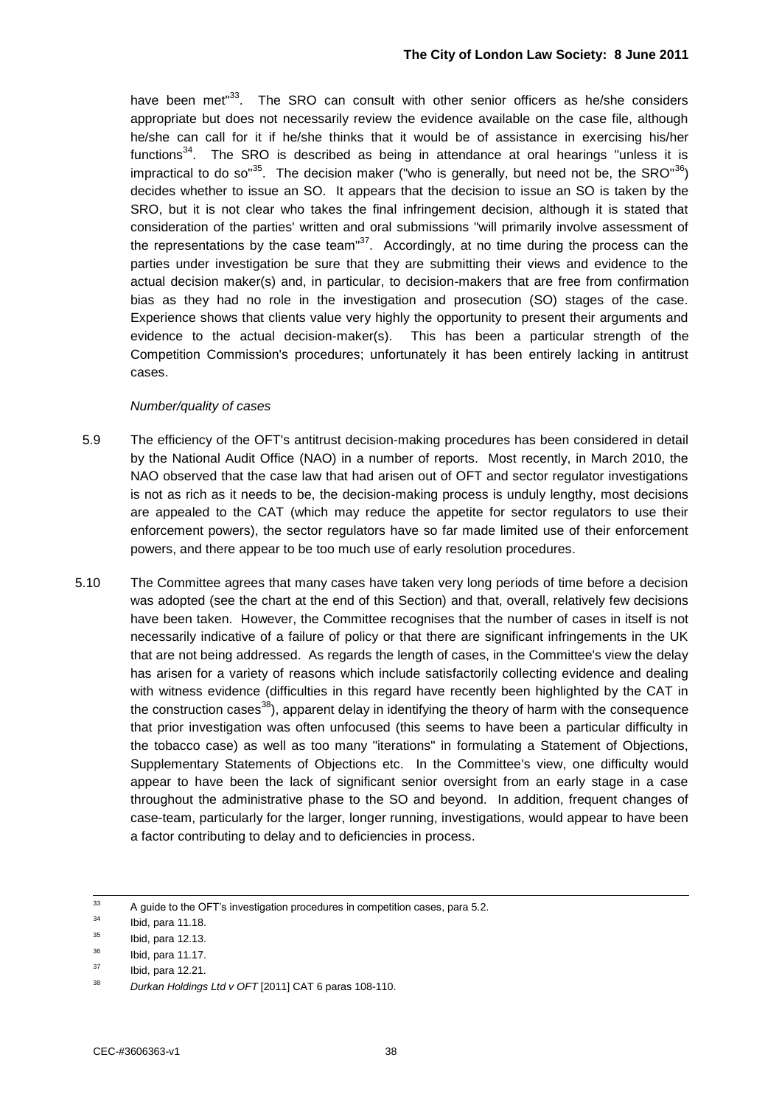have been met<sup>"33</sup>. The SRO can consult with other senior officers as he/she considers appropriate but does not necessarily review the evidence available on the case file, although he/she can call for it if he/she thinks that it would be of assistance in exercising his/her functions $34$ . The SRO is described as being in attendance at oral hearings "unless it is impractical to do so<sup>35</sup>. The decision maker ("who is generally, but need not be, the SRO"<sup>36</sup>) decides whether to issue an SO. It appears that the decision to issue an SO is taken by the SRO, but it is not clear who takes the final infringement decision, although it is stated that consideration of the parties' written and oral submissions "will primarily involve assessment of the representations by the case team" $37$ . Accordingly, at no time during the process can the parties under investigation be sure that they are submitting their views and evidence to the actual decision maker(s) and, in particular, to decision-makers that are free from confirmation bias as they had no role in the investigation and prosecution (SO) stages of the case. Experience shows that clients value very highly the opportunity to present their arguments and evidence to the actual decision-maker(s). This has been a particular strength of the Competition Commission's procedures; unfortunately it has been entirely lacking in antitrust cases.

#### *Number/quality of cases*

- 5.9 The efficiency of the OFT's antitrust decision-making procedures has been considered in detail by the National Audit Office (NAO) in a number of reports. Most recently, in March 2010, the NAO observed that the case law that had arisen out of OFT and sector regulator investigations is not as rich as it needs to be, the decision-making process is unduly lengthy, most decisions are appealed to the CAT (which may reduce the appetite for sector regulators to use their enforcement powers), the sector regulators have so far made limited use of their enforcement powers, and there appear to be too much use of early resolution procedures.
- 5.10 The Committee agrees that many cases have taken very long periods of time before a decision was adopted (see the chart at the end of this Section) and that, overall, relatively few decisions have been taken. However, the Committee recognises that the number of cases in itself is not necessarily indicative of a failure of policy or that there are significant infringements in the UK that are not being addressed. As regards the length of cases, in the Committee's view the delay has arisen for a variety of reasons which include satisfactorily collecting evidence and dealing with witness evidence (difficulties in this regard have recently been highlighted by the CAT in the construction cases<sup>38</sup>), apparent delay in identifying the theory of harm with the consequence that prior investigation was often unfocused (this seems to have been a particular difficulty in the tobacco case) as well as too many "iterations" in formulating a Statement of Objections, Supplementary Statements of Objections etc. In the Committee's view, one difficulty would appear to have been the lack of significant senior oversight from an early stage in a case throughout the administrative phase to the SO and beyond. In addition, frequent changes of case-team, particularly for the larger, longer running, investigations, would appear to have been a factor contributing to delay and to deficiencies in process.

 $33$ A quide to the OFT's investigation procedures in competition cases, para 5.2.

 $34$  Ibid, para 11.18.

 $^{35}$  Ibid, para 12.13.

 $36$  Ibid, para 11.17.

 $\frac{37}{38}$  Ibid, para 12.21.

<sup>38</sup> *Durkan Holdings Ltd v OFT* [2011] CAT 6 paras 108-110.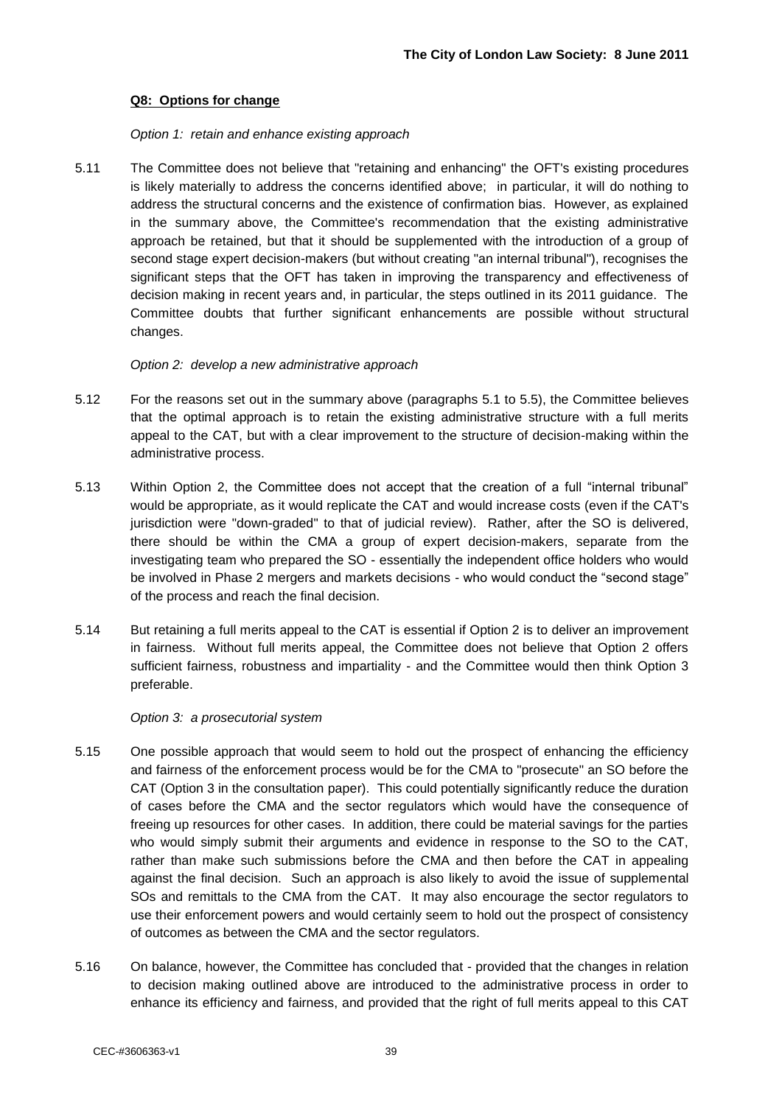#### **Q8: Options for change**

#### *Option 1: retain and enhance existing approach*

5.11 The Committee does not believe that "retaining and enhancing" the OFT's existing procedures is likely materially to address the concerns identified above; in particular, it will do nothing to address the structural concerns and the existence of confirmation bias. However, as explained in the summary above, the Committee's recommendation that the existing administrative approach be retained, but that it should be supplemented with the introduction of a group of second stage expert decision-makers (but without creating "an internal tribunal"), recognises the significant steps that the OFT has taken in improving the transparency and effectiveness of decision making in recent years and, in particular, the steps outlined in its 2011 guidance. The Committee doubts that further significant enhancements are possible without structural changes.

#### *Option 2: develop a new administrative approach*

- 5.12 For the reasons set out in the summary above (paragraphs 5.1 to 5.5), the Committee believes that the optimal approach is to retain the existing administrative structure with a full merits appeal to the CAT, but with a clear improvement to the structure of decision-making within the administrative process.
- 5.13 Within Option 2, the Committee does not accept that the creation of a full "internal tribunal" would be appropriate, as it would replicate the CAT and would increase costs (even if the CAT's jurisdiction were "down-graded" to that of judicial review). Rather, after the SO is delivered, there should be within the CMA a group of expert decision-makers, separate from the investigating team who prepared the SO - essentially the independent office holders who would be involved in Phase 2 mergers and markets decisions - who would conduct the "second stage" of the process and reach the final decision.
- 5.14 But retaining a full merits appeal to the CAT is essential if Option 2 is to deliver an improvement in fairness. Without full merits appeal, the Committee does not believe that Option 2 offers sufficient fairness, robustness and impartiality - and the Committee would then think Option 3 preferable.

#### *Option 3: a prosecutorial system*

- 5.15 One possible approach that would seem to hold out the prospect of enhancing the efficiency and fairness of the enforcement process would be for the CMA to "prosecute" an SO before the CAT (Option 3 in the consultation paper). This could potentially significantly reduce the duration of cases before the CMA and the sector regulators which would have the consequence of freeing up resources for other cases. In addition, there could be material savings for the parties who would simply submit their arguments and evidence in response to the SO to the CAT, rather than make such submissions before the CMA and then before the CAT in appealing against the final decision. Such an approach is also likely to avoid the issue of supplemental SOs and remittals to the CMA from the CAT. It may also encourage the sector regulators to use their enforcement powers and would certainly seem to hold out the prospect of consistency of outcomes as between the CMA and the sector regulators.
- 5.16 On balance, however, the Committee has concluded that provided that the changes in relation to decision making outlined above are introduced to the administrative process in order to enhance its efficiency and fairness, and provided that the right of full merits appeal to this CAT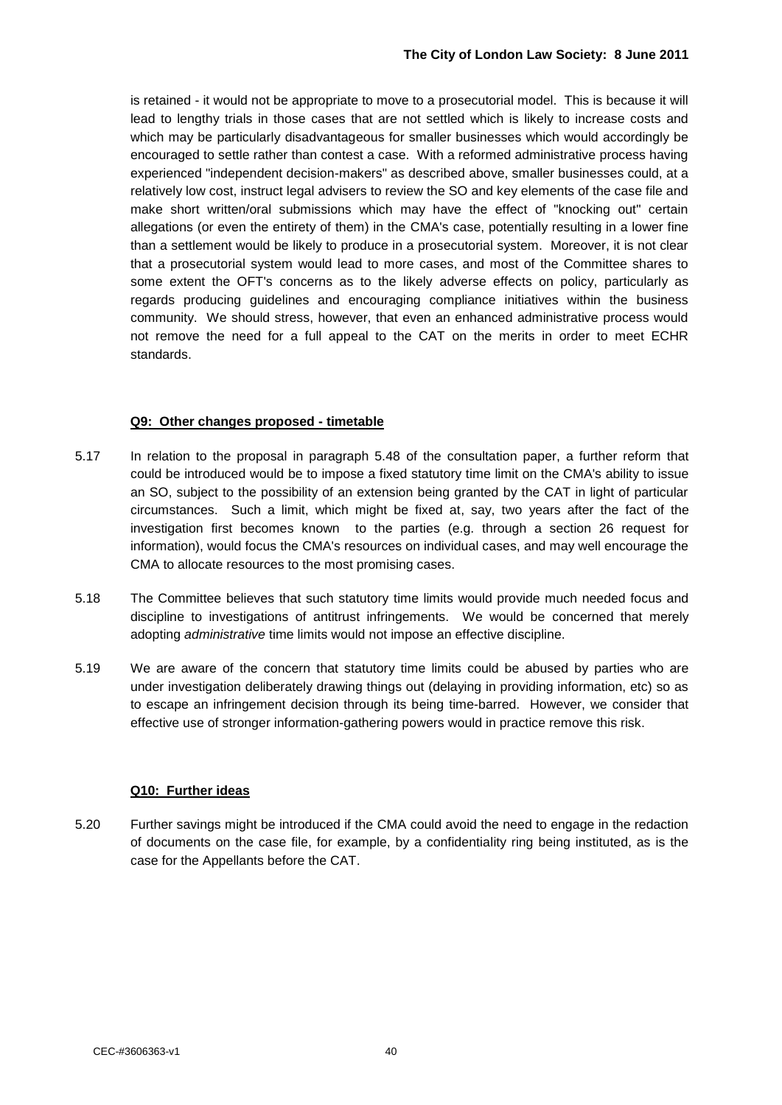is retained - it would not be appropriate to move to a prosecutorial model. This is because it will lead to lengthy trials in those cases that are not settled which is likely to increase costs and which may be particularly disadvantageous for smaller businesses which would accordingly be encouraged to settle rather than contest a case. With a reformed administrative process having experienced "independent decision-makers" as described above, smaller businesses could, at a relatively low cost, instruct legal advisers to review the SO and key elements of the case file and make short written/oral submissions which may have the effect of "knocking out" certain allegations (or even the entirety of them) in the CMA's case, potentially resulting in a lower fine than a settlement would be likely to produce in a prosecutorial system. Moreover, it is not clear that a prosecutorial system would lead to more cases, and most of the Committee shares to some extent the OFT's concerns as to the likely adverse effects on policy, particularly as regards producing guidelines and encouraging compliance initiatives within the business community. We should stress, however, that even an enhanced administrative process would not remove the need for a full appeal to the CAT on the merits in order to meet ECHR standards.

#### **Q9: Other changes proposed - timetable**

- 5.17 In relation to the proposal in paragraph 5.48 of the consultation paper, a further reform that could be introduced would be to impose a fixed statutory time limit on the CMA's ability to issue an SO, subject to the possibility of an extension being granted by the CAT in light of particular circumstances. Such a limit, which might be fixed at, say, two years after the fact of the investigation first becomes known to the parties (e.g. through a section 26 request for information), would focus the CMA's resources on individual cases, and may well encourage the CMA to allocate resources to the most promising cases.
- 5.18 The Committee believes that such statutory time limits would provide much needed focus and discipline to investigations of antitrust infringements. We would be concerned that merely adopting *administrative* time limits would not impose an effective discipline.
- 5.19 We are aware of the concern that statutory time limits could be abused by parties who are under investigation deliberately drawing things out (delaying in providing information, etc) so as to escape an infringement decision through its being time-barred. However, we consider that effective use of stronger information-gathering powers would in practice remove this risk.

#### **Q10: Further ideas**

5.20 Further savings might be introduced if the CMA could avoid the need to engage in the redaction of documents on the case file, for example, by a confidentiality ring being instituted, as is the case for the Appellants before the CAT.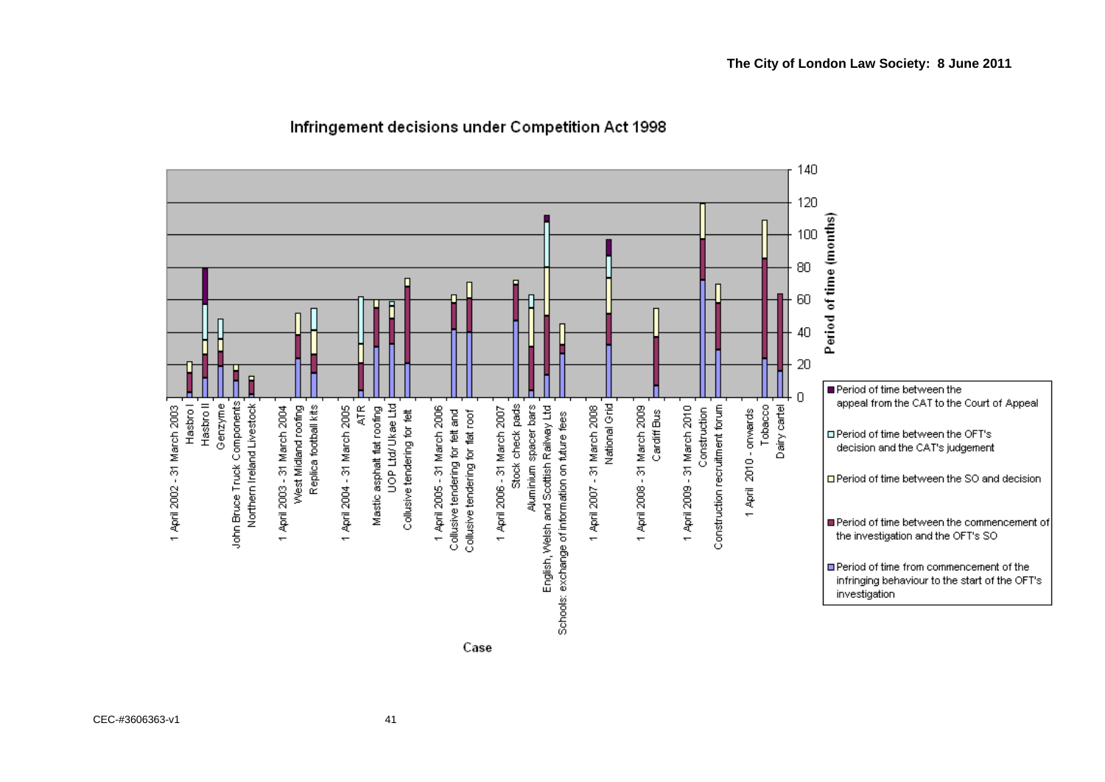

#### Infringement decisions under Competition Act 1998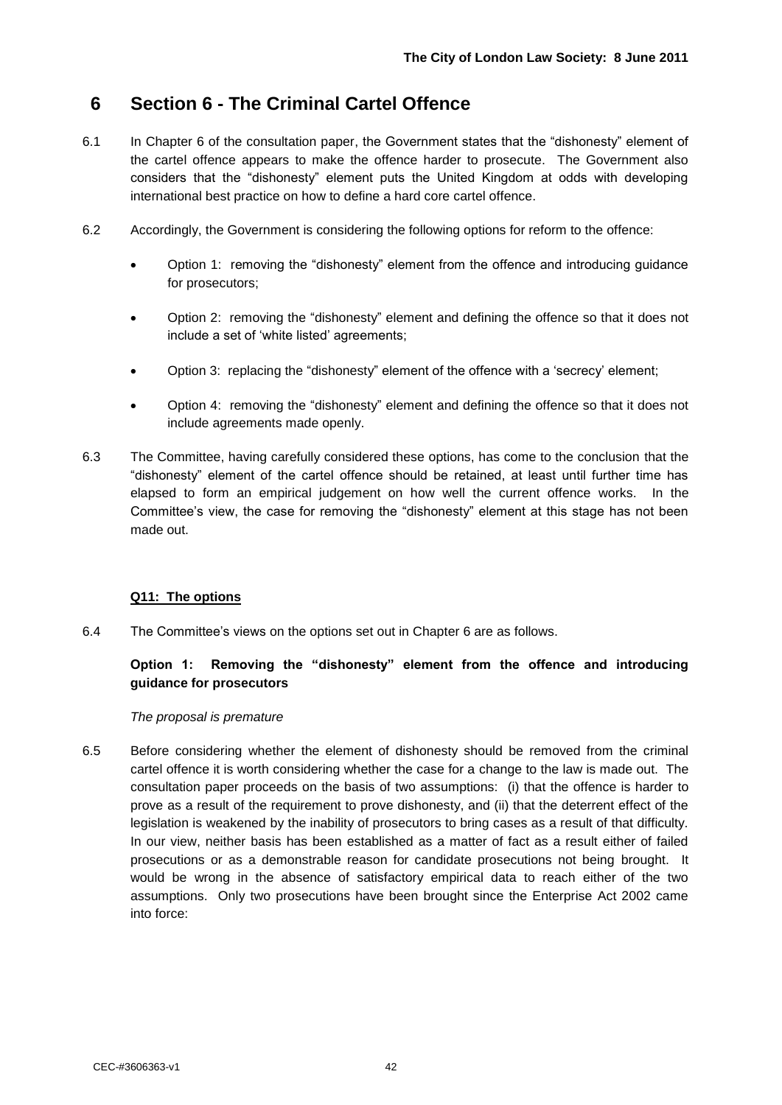## **6 Section 6 - The Criminal Cartel Offence**

- 6.1 In Chapter 6 of the consultation paper, the Government states that the "dishonesty" element of the cartel offence appears to make the offence harder to prosecute. The Government also considers that the "dishonesty" element puts the United Kingdom at odds with developing international best practice on how to define a hard core cartel offence.
- 6.2 Accordingly, the Government is considering the following options for reform to the offence:
	- Option 1: removing the "dishonesty" element from the offence and introducing guidance for prosecutors;
	- Option 2: removing the "dishonesty" element and defining the offence so that it does not include a set of 'white listed' agreements;
	- Option 3: replacing the "dishonesty" element of the offence with a "secrecy" element;
	- Option 4: removing the "dishonesty" element and defining the offence so that it does not include agreements made openly.
- 6.3 The Committee, having carefully considered these options, has come to the conclusion that the "dishonesty" element of the cartel offence should be retained, at least until further time has elapsed to form an empirical judgement on how well the current offence works. In the Committee"s view, the case for removing the "dishonesty" element at this stage has not been made out.

#### **Q11: The options**

6.4 The Committee's views on the options set out in Chapter 6 are as follows.

### **Option 1: Removing the "dishonesty" element from the offence and introducing guidance for prosecutors**

#### *The proposal is premature*

6.5 Before considering whether the element of dishonesty should be removed from the criminal cartel offence it is worth considering whether the case for a change to the law is made out. The consultation paper proceeds on the basis of two assumptions: (i) that the offence is harder to prove as a result of the requirement to prove dishonesty, and (ii) that the deterrent effect of the legislation is weakened by the inability of prosecutors to bring cases as a result of that difficulty. In our view, neither basis has been established as a matter of fact as a result either of failed prosecutions or as a demonstrable reason for candidate prosecutions not being brought. It would be wrong in the absence of satisfactory empirical data to reach either of the two assumptions. Only two prosecutions have been brought since the Enterprise Act 2002 came into force: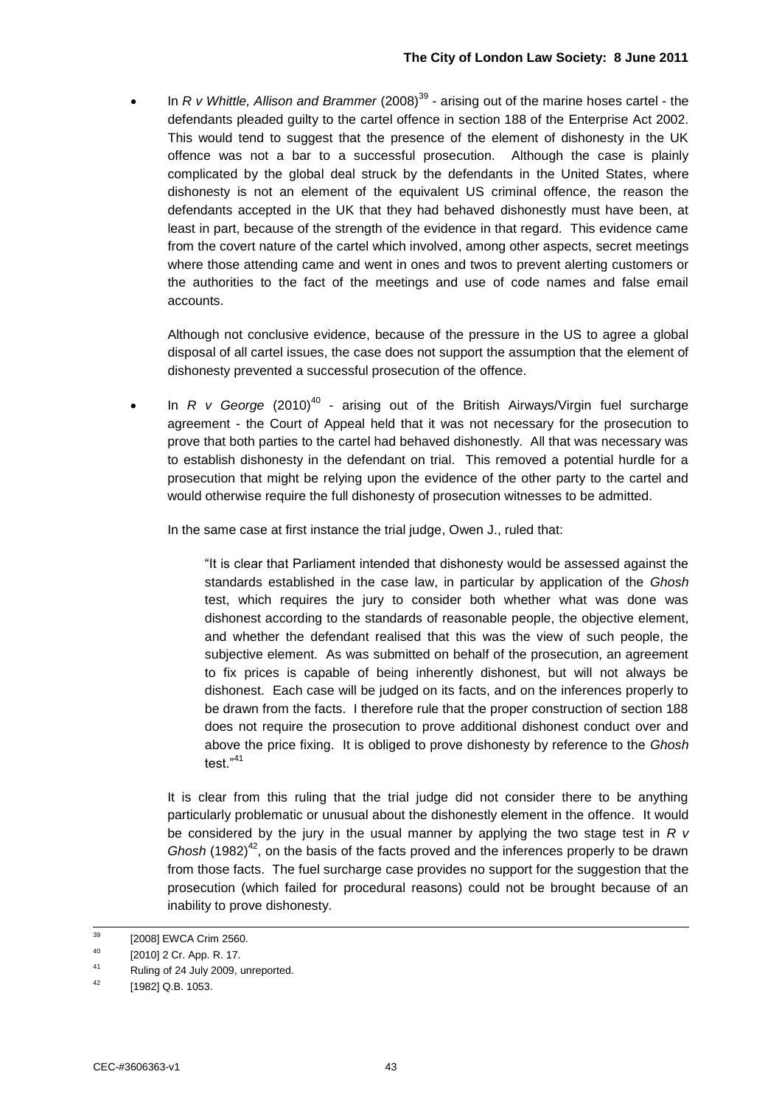• In *R v Whittle, Allison and Brammer* (2008)<sup>39</sup> - arising out of the marine hoses cartel - the defendants pleaded guilty to the cartel offence in section 188 of the Enterprise Act 2002. This would tend to suggest that the presence of the element of dishonesty in the UK offence was not a bar to a successful prosecution. Although the case is plainly complicated by the global deal struck by the defendants in the United States, where dishonesty is not an element of the equivalent US criminal offence, the reason the defendants accepted in the UK that they had behaved dishonestly must have been, at least in part, because of the strength of the evidence in that regard. This evidence came from the covert nature of the cartel which involved, among other aspects, secret meetings where those attending came and went in ones and twos to prevent alerting customers or the authorities to the fact of the meetings and use of code names and false email accounts.

Although not conclusive evidence, because of the pressure in the US to agree a global disposal of all cartel issues, the case does not support the assumption that the element of dishonesty prevented a successful prosecution of the offence.

• In *R v George* (2010)<sup>40</sup> - arising out of the British Airways/Virgin fuel surcharge agreement - the Court of Appeal held that it was not necessary for the prosecution to prove that both parties to the cartel had behaved dishonestly. All that was necessary was to establish dishonesty in the defendant on trial. This removed a potential hurdle for a prosecution that might be relying upon the evidence of the other party to the cartel and would otherwise require the full dishonesty of prosecution witnesses to be admitted.

In the same case at first instance the trial judge, Owen J., ruled that:

"It is clear that Parliament intended that dishonesty would be assessed against the standards established in the case law, in particular by application of the *Ghosh* test, which requires the jury to consider both whether what was done was dishonest according to the standards of reasonable people, the objective element, and whether the defendant realised that this was the view of such people, the subjective element. As was submitted on behalf of the prosecution, an agreement to fix prices is capable of being inherently dishonest, but will not always be dishonest. Each case will be judged on its facts, and on the inferences properly to be drawn from the facts. I therefore rule that the proper construction of section 188 does not require the prosecution to prove additional dishonest conduct over and above the price fixing. It is obliged to prove dishonesty by reference to the *Ghosh* test."<sup>41</sup>

It is clear from this ruling that the trial judge did not consider there to be anything particularly problematic or unusual about the dishonestly element in the offence. It would be considered by the jury in the usual manner by applying the two stage test in *R v Ghosh* (1982)<sup>42</sup>, on the basis of the facts proved and the inferences properly to be drawn from those facts. The fuel surcharge case provides no support for the suggestion that the prosecution (which failed for procedural reasons) could not be brought because of an inability to prove dishonesty.

<sup>39</sup> [2008] EWCA Crim 2560.

<sup>40</sup> [2010] 2 Cr. App. R. 17.

<sup>41</sup> Ruling of 24 July 2009, unreported.

<sup>[1982]</sup> Q.B. 1053.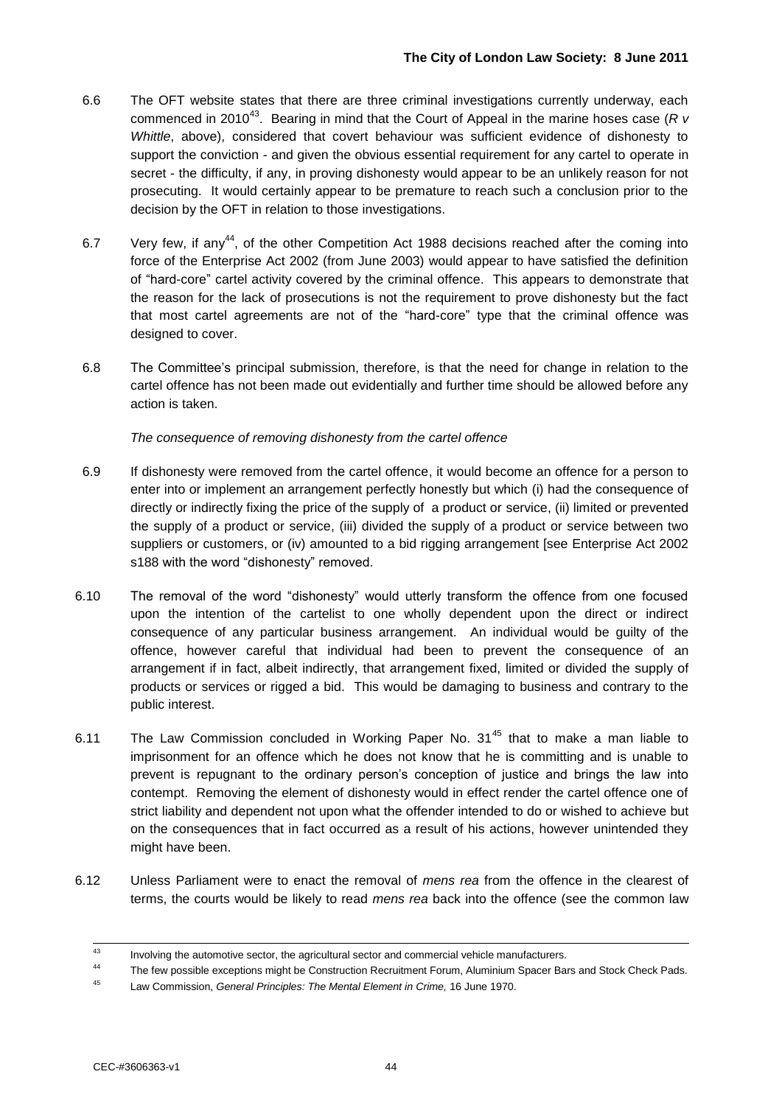- 6.6 The OFT website states that there are three criminal investigations currently underway, each commenced in 2010<sup>43</sup>. Bearing in mind that the Court of Appeal in the marine hoses case (R v *Whittle*, above), considered that covert behaviour was sufficient evidence of dishonesty to support the conviction - and given the obvious essential requirement for any cartel to operate in secret - the difficulty, if any, in proving dishonesty would appear to be an unlikely reason for not prosecuting. It would certainly appear to be premature to reach such a conclusion prior to the decision by the OFT in relation to those investigations.
- 6.7 Very few, if any<sup>44</sup>, of the other Competition Act 1988 decisions reached after the coming into force of the Enterprise Act 2002 (from June 2003) would appear to have satisfied the definition of "hard-core" cartel activity covered by the criminal offence. This appears to demonstrate that the reason for the lack of prosecutions is not the requirement to prove dishonesty but the fact that most cartel agreements are not of the "hard-core" type that the criminal offence was designed to cover.
- 6.8 The Committee"s principal submission, therefore, is that the need for change in relation to the cartel offence has not been made out evidentially and further time should be allowed before any action is taken.

*The consequence of removing dishonesty from the cartel offence* 

- 6.9 If dishonesty were removed from the cartel offence, it would become an offence for a person to enter into or implement an arrangement perfectly honestly but which (i) had the consequence of directly or indirectly fixing the price of the supply of a product or service, (ii) limited or prevented the supply of a product or service, (iii) divided the supply of a product or service between two suppliers or customers, or (iv) amounted to a bid rigging arrangement [see Enterprise Act 2002 s188 with the word "dishonesty" removed.
- 6.10 The removal of the word "dishonesty" would utterly transform the offence from one focused upon the intention of the cartelist to one wholly dependent upon the direct or indirect consequence of any particular business arrangement. An individual would be guilty of the offence, however careful that individual had been to prevent the consequence of an arrangement if in fact, albeit indirectly, that arrangement fixed, limited or divided the supply of products or services or rigged a bid. This would be damaging to business and contrary to the public interest.
- 6.11 The Law Commission concluded in Working Paper No.  $31^{45}$  that to make a man liable to imprisonment for an offence which he does not know that he is committing and is unable to prevent is repugnant to the ordinary person"s conception of justice and brings the law into contempt. Removing the element of dishonesty would in effect render the cartel offence one of strict liability and dependent not upon what the offender intended to do or wished to achieve but on the consequences that in fact occurred as a result of his actions, however unintended they might have been.
- 6.12 Unless Parliament were to enact the removal of *mens rea* from the offence in the clearest of terms, the courts would be likely to read *mens rea* back into the offence (see the common law

 $43$ <sup>43</sup> Involving the automotive sector, the agricultural sector and commercial vehicle manufacturers.

The few possible exceptions might be Construction Recruitment Forum, Aluminium Spacer Bars and Stock Check Pads.

<sup>45</sup> Law Commission, *General Principles: The Mental Element in Crime,* 16 June 1970.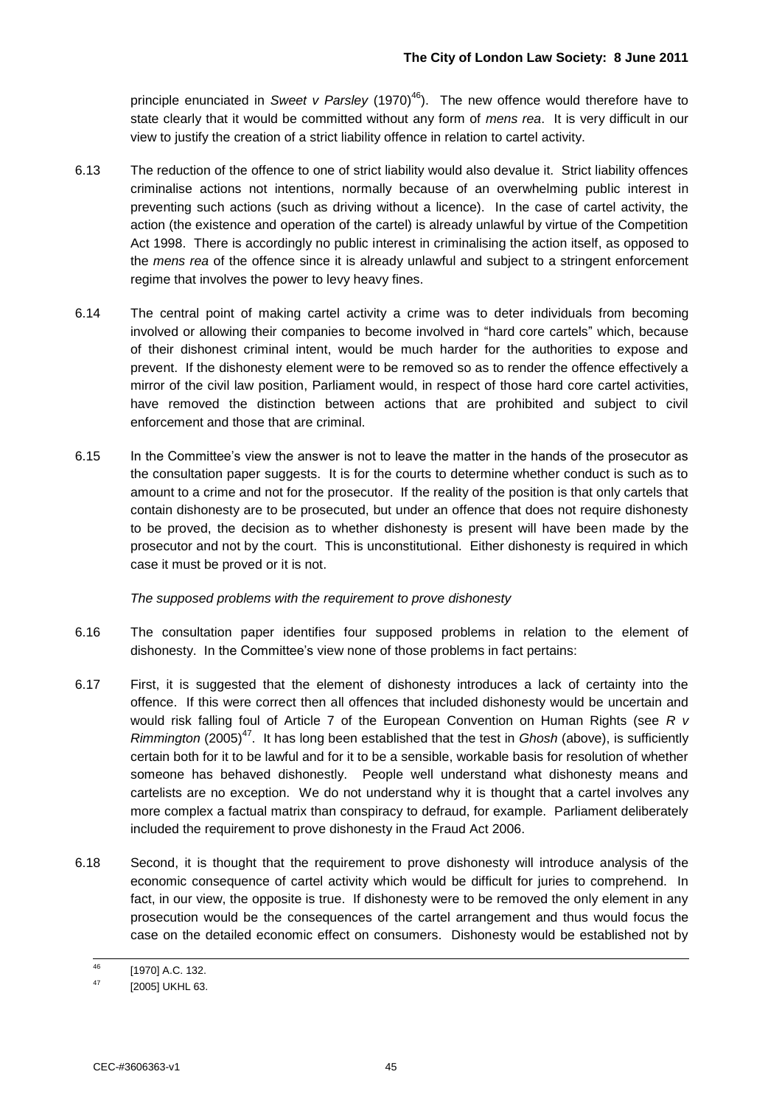principle enunciated in *Sweet v Parsley* (1970)<sup>46</sup>). The new offence would therefore have to state clearly that it would be committed without any form of *mens rea*. It is very difficult in our view to justify the creation of a strict liability offence in relation to cartel activity.

- 6.13 The reduction of the offence to one of strict liability would also devalue it. Strict liability offences criminalise actions not intentions, normally because of an overwhelming public interest in preventing such actions (such as driving without a licence). In the case of cartel activity, the action (the existence and operation of the cartel) is already unlawful by virtue of the Competition Act 1998. There is accordingly no public interest in criminalising the action itself, as opposed to the *mens rea* of the offence since it is already unlawful and subject to a stringent enforcement regime that involves the power to levy heavy fines.
- 6.14 The central point of making cartel activity a crime was to deter individuals from becoming involved or allowing their companies to become involved in "hard core cartels" which, because of their dishonest criminal intent, would be much harder for the authorities to expose and prevent. If the dishonesty element were to be removed so as to render the offence effectively a mirror of the civil law position, Parliament would, in respect of those hard core cartel activities, have removed the distinction between actions that are prohibited and subject to civil enforcement and those that are criminal.
- 6.15 In the Committee"s view the answer is not to leave the matter in the hands of the prosecutor as the consultation paper suggests. It is for the courts to determine whether conduct is such as to amount to a crime and not for the prosecutor. If the reality of the position is that only cartels that contain dishonesty are to be prosecuted, but under an offence that does not require dishonesty to be proved, the decision as to whether dishonesty is present will have been made by the prosecutor and not by the court. This is unconstitutional. Either dishonesty is required in which case it must be proved or it is not.

#### *The supposed problems with the requirement to prove dishonesty*

- 6.16 The consultation paper identifies four supposed problems in relation to the element of dishonesty. In the Committee's view none of those problems in fact pertains:
- 6.17 First, it is suggested that the element of dishonesty introduces a lack of certainty into the offence. If this were correct then all offences that included dishonesty would be uncertain and would risk falling foul of Article 7 of the European Convention on Human Rights (see *R v Rimmington* (2005)<sup>47</sup>. It has long been established that the test in *Ghosh* (above), is sufficiently certain both for it to be lawful and for it to be a sensible, workable basis for resolution of whether someone has behaved dishonestly. People well understand what dishonesty means and cartelists are no exception. We do not understand why it is thought that a cartel involves any more complex a factual matrix than conspiracy to defraud, for example. Parliament deliberately included the requirement to prove dishonesty in the Fraud Act 2006.
- 6.18 Second, it is thought that the requirement to prove dishonesty will introduce analysis of the economic consequence of cartel activity which would be difficult for juries to comprehend. In fact, in our view, the opposite is true. If dishonesty were to be removed the only element in any prosecution would be the consequences of the cartel arrangement and thus would focus the case on the detailed economic effect on consumers. Dishonesty would be established not by

<sup>46</sup>  $^{46}$  [1970] A.C. 132.

<sup>[2005]</sup> UKHL 63.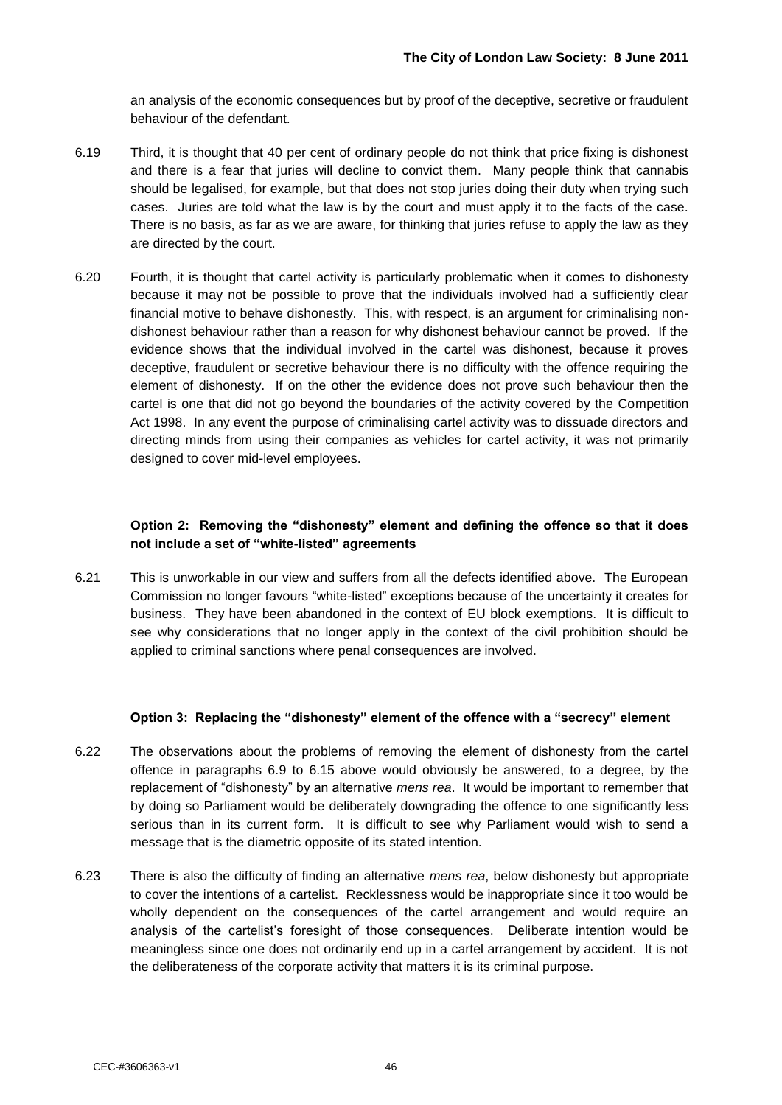an analysis of the economic consequences but by proof of the deceptive, secretive or fraudulent behaviour of the defendant.

- 6.19 Third, it is thought that 40 per cent of ordinary people do not think that price fixing is dishonest and there is a fear that juries will decline to convict them. Many people think that cannabis should be legalised, for example, but that does not stop juries doing their duty when trying such cases. Juries are told what the law is by the court and must apply it to the facts of the case. There is no basis, as far as we are aware, for thinking that juries refuse to apply the law as they are directed by the court.
- 6.20 Fourth, it is thought that cartel activity is particularly problematic when it comes to dishonesty because it may not be possible to prove that the individuals involved had a sufficiently clear financial motive to behave dishonestly. This, with respect, is an argument for criminalising nondishonest behaviour rather than a reason for why dishonest behaviour cannot be proved. If the evidence shows that the individual involved in the cartel was dishonest, because it proves deceptive, fraudulent or secretive behaviour there is no difficulty with the offence requiring the element of dishonesty. If on the other the evidence does not prove such behaviour then the cartel is one that did not go beyond the boundaries of the activity covered by the Competition Act 1998. In any event the purpose of criminalising cartel activity was to dissuade directors and directing minds from using their companies as vehicles for cartel activity, it was not primarily designed to cover mid-level employees.

#### **Option 2: Removing the "dishonesty" element and defining the offence so that it does not include a set of "white-listed" agreements**

6.21 This is unworkable in our view and suffers from all the defects identified above. The European Commission no longer favours "white-listed" exceptions because of the uncertainty it creates for business. They have been abandoned in the context of EU block exemptions. It is difficult to see why considerations that no longer apply in the context of the civil prohibition should be applied to criminal sanctions where penal consequences are involved.

#### **Option 3: Replacing the "dishonesty" element of the offence with a "secrecy" element**

- 6.22 The observations about the problems of removing the element of dishonesty from the cartel offence in paragraphs 6.9 to 6.15 above would obviously be answered, to a degree, by the replacement of "dishonesty" by an alternative *mens rea*. It would be important to remember that by doing so Parliament would be deliberately downgrading the offence to one significantly less serious than in its current form. It is difficult to see why Parliament would wish to send a message that is the diametric opposite of its stated intention.
- 6.23 There is also the difficulty of finding an alternative *mens rea*, below dishonesty but appropriate to cover the intentions of a cartelist. Recklessness would be inappropriate since it too would be wholly dependent on the consequences of the cartel arrangement and would require an analysis of the cartelist"s foresight of those consequences. Deliberate intention would be meaningless since one does not ordinarily end up in a cartel arrangement by accident. It is not the deliberateness of the corporate activity that matters it is its criminal purpose.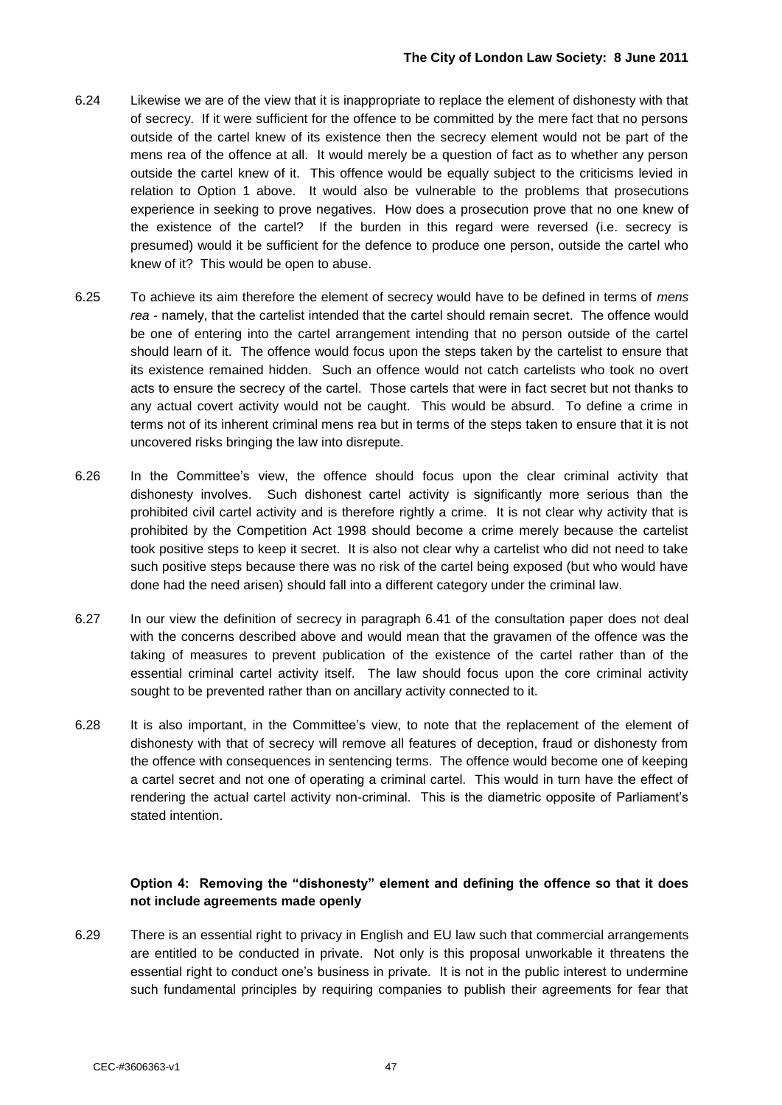- 6.24 Likewise we are of the view that it is inappropriate to replace the element of dishonesty with that of secrecy. If it were sufficient for the offence to be committed by the mere fact that no persons outside of the cartel knew of its existence then the secrecy element would not be part of the mens rea of the offence at all. It would merely be a question of fact as to whether any person outside the cartel knew of it. This offence would be equally subject to the criticisms levied in relation to Option 1 above. It would also be vulnerable to the problems that prosecutions experience in seeking to prove negatives. How does a prosecution prove that no one knew of the existence of the cartel? If the burden in this regard were reversed (i.e. secrecy is presumed) would it be sufficient for the defence to produce one person, outside the cartel who knew of it? This would be open to abuse.
- 6.25 To achieve its aim therefore the element of secrecy would have to be defined in terms of *mens rea* - namely, that the cartelist intended that the cartel should remain secret. The offence would be one of entering into the cartel arrangement intending that no person outside of the cartel should learn of it. The offence would focus upon the steps taken by the cartelist to ensure that its existence remained hidden. Such an offence would not catch cartelists who took no overt acts to ensure the secrecy of the cartel. Those cartels that were in fact secret but not thanks to any actual covert activity would not be caught. This would be absurd. To define a crime in terms not of its inherent criminal mens rea but in terms of the steps taken to ensure that it is not uncovered risks bringing the law into disrepute.
- 6.26 In the Committee"s view, the offence should focus upon the clear criminal activity that dishonesty involves. Such dishonest cartel activity is significantly more serious than the prohibited civil cartel activity and is therefore rightly a crime. It is not clear why activity that is prohibited by the Competition Act 1998 should become a crime merely because the cartelist took positive steps to keep it secret. It is also not clear why a cartelist who did not need to take such positive steps because there was no risk of the cartel being exposed (but who would have done had the need arisen) should fall into a different category under the criminal law.
- 6.27 In our view the definition of secrecy in paragraph 6.41 of the consultation paper does not deal with the concerns described above and would mean that the gravamen of the offence was the taking of measures to prevent publication of the existence of the cartel rather than of the essential criminal cartel activity itself. The law should focus upon the core criminal activity sought to be prevented rather than on ancillary activity connected to it.
- 6.28 It is also important, in the Committee's view, to note that the replacement of the element of dishonesty with that of secrecy will remove all features of deception, fraud or dishonesty from the offence with consequences in sentencing terms. The offence would become one of keeping a cartel secret and not one of operating a criminal cartel. This would in turn have the effect of rendering the actual cartel activity non-criminal. This is the diametric opposite of Parliament"s stated intention.

#### **Option 4: Removing the "dishonesty" element and defining the offence so that it does not include agreements made openly**

6.29 There is an essential right to privacy in English and EU law such that commercial arrangements are entitled to be conducted in private. Not only is this proposal unworkable it threatens the essential right to conduct one"s business in private. It is not in the public interest to undermine such fundamental principles by requiring companies to publish their agreements for fear that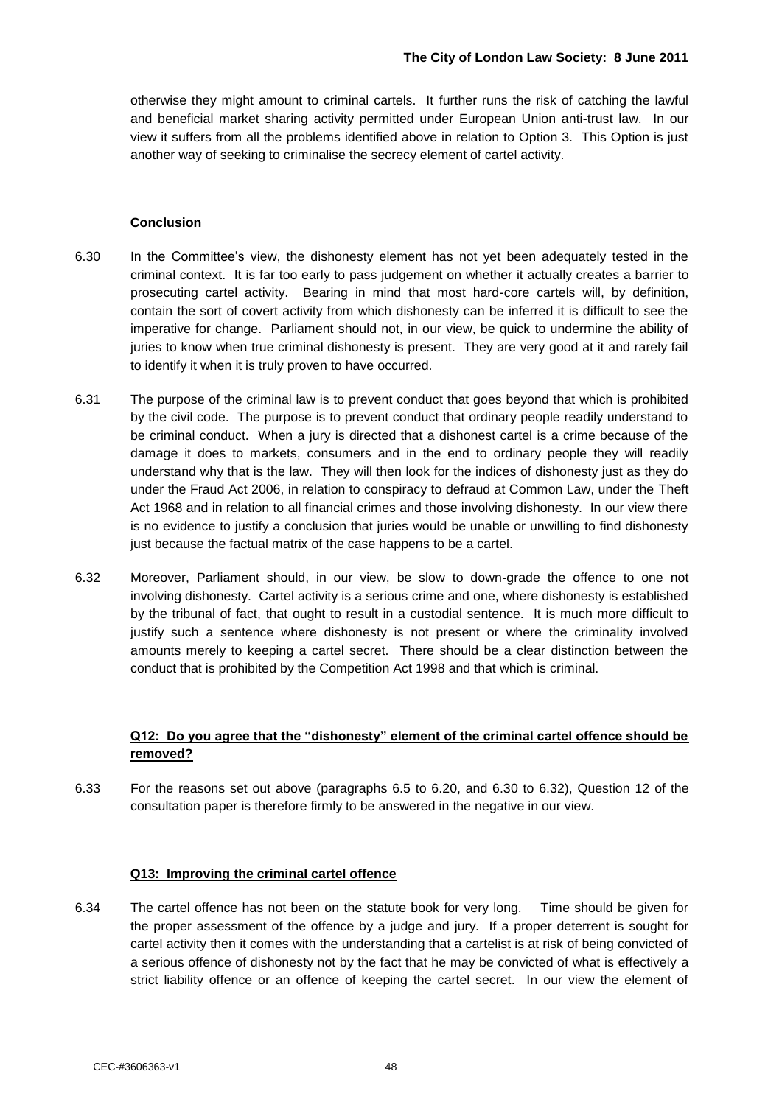otherwise they might amount to criminal cartels. It further runs the risk of catching the lawful and beneficial market sharing activity permitted under European Union anti-trust law. In our view it suffers from all the problems identified above in relation to Option 3. This Option is just another way of seeking to criminalise the secrecy element of cartel activity.

#### **Conclusion**

- 6.30 In the Committee"s view, the dishonesty element has not yet been adequately tested in the criminal context. It is far too early to pass judgement on whether it actually creates a barrier to prosecuting cartel activity. Bearing in mind that most hard-core cartels will, by definition, contain the sort of covert activity from which dishonesty can be inferred it is difficult to see the imperative for change. Parliament should not, in our view, be quick to undermine the ability of juries to know when true criminal dishonesty is present. They are very good at it and rarely fail to identify it when it is truly proven to have occurred.
- 6.31 The purpose of the criminal law is to prevent conduct that goes beyond that which is prohibited by the civil code. The purpose is to prevent conduct that ordinary people readily understand to be criminal conduct. When a jury is directed that a dishonest cartel is a crime because of the damage it does to markets, consumers and in the end to ordinary people they will readily understand why that is the law. They will then look for the indices of dishonesty just as they do under the Fraud Act 2006, in relation to conspiracy to defraud at Common Law, under the Theft Act 1968 and in relation to all financial crimes and those involving dishonesty. In our view there is no evidence to justify a conclusion that juries would be unable or unwilling to find dishonesty just because the factual matrix of the case happens to be a cartel.
- 6.32 Moreover, Parliament should, in our view, be slow to down-grade the offence to one not involving dishonesty. Cartel activity is a serious crime and one, where dishonesty is established by the tribunal of fact, that ought to result in a custodial sentence. It is much more difficult to justify such a sentence where dishonesty is not present or where the criminality involved amounts merely to keeping a cartel secret. There should be a clear distinction between the conduct that is prohibited by the Competition Act 1998 and that which is criminal.

#### **Q12: Do you agree that the "dishonesty" element of the criminal cartel offence should be removed?**

6.33 For the reasons set out above (paragraphs 6.5 to 6.20, and 6.30 to 6.32), Question 12 of the consultation paper is therefore firmly to be answered in the negative in our view.

#### **Q13: Improving the criminal cartel offence**

6.34 The cartel offence has not been on the statute book for very long. Time should be given for the proper assessment of the offence by a judge and jury. If a proper deterrent is sought for cartel activity then it comes with the understanding that a cartelist is at risk of being convicted of a serious offence of dishonesty not by the fact that he may be convicted of what is effectively a strict liability offence or an offence of keeping the cartel secret. In our view the element of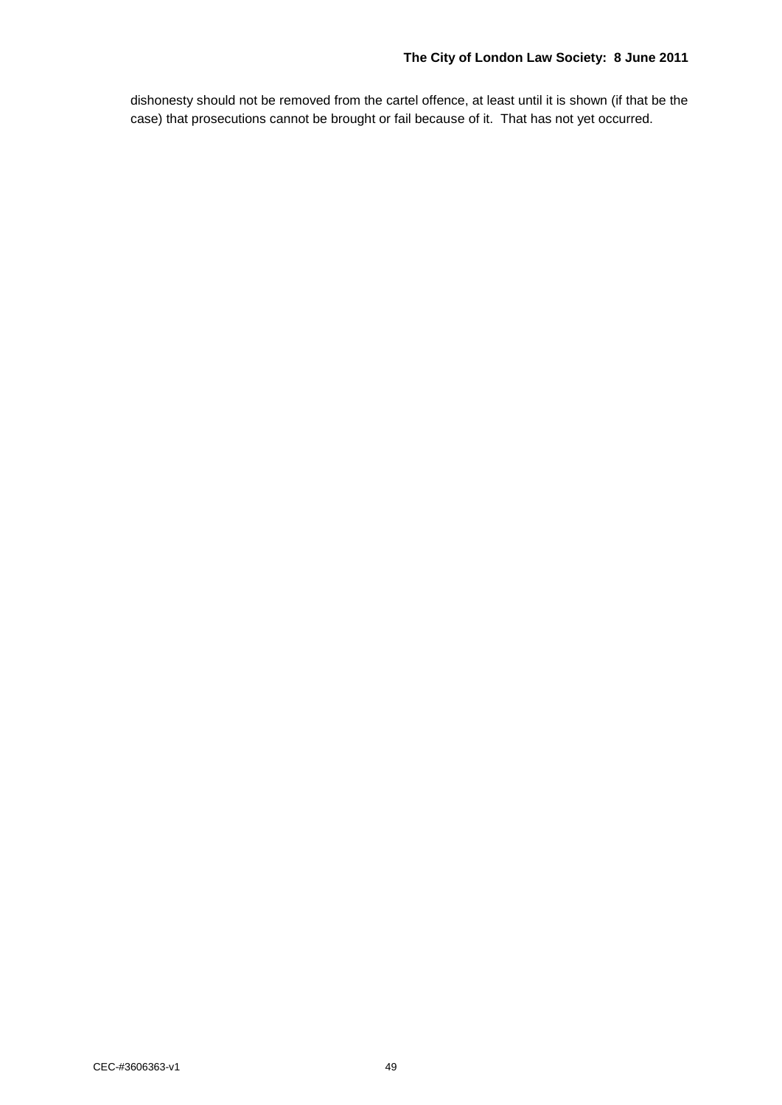dishonesty should not be removed from the cartel offence, at least until it is shown (if that be the case) that prosecutions cannot be brought or fail because of it. That has not yet occurred.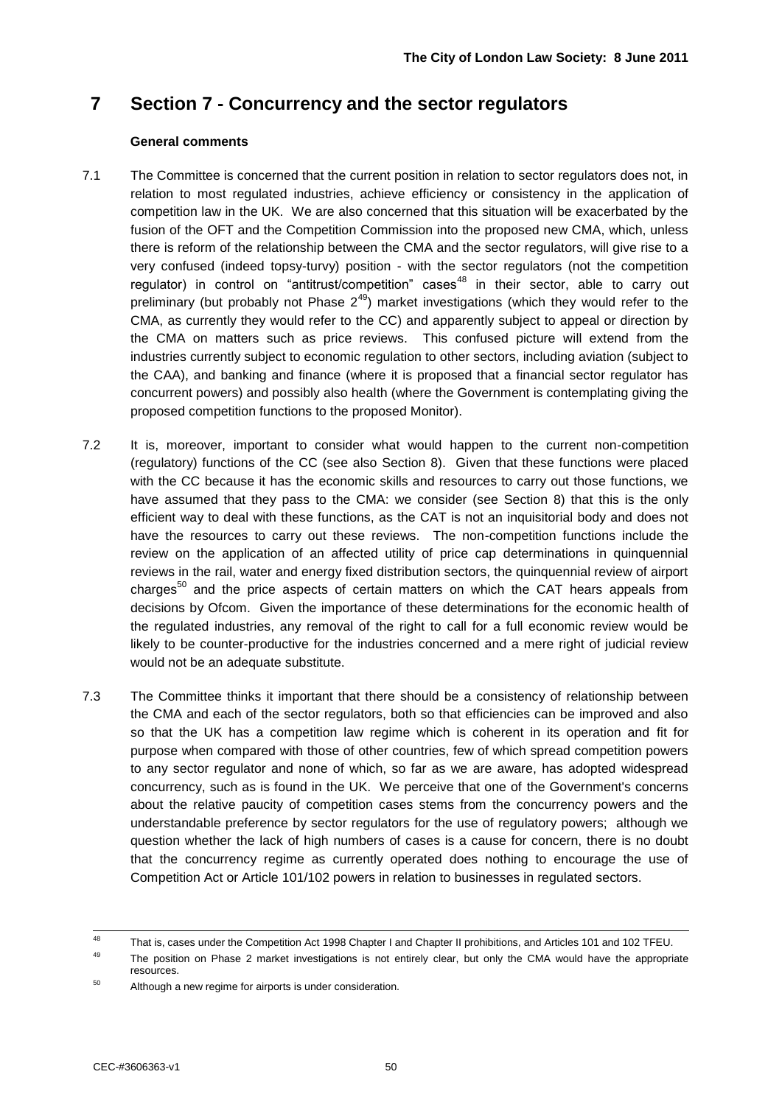## **7 Section 7 - Concurrency and the sector regulators**

#### **General comments**

- 7.1 The Committee is concerned that the current position in relation to sector regulators does not, in relation to most regulated industries, achieve efficiency or consistency in the application of competition law in the UK. We are also concerned that this situation will be exacerbated by the fusion of the OFT and the Competition Commission into the proposed new CMA, which, unless there is reform of the relationship between the CMA and the sector regulators, will give rise to a very confused (indeed topsy-turvy) position - with the sector regulators (not the competition regulator) in control on "antitrust/competition" cases<sup>48</sup> in their sector, able to carry out preliminary (but probably not Phase  $2^{49}$ ) market investigations (which they would refer to the CMA, as currently they would refer to the CC) and apparently subject to appeal or direction by the CMA on matters such as price reviews. This confused picture will extend from the industries currently subject to economic regulation to other sectors, including aviation (subject to the CAA), and banking and finance (where it is proposed that a financial sector regulator has concurrent powers) and possibly also health (where the Government is contemplating giving the proposed competition functions to the proposed Monitor).
- 7.2 It is, moreover, important to consider what would happen to the current non-competition (regulatory) functions of the CC (see also Section 8). Given that these functions were placed with the CC because it has the economic skills and resources to carry out those functions, we have assumed that they pass to the CMA: we consider (see Section 8) that this is the only efficient way to deal with these functions, as the CAT is not an inquisitorial body and does not have the resources to carry out these reviews. The non-competition functions include the review on the application of an affected utility of price cap determinations in quinquennial reviews in the rail, water and energy fixed distribution sectors, the quinquennial review of airport charges $50$  and the price aspects of certain matters on which the CAT hears appeals from decisions by Ofcom. Given the importance of these determinations for the economic health of the regulated industries, any removal of the right to call for a full economic review would be likely to be counter-productive for the industries concerned and a mere right of judicial review would not be an adequate substitute.
- 7.3 The Committee thinks it important that there should be a consistency of relationship between the CMA and each of the sector regulators, both so that efficiencies can be improved and also so that the UK has a competition law regime which is coherent in its operation and fit for purpose when compared with those of other countries, few of which spread competition powers to any sector regulator and none of which, so far as we are aware, has adopted widespread concurrency, such as is found in the UK. We perceive that one of the Government's concerns about the relative paucity of competition cases stems from the concurrency powers and the understandable preference by sector regulators for the use of regulatory powers; although we question whether the lack of high numbers of cases is a cause for concern, there is no doubt that the concurrency regime as currently operated does nothing to encourage the use of Competition Act or Article 101/102 powers in relation to businesses in regulated sectors.

<sup>48</sup> That is, cases under the Competition Act 1998 Chapter I and Chapter II prohibitions, and Articles 101 and 102 TFEU.

<sup>&</sup>lt;sup>49</sup> The position on Phase 2 market investigations is not entirely clear, but only the CMA would have the appropriate resources.

 $50$  Although a new regime for airports is under consideration.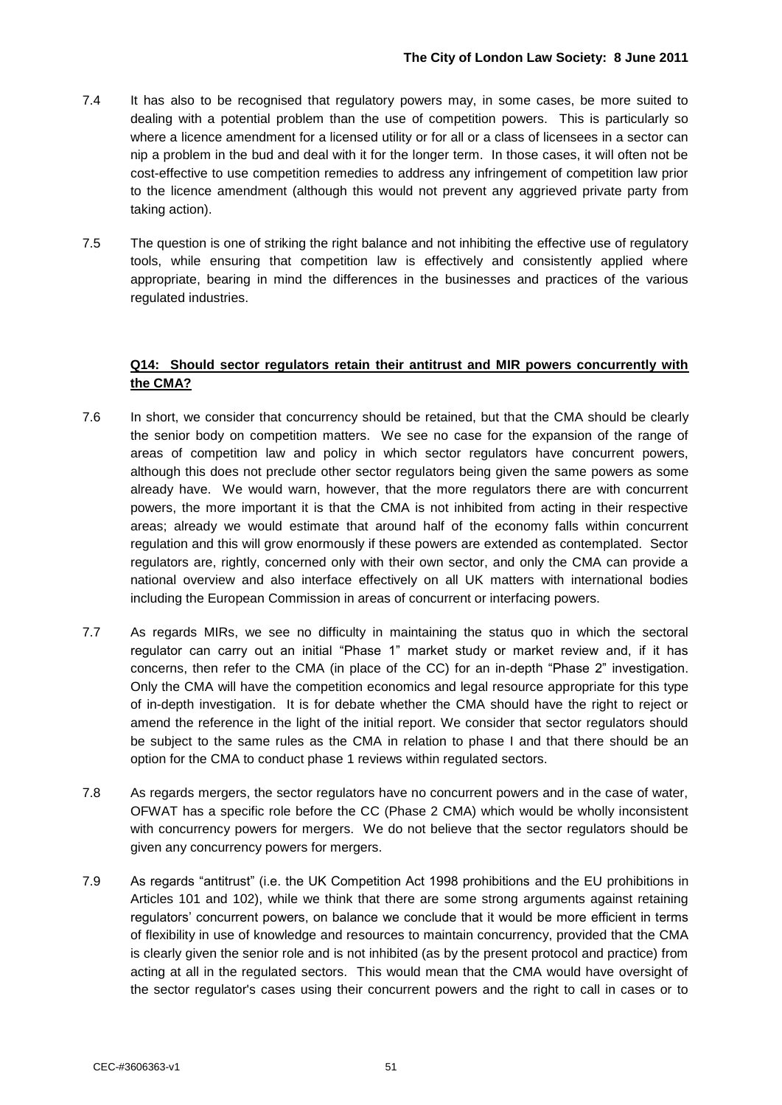- 7.4 It has also to be recognised that regulatory powers may, in some cases, be more suited to dealing with a potential problem than the use of competition powers. This is particularly so where a licence amendment for a licensed utility or for all or a class of licensees in a sector can nip a problem in the bud and deal with it for the longer term. In those cases, it will often not be cost-effective to use competition remedies to address any infringement of competition law prior to the licence amendment (although this would not prevent any aggrieved private party from taking action).
- 7.5 The question is one of striking the right balance and not inhibiting the effective use of regulatory tools, while ensuring that competition law is effectively and consistently applied where appropriate, bearing in mind the differences in the businesses and practices of the various regulated industries.

#### **Q14: Should sector regulators retain their antitrust and MIR powers concurrently with the CMA?**

- 7.6 In short, we consider that concurrency should be retained, but that the CMA should be clearly the senior body on competition matters. We see no case for the expansion of the range of areas of competition law and policy in which sector regulators have concurrent powers, although this does not preclude other sector regulators being given the same powers as some already have. We would warn, however, that the more regulators there are with concurrent powers, the more important it is that the CMA is not inhibited from acting in their respective areas; already we would estimate that around half of the economy falls within concurrent regulation and this will grow enormously if these powers are extended as contemplated. Sector regulators are, rightly, concerned only with their own sector, and only the CMA can provide a national overview and also interface effectively on all UK matters with international bodies including the European Commission in areas of concurrent or interfacing powers.
- 7.7 As regards MIRs, we see no difficulty in maintaining the status quo in which the sectoral regulator can carry out an initial "Phase 1" market study or market review and, if it has concerns, then refer to the CMA (in place of the CC) for an in-depth "Phase 2" investigation. Only the CMA will have the competition economics and legal resource appropriate for this type of in-depth investigation. It is for debate whether the CMA should have the right to reject or amend the reference in the light of the initial report. We consider that sector regulators should be subject to the same rules as the CMA in relation to phase I and that there should be an option for the CMA to conduct phase 1 reviews within regulated sectors.
- 7.8 As regards mergers, the sector regulators have no concurrent powers and in the case of water, OFWAT has a specific role before the CC (Phase 2 CMA) which would be wholly inconsistent with concurrency powers for mergers. We do not believe that the sector regulators should be given any concurrency powers for mergers.
- 7.9 As regards "antitrust" (i.e. the UK Competition Act 1998 prohibitions and the EU prohibitions in Articles 101 and 102), while we think that there are some strong arguments against retaining regulators" concurrent powers, on balance we conclude that it would be more efficient in terms of flexibility in use of knowledge and resources to maintain concurrency, provided that the CMA is clearly given the senior role and is not inhibited (as by the present protocol and practice) from acting at all in the regulated sectors. This would mean that the CMA would have oversight of the sector regulator's cases using their concurrent powers and the right to call in cases or to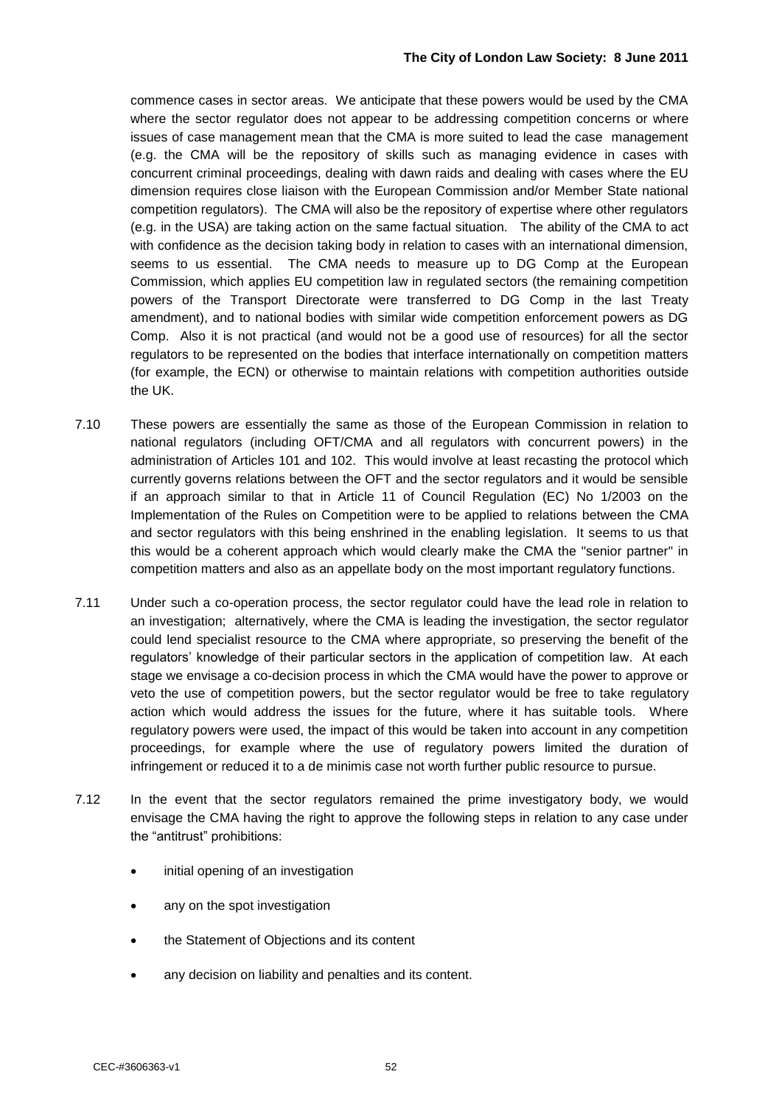commence cases in sector areas. We anticipate that these powers would be used by the CMA where the sector regulator does not appear to be addressing competition concerns or where issues of case management mean that the CMA is more suited to lead the case management (e.g. the CMA will be the repository of skills such as managing evidence in cases with concurrent criminal proceedings, dealing with dawn raids and dealing with cases where the EU dimension requires close liaison with the European Commission and/or Member State national competition regulators). The CMA will also be the repository of expertise where other regulators (e.g. in the USA) are taking action on the same factual situation. The ability of the CMA to act with confidence as the decision taking body in relation to cases with an international dimension, seems to us essential. The CMA needs to measure up to DG Comp at the European Commission, which applies EU competition law in regulated sectors (the remaining competition powers of the Transport Directorate were transferred to DG Comp in the last Treaty amendment), and to national bodies with similar wide competition enforcement powers as DG Comp. Also it is not practical (and would not be a good use of resources) for all the sector regulators to be represented on the bodies that interface internationally on competition matters (for example, the ECN) or otherwise to maintain relations with competition authorities outside the UK.

- 7.10 These powers are essentially the same as those of the European Commission in relation to national regulators (including OFT/CMA and all regulators with concurrent powers) in the administration of Articles 101 and 102. This would involve at least recasting the protocol which currently governs relations between the OFT and the sector regulators and it would be sensible if an approach similar to that in Article 11 of Council Regulation (EC) No 1/2003 on the Implementation of the Rules on Competition were to be applied to relations between the CMA and sector regulators with this being enshrined in the enabling legislation. It seems to us that this would be a coherent approach which would clearly make the CMA the "senior partner" in competition matters and also as an appellate body on the most important regulatory functions.
- 7.11 Under such a co-operation process, the sector regulator could have the lead role in relation to an investigation; alternatively, where the CMA is leading the investigation, the sector regulator could lend specialist resource to the CMA where appropriate, so preserving the benefit of the regulators" knowledge of their particular sectors in the application of competition law. At each stage we envisage a co-decision process in which the CMA would have the power to approve or veto the use of competition powers, but the sector regulator would be free to take regulatory action which would address the issues for the future, where it has suitable tools. Where regulatory powers were used, the impact of this would be taken into account in any competition proceedings, for example where the use of regulatory powers limited the duration of infringement or reduced it to a de minimis case not worth further public resource to pursue.
- 7.12 In the event that the sector regulators remained the prime investigatory body, we would envisage the CMA having the right to approve the following steps in relation to any case under the "antitrust" prohibitions:
	- initial opening of an investigation
	- any on the spot investigation
	- the Statement of Objections and its content
	- any decision on liability and penalties and its content.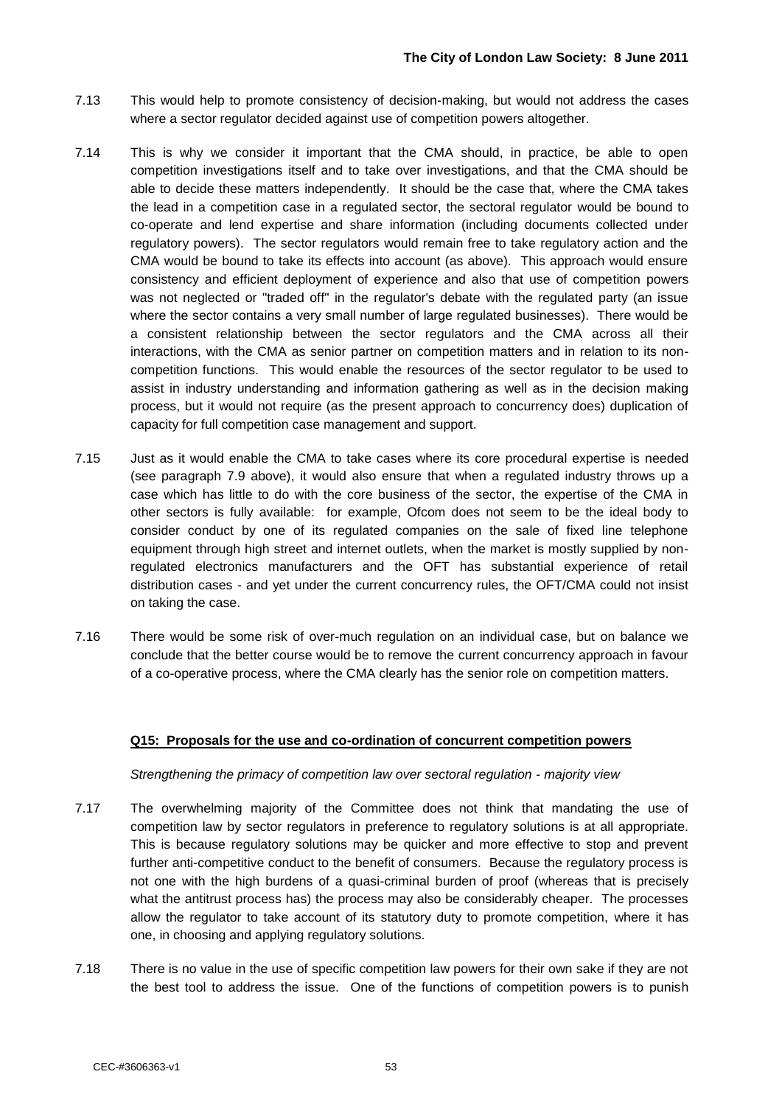- 7.13 This would help to promote consistency of decision-making, but would not address the cases where a sector regulator decided against use of competition powers altogether.
- 7.14 This is why we consider it important that the CMA should, in practice, be able to open competition investigations itself and to take over investigations, and that the CMA should be able to decide these matters independently. It should be the case that, where the CMA takes the lead in a competition case in a regulated sector, the sectoral regulator would be bound to co-operate and lend expertise and share information (including documents collected under regulatory powers). The sector regulators would remain free to take regulatory action and the CMA would be bound to take its effects into account (as above). This approach would ensure consistency and efficient deployment of experience and also that use of competition powers was not neglected or "traded off" in the regulator's debate with the regulated party (an issue where the sector contains a very small number of large regulated businesses). There would be a consistent relationship between the sector regulators and the CMA across all their interactions, with the CMA as senior partner on competition matters and in relation to its noncompetition functions. This would enable the resources of the sector regulator to be used to assist in industry understanding and information gathering as well as in the decision making process, but it would not require (as the present approach to concurrency does) duplication of capacity for full competition case management and support.
- 7.15 Just as it would enable the CMA to take cases where its core procedural expertise is needed (see paragraph 7.9 above), it would also ensure that when a regulated industry throws up a case which has little to do with the core business of the sector, the expertise of the CMA in other sectors is fully available: for example, Ofcom does not seem to be the ideal body to consider conduct by one of its regulated companies on the sale of fixed line telephone equipment through high street and internet outlets, when the market is mostly supplied by nonregulated electronics manufacturers and the OFT has substantial experience of retail distribution cases - and yet under the current concurrency rules, the OFT/CMA could not insist on taking the case.
- 7.16 There would be some risk of over-much regulation on an individual case, but on balance we conclude that the better course would be to remove the current concurrency approach in favour of a co-operative process, where the CMA clearly has the senior role on competition matters.

#### **Q15: Proposals for the use and co-ordination of concurrent competition powers**

*Strengthening the primacy of competition law over sectoral regulation - majority view*

- 7.17 The overwhelming majority of the Committee does not think that mandating the use of competition law by sector regulators in preference to regulatory solutions is at all appropriate. This is because regulatory solutions may be quicker and more effective to stop and prevent further anti-competitive conduct to the benefit of consumers. Because the regulatory process is not one with the high burdens of a quasi-criminal burden of proof (whereas that is precisely what the antitrust process has) the process may also be considerably cheaper. The processes allow the regulator to take account of its statutory duty to promote competition, where it has one, in choosing and applying regulatory solutions.
- 7.18 There is no value in the use of specific competition law powers for their own sake if they are not the best tool to address the issue. One of the functions of competition powers is to punish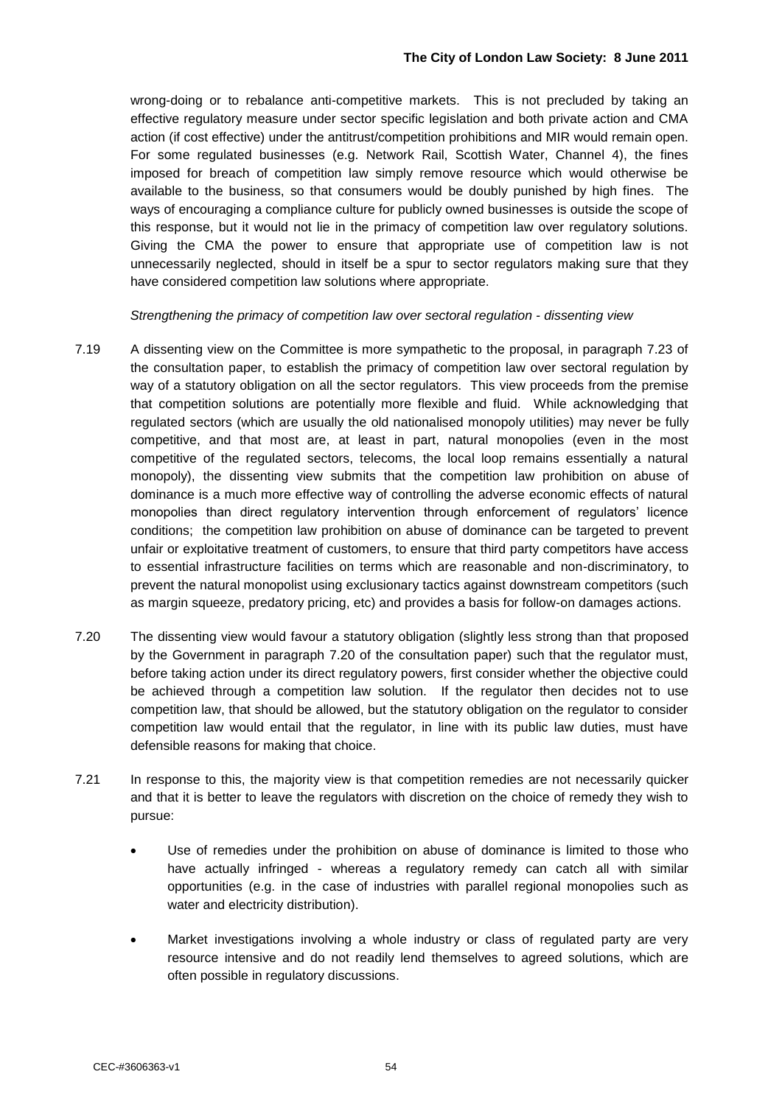wrong-doing or to rebalance anti-competitive markets. This is not precluded by taking an effective regulatory measure under sector specific legislation and both private action and CMA action (if cost effective) under the antitrust/competition prohibitions and MIR would remain open. For some regulated businesses (e.g. Network Rail, Scottish Water, Channel 4), the fines imposed for breach of competition law simply remove resource which would otherwise be available to the business, so that consumers would be doubly punished by high fines. The ways of encouraging a compliance culture for publicly owned businesses is outside the scope of this response, but it would not lie in the primacy of competition law over regulatory solutions. Giving the CMA the power to ensure that appropriate use of competition law is not unnecessarily neglected, should in itself be a spur to sector regulators making sure that they have considered competition law solutions where appropriate.

*Strengthening the primacy of competition law over sectoral regulation - dissenting view*

- 7.19 A dissenting view on the Committee is more sympathetic to the proposal, in paragraph 7.23 of the consultation paper, to establish the primacy of competition law over sectoral regulation by way of a statutory obligation on all the sector regulators. This view proceeds from the premise that competition solutions are potentially more flexible and fluid. While acknowledging that regulated sectors (which are usually the old nationalised monopoly utilities) may never be fully competitive, and that most are, at least in part, natural monopolies (even in the most competitive of the regulated sectors, telecoms, the local loop remains essentially a natural monopoly), the dissenting view submits that the competition law prohibition on abuse of dominance is a much more effective way of controlling the adverse economic effects of natural monopolies than direct regulatory intervention through enforcement of regulators" licence conditions; the competition law prohibition on abuse of dominance can be targeted to prevent unfair or exploitative treatment of customers, to ensure that third party competitors have access to essential infrastructure facilities on terms which are reasonable and non-discriminatory, to prevent the natural monopolist using exclusionary tactics against downstream competitors (such as margin squeeze, predatory pricing, etc) and provides a basis for follow-on damages actions.
- 7.20 The dissenting view would favour a statutory obligation (slightly less strong than that proposed by the Government in paragraph 7.20 of the consultation paper) such that the regulator must, before taking action under its direct regulatory powers, first consider whether the objective could be achieved through a competition law solution. If the regulator then decides not to use competition law, that should be allowed, but the statutory obligation on the regulator to consider competition law would entail that the regulator, in line with its public law duties, must have defensible reasons for making that choice.
- 7.21 In response to this, the majority view is that competition remedies are not necessarily quicker and that it is better to leave the regulators with discretion on the choice of remedy they wish to pursue:
	- Use of remedies under the prohibition on abuse of dominance is limited to those who have actually infringed - whereas a regulatory remedy can catch all with similar opportunities (e.g. in the case of industries with parallel regional monopolies such as water and electricity distribution).
	- Market investigations involving a whole industry or class of regulated party are very resource intensive and do not readily lend themselves to agreed solutions, which are often possible in regulatory discussions.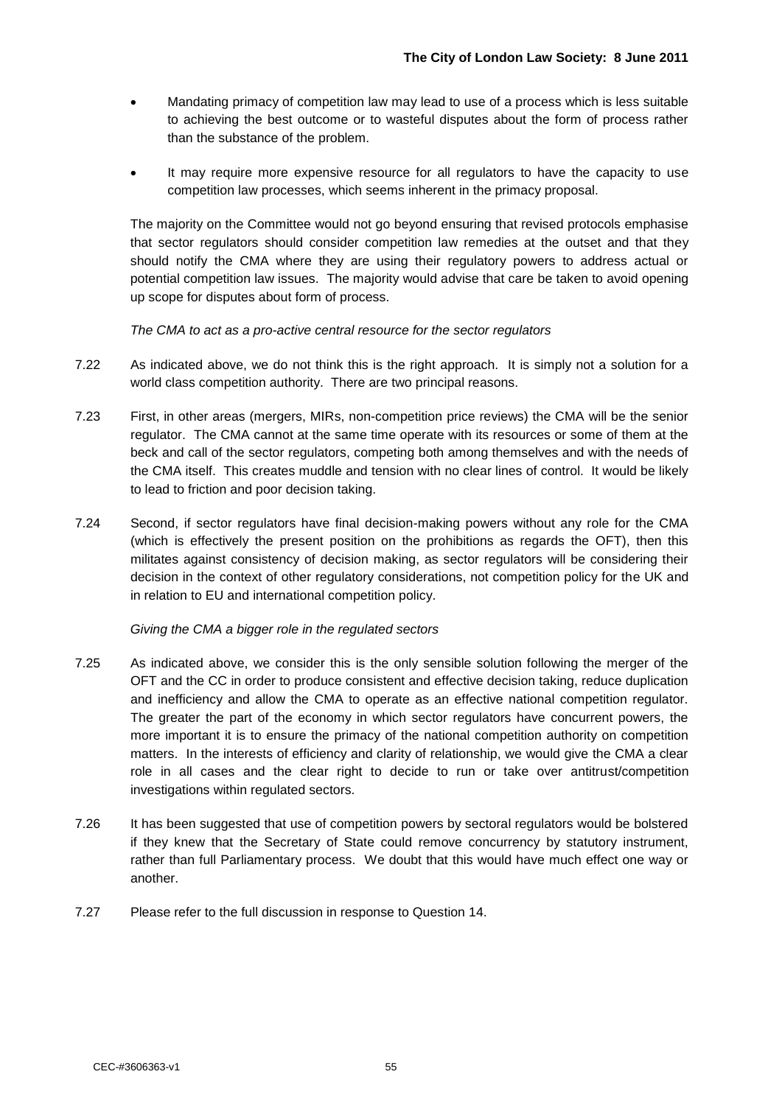- Mandating primacy of competition law may lead to use of a process which is less suitable to achieving the best outcome or to wasteful disputes about the form of process rather than the substance of the problem.
- It may require more expensive resource for all regulators to have the capacity to use competition law processes, which seems inherent in the primacy proposal.

The majority on the Committee would not go beyond ensuring that revised protocols emphasise that sector regulators should consider competition law remedies at the outset and that they should notify the CMA where they are using their regulatory powers to address actual or potential competition law issues. The majority would advise that care be taken to avoid opening up scope for disputes about form of process.

*The CMA to act as a pro-active central resource for the sector regulators*

- 7.22 As indicated above, we do not think this is the right approach. It is simply not a solution for a world class competition authority. There are two principal reasons.
- 7.23 First, in other areas (mergers, MIRs, non-competition price reviews) the CMA will be the senior regulator. The CMA cannot at the same time operate with its resources or some of them at the beck and call of the sector regulators, competing both among themselves and with the needs of the CMA itself. This creates muddle and tension with no clear lines of control. It would be likely to lead to friction and poor decision taking.
- 7.24 Second, if sector regulators have final decision-making powers without any role for the CMA (which is effectively the present position on the prohibitions as regards the OFT), then this militates against consistency of decision making, as sector regulators will be considering their decision in the context of other regulatory considerations, not competition policy for the UK and in relation to EU and international competition policy.

*Giving the CMA a bigger role in the regulated sectors*

- 7.25 As indicated above, we consider this is the only sensible solution following the merger of the OFT and the CC in order to produce consistent and effective decision taking, reduce duplication and inefficiency and allow the CMA to operate as an effective national competition regulator. The greater the part of the economy in which sector regulators have concurrent powers, the more important it is to ensure the primacy of the national competition authority on competition matters. In the interests of efficiency and clarity of relationship, we would give the CMA a clear role in all cases and the clear right to decide to run or take over antitrust/competition investigations within regulated sectors.
- 7.26 It has been suggested that use of competition powers by sectoral regulators would be bolstered if they knew that the Secretary of State could remove concurrency by statutory instrument, rather than full Parliamentary process. We doubt that this would have much effect one way or another.
- 7.27 Please refer to the full discussion in response to Question 14.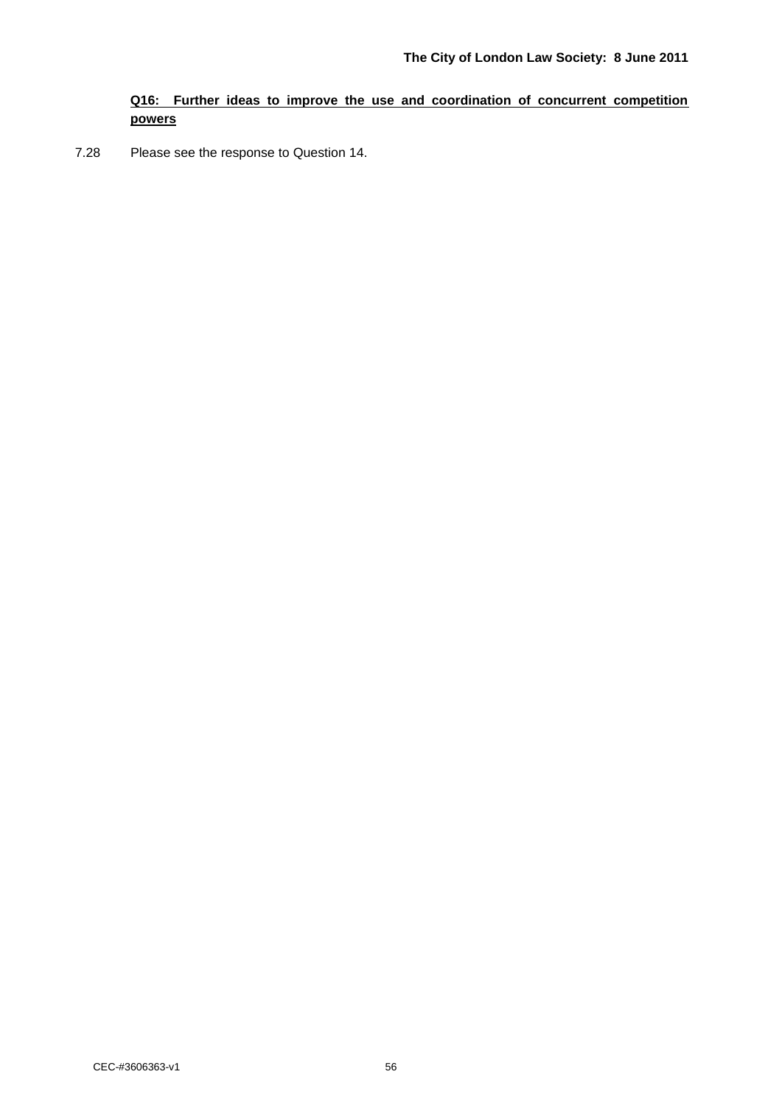#### **Q16: Further ideas to improve the use and coordination of concurrent competition powers**

7.28 Please see the response to Question 14.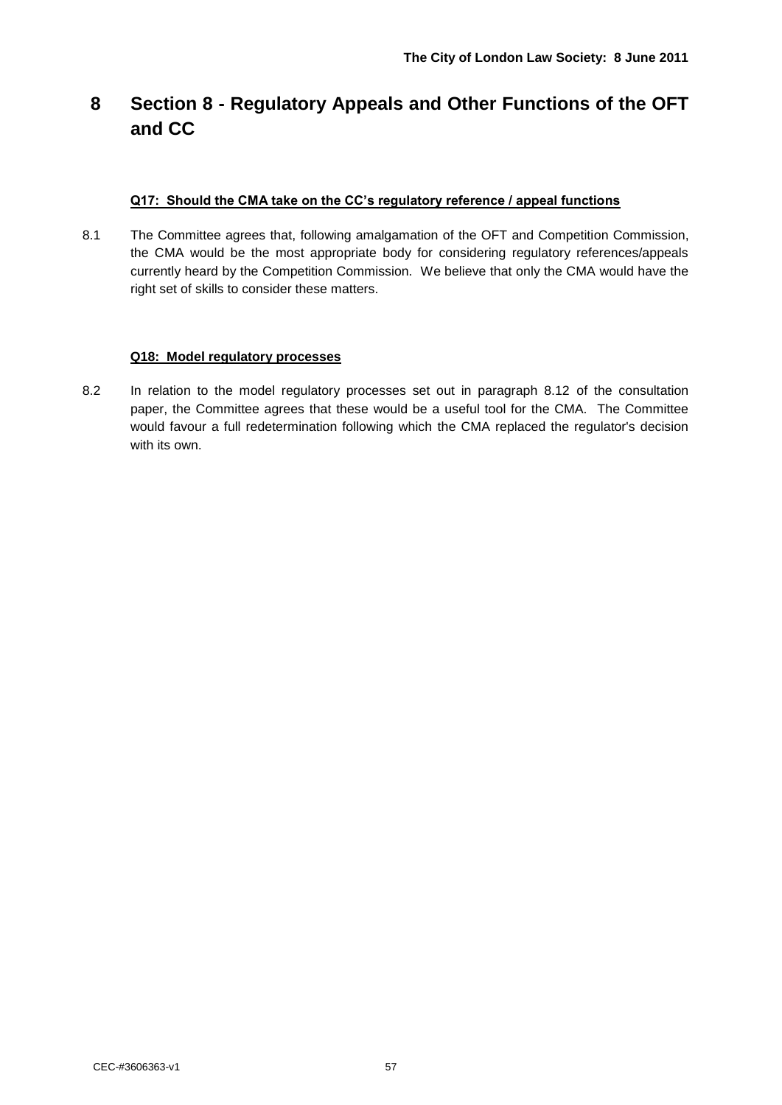# **8 Section 8 - Regulatory Appeals and Other Functions of the OFT and CC**

#### **Q17: Should the CMA take on the CC's regulatory reference / appeal functions**

8.1 The Committee agrees that, following amalgamation of the OFT and Competition Commission, the CMA would be the most appropriate body for considering regulatory references/appeals currently heard by the Competition Commission. We believe that only the CMA would have the right set of skills to consider these matters.

#### **Q18: Model regulatory processes**

8.2 In relation to the model regulatory processes set out in paragraph 8.12 of the consultation paper, the Committee agrees that these would be a useful tool for the CMA. The Committee would favour a full redetermination following which the CMA replaced the regulator's decision with its own.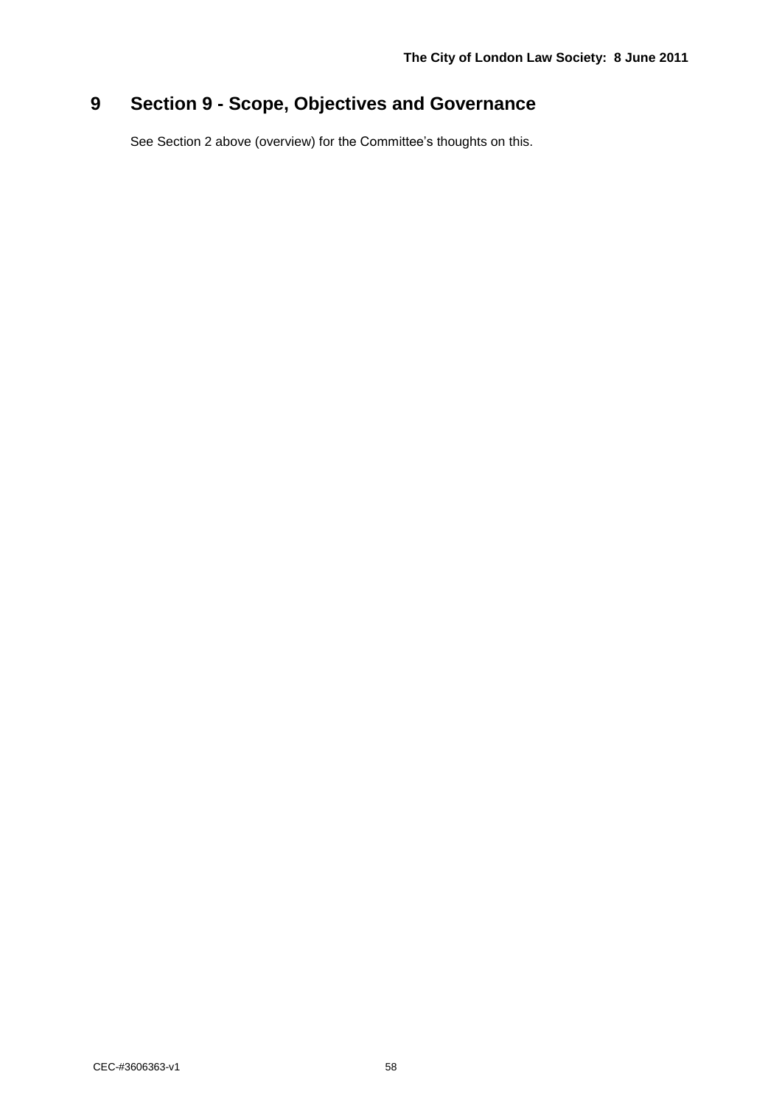# **9 Section 9 - Scope, Objectives and Governance**

See Section 2 above (overview) for the Committee's thoughts on this.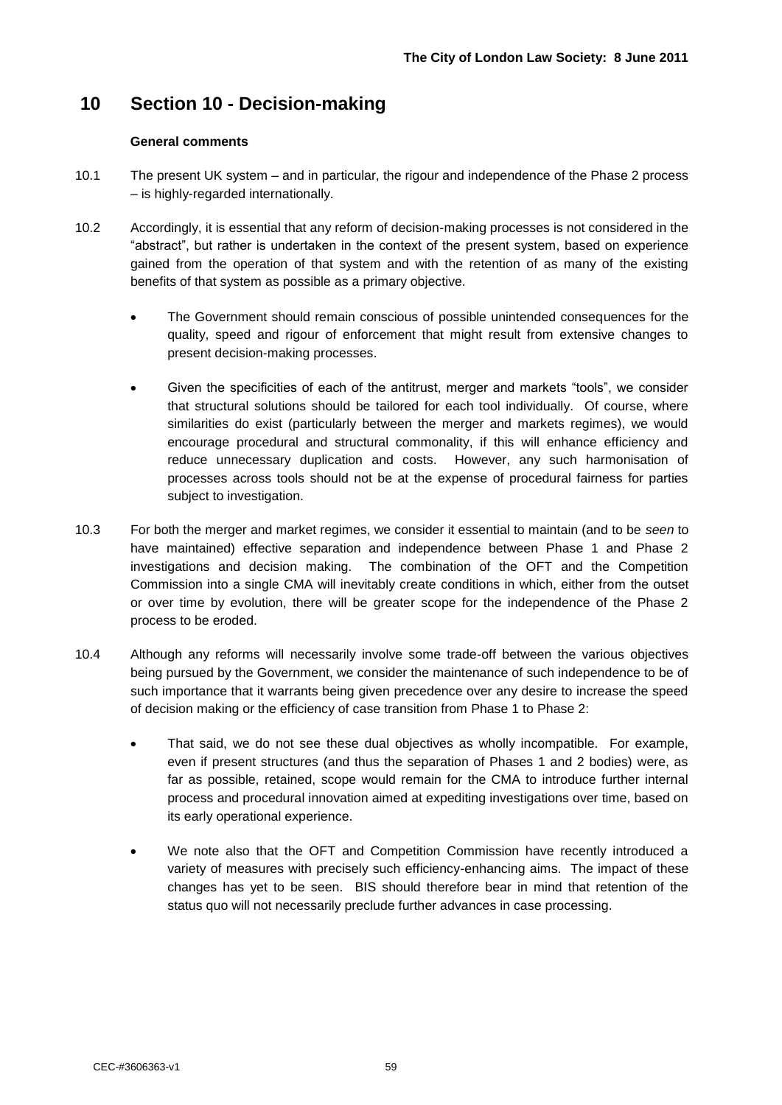### **10 Section 10 - Decision-making**

#### **General comments**

- 10.1 The present UK system and in particular, the rigour and independence of the Phase 2 process – is highly-regarded internationally.
- 10.2 Accordingly, it is essential that any reform of decision-making processes is not considered in the "abstract", but rather is undertaken in the context of the present system, based on experience gained from the operation of that system and with the retention of as many of the existing benefits of that system as possible as a primary objective.
	- The Government should remain conscious of possible unintended consequences for the quality, speed and rigour of enforcement that might result from extensive changes to present decision-making processes.
	- Given the specificities of each of the antitrust, merger and markets "tools", we consider that structural solutions should be tailored for each tool individually. Of course, where similarities do exist (particularly between the merger and markets regimes), we would encourage procedural and structural commonality, if this will enhance efficiency and reduce unnecessary duplication and costs. However, any such harmonisation of processes across tools should not be at the expense of procedural fairness for parties subject to investigation.
- 10.3 For both the merger and market regimes, we consider it essential to maintain (and to be *seen* to have maintained) effective separation and independence between Phase 1 and Phase 2 investigations and decision making. The combination of the OFT and the Competition Commission into a single CMA will inevitably create conditions in which, either from the outset or over time by evolution, there will be greater scope for the independence of the Phase 2 process to be eroded.
- 10.4 Although any reforms will necessarily involve some trade-off between the various objectives being pursued by the Government, we consider the maintenance of such independence to be of such importance that it warrants being given precedence over any desire to increase the speed of decision making or the efficiency of case transition from Phase 1 to Phase 2:
	- That said, we do not see these dual objectives as wholly incompatible. For example, even if present structures (and thus the separation of Phases 1 and 2 bodies) were, as far as possible, retained, scope would remain for the CMA to introduce further internal process and procedural innovation aimed at expediting investigations over time, based on its early operational experience.
	- We note also that the OFT and Competition Commission have recently introduced a variety of measures with precisely such efficiency-enhancing aims. The impact of these changes has yet to be seen. BIS should therefore bear in mind that retention of the status quo will not necessarily preclude further advances in case processing.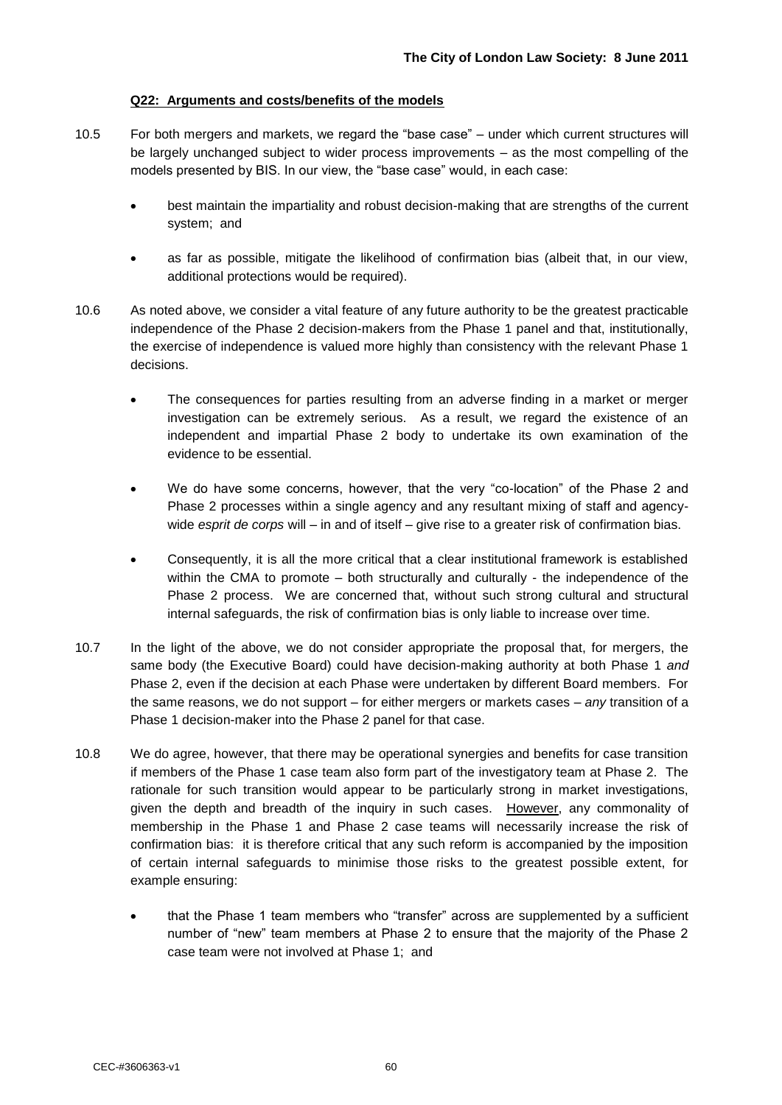#### **Q22: Arguments and costs/benefits of the models**

- 10.5 For both mergers and markets, we regard the "base case" under which current structures will be largely unchanged subject to wider process improvements – as the most compelling of the models presented by BIS. In our view, the "base case" would, in each case:
	- best maintain the impartiality and robust decision-making that are strengths of the current system; and
	- as far as possible, mitigate the likelihood of confirmation bias (albeit that, in our view, additional protections would be required).
- 10.6 As noted above, we consider a vital feature of any future authority to be the greatest practicable independence of the Phase 2 decision-makers from the Phase 1 panel and that, institutionally, the exercise of independence is valued more highly than consistency with the relevant Phase 1 decisions.
	- The consequences for parties resulting from an adverse finding in a market or merger investigation can be extremely serious. As a result, we regard the existence of an independent and impartial Phase 2 body to undertake its own examination of the evidence to be essential.
	- We do have some concerns, however, that the very "co-location" of the Phase 2 and Phase 2 processes within a single agency and any resultant mixing of staff and agencywide *esprit de corps* will – in and of itself – give rise to a greater risk of confirmation bias.
	- Consequently, it is all the more critical that a clear institutional framework is established within the CMA to promote – both structurally and culturally - the independence of the Phase 2 process. We are concerned that, without such strong cultural and structural internal safeguards, the risk of confirmation bias is only liable to increase over time.
- 10.7 In the light of the above, we do not consider appropriate the proposal that, for mergers, the same body (the Executive Board) could have decision-making authority at both Phase 1 *and* Phase 2, even if the decision at each Phase were undertaken by different Board members. For the same reasons, we do not support – for either mergers or markets cases – *any* transition of a Phase 1 decision-maker into the Phase 2 panel for that case.
- 10.8 We do agree, however, that there may be operational synergies and benefits for case transition if members of the Phase 1 case team also form part of the investigatory team at Phase 2. The rationale for such transition would appear to be particularly strong in market investigations, given the depth and breadth of the inquiry in such cases. However, any commonality of membership in the Phase 1 and Phase 2 case teams will necessarily increase the risk of confirmation bias: it is therefore critical that any such reform is accompanied by the imposition of certain internal safeguards to minimise those risks to the greatest possible extent, for example ensuring:
	- that the Phase 1 team members who "transfer" across are supplemented by a sufficient number of "new" team members at Phase 2 to ensure that the majority of the Phase 2 case team were not involved at Phase 1; and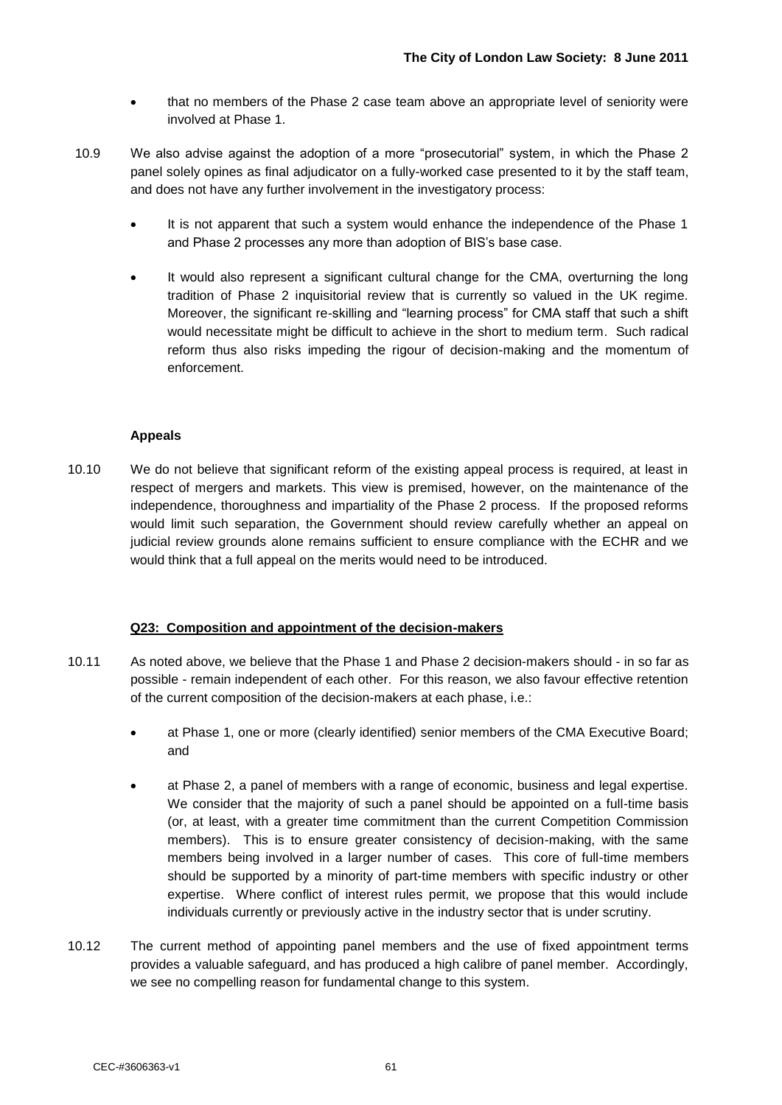- that no members of the Phase 2 case team above an appropriate level of seniority were involved at Phase 1.
- 10.9 We also advise against the adoption of a more "prosecutorial" system, in which the Phase 2 panel solely opines as final adjudicator on a fully-worked case presented to it by the staff team, and does not have any further involvement in the investigatory process:
	- It is not apparent that such a system would enhance the independence of the Phase 1 and Phase 2 processes any more than adoption of BIS"s base case.
	- It would also represent a significant cultural change for the CMA, overturning the long tradition of Phase 2 inquisitorial review that is currently so valued in the UK regime. Moreover, the significant re-skilling and "learning process" for CMA staff that such a shift would necessitate might be difficult to achieve in the short to medium term. Such radical reform thus also risks impeding the rigour of decision-making and the momentum of enforcement.

#### **Appeals**

10.10 We do not believe that significant reform of the existing appeal process is required, at least in respect of mergers and markets. This view is premised, however, on the maintenance of the independence, thoroughness and impartiality of the Phase 2 process. If the proposed reforms would limit such separation, the Government should review carefully whether an appeal on judicial review grounds alone remains sufficient to ensure compliance with the ECHR and we would think that a full appeal on the merits would need to be introduced.

#### **Q23: Composition and appointment of the decision-makers**

- 10.11 As noted above, we believe that the Phase 1 and Phase 2 decision-makers should in so far as possible - remain independent of each other. For this reason, we also favour effective retention of the current composition of the decision-makers at each phase, i.e.:
	- at Phase 1, one or more (clearly identified) senior members of the CMA Executive Board; and
	- at Phase 2, a panel of members with a range of economic, business and legal expertise. We consider that the majority of such a panel should be appointed on a full-time basis (or, at least, with a greater time commitment than the current Competition Commission members). This is to ensure greater consistency of decision-making, with the same members being involved in a larger number of cases. This core of full-time members should be supported by a minority of part-time members with specific industry or other expertise. Where conflict of interest rules permit, we propose that this would include individuals currently or previously active in the industry sector that is under scrutiny.
- 10.12 The current method of appointing panel members and the use of fixed appointment terms provides a valuable safeguard, and has produced a high calibre of panel member. Accordingly, we see no compelling reason for fundamental change to this system.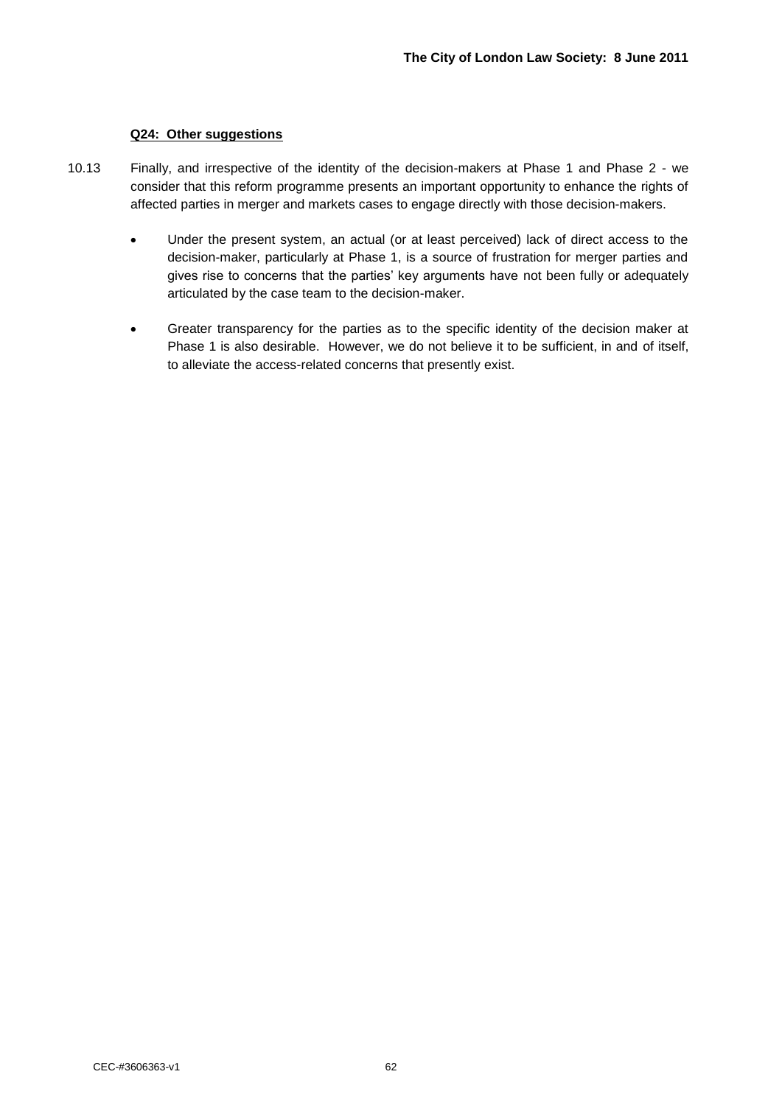#### **Q24: Other suggestions**

- 10.13 Finally, and irrespective of the identity of the decision-makers at Phase 1 and Phase 2 we consider that this reform programme presents an important opportunity to enhance the rights of affected parties in merger and markets cases to engage directly with those decision-makers.
	- Under the present system, an actual (or at least perceived) lack of direct access to the decision-maker, particularly at Phase 1, is a source of frustration for merger parties and gives rise to concerns that the parties' key arguments have not been fully or adequately articulated by the case team to the decision-maker.
	- Greater transparency for the parties as to the specific identity of the decision maker at Phase 1 is also desirable. However, we do not believe it to be sufficient, in and of itself, to alleviate the access-related concerns that presently exist.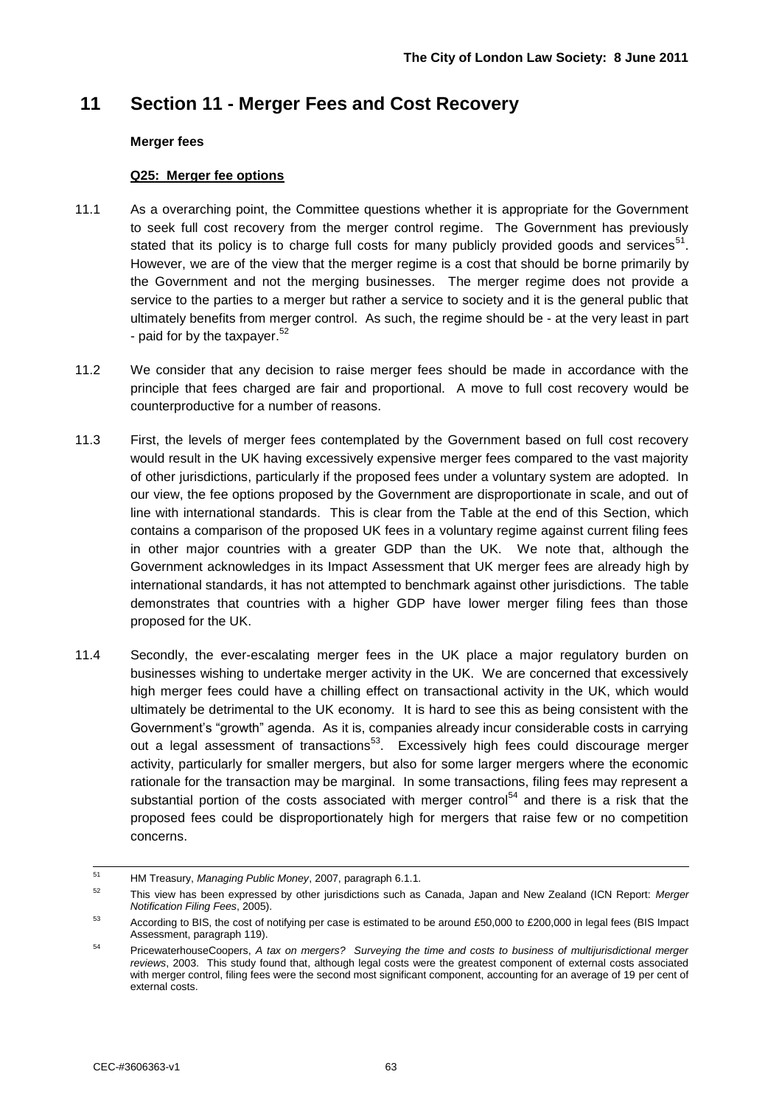## **11 Section 11 - Merger Fees and Cost Recovery**

#### **Merger fees**

#### **Q25: Merger fee options**

- 11.1 As a overarching point, the Committee questions whether it is appropriate for the Government to seek full cost recovery from the merger control regime. The Government has previously stated that its policy is to charge full costs for many publicly provided goods and services $51$ . However, we are of the view that the merger regime is a cost that should be borne primarily by the Government and not the merging businesses. The merger regime does not provide a service to the parties to a merger but rather a service to society and it is the general public that ultimately benefits from merger control. As such, the regime should be - at the very least in part - paid for by the taxpayer.<sup>52</sup>
- 11.2 We consider that any decision to raise merger fees should be made in accordance with the principle that fees charged are fair and proportional. A move to full cost recovery would be counterproductive for a number of reasons.
- 11.3 First, the levels of merger fees contemplated by the Government based on full cost recovery would result in the UK having excessively expensive merger fees compared to the vast majority of other jurisdictions, particularly if the proposed fees under a voluntary system are adopted. In our view, the fee options proposed by the Government are disproportionate in scale, and out of line with international standards. This is clear from the Table at the end of this Section, which contains a comparison of the proposed UK fees in a voluntary regime against current filing fees in other major countries with a greater GDP than the UK. We note that, although the Government acknowledges in its Impact Assessment that UK merger fees are already high by international standards, it has not attempted to benchmark against other jurisdictions. The table demonstrates that countries with a higher GDP have lower merger filing fees than those proposed for the UK.
- 11.4 Secondly, the ever-escalating merger fees in the UK place a major regulatory burden on businesses wishing to undertake merger activity in the UK. We are concerned that excessively high merger fees could have a chilling effect on transactional activity in the UK, which would ultimately be detrimental to the UK economy. It is hard to see this as being consistent with the Government's "growth" agenda. As it is, companies already incur considerable costs in carrying out a legal assessment of transactions<sup>53</sup>. Excessively high fees could discourage merger activity, particularly for smaller mergers, but also for some larger mergers where the economic rationale for the transaction may be marginal. In some transactions, filing fees may represent a substantial portion of the costs associated with merger control<sup>54</sup> and there is a risk that the proposed fees could be disproportionately high for mergers that raise few or no competition concerns.

 $\overline{54}$ <sup>51</sup> HM Treasury, *Managing Public Money*, 2007, paragraph 6.1.1.

<sup>52</sup> This view has been expressed by other jurisdictions such as Canada, Japan and New Zealand (ICN Report: *Merger Notification Filing Fees*, 2005).

<sup>&</sup>lt;sup>53</sup> According to BIS, the cost of notifying per case is estimated to be around £50,000 to £200,000 in legal fees (BIS Impact Assessment, paragraph 119).

<sup>54</sup> PricewaterhouseCoopers, *A tax on mergers? Surveying the time and costs to business of multijurisdictional merger reviews*, 2003. This study found that, although legal costs were the greatest component of external costs associated with merger control, filing fees were the second most significant component, accounting for an average of 19 per cent of external costs.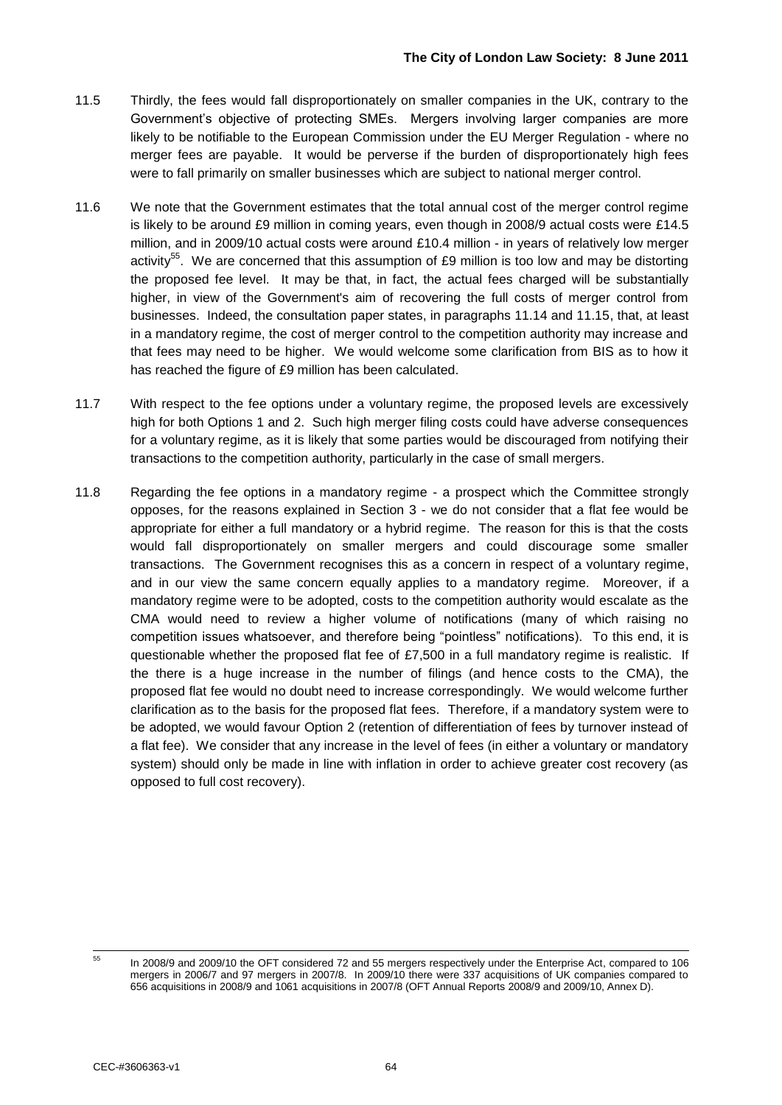- 11.5 Thirdly, the fees would fall disproportionately on smaller companies in the UK, contrary to the Government's objective of protecting SMEs. Mergers involving larger companies are more likely to be notifiable to the European Commission under the EU Merger Regulation - where no merger fees are payable. It would be perverse if the burden of disproportionately high fees were to fall primarily on smaller businesses which are subject to national merger control.
- 11.6 We note that the Government estimates that the total annual cost of the merger control regime is likely to be around £9 million in coming years, even though in 2008/9 actual costs were £14.5 million, and in 2009/10 actual costs were around £10.4 million - in years of relatively low merger activity<sup>55</sup>. We are concerned that this assumption of £9 million is too low and may be distorting the proposed fee level. It may be that, in fact, the actual fees charged will be substantially higher, in view of the Government's aim of recovering the full costs of merger control from businesses. Indeed, the consultation paper states, in paragraphs 11.14 and 11.15, that, at least in a mandatory regime, the cost of merger control to the competition authority may increase and that fees may need to be higher. We would welcome some clarification from BIS as to how it has reached the figure of £9 million has been calculated.
- 11.7 With respect to the fee options under a voluntary regime, the proposed levels are excessively high for both Options 1 and 2. Such high merger filing costs could have adverse consequences for a voluntary regime, as it is likely that some parties would be discouraged from notifying their transactions to the competition authority, particularly in the case of small mergers.
- 11.8 Regarding the fee options in a mandatory regime a prospect which the Committee strongly opposes, for the reasons explained in Section 3 - we do not consider that a flat fee would be appropriate for either a full mandatory or a hybrid regime. The reason for this is that the costs would fall disproportionately on smaller mergers and could discourage some smaller transactions. The Government recognises this as a concern in respect of a voluntary regime, and in our view the same concern equally applies to a mandatory regime. Moreover, if a mandatory regime were to be adopted, costs to the competition authority would escalate as the CMA would need to review a higher volume of notifications (many of which raising no competition issues whatsoever, and therefore being "pointless" notifications). To this end, it is questionable whether the proposed flat fee of £7,500 in a full mandatory regime is realistic. If the there is a huge increase in the number of filings (and hence costs to the CMA), the proposed flat fee would no doubt need to increase correspondingly. We would welcome further clarification as to the basis for the proposed flat fees. Therefore, if a mandatory system were to be adopted, we would favour Option 2 (retention of differentiation of fees by turnover instead of a flat fee). We consider that any increase in the level of fees (in either a voluntary or mandatory system) should only be made in line with inflation in order to achieve greater cost recovery (as opposed to full cost recovery).

 $\overline{55}$ 

<sup>55</sup> In 2008/9 and 2009/10 the OFT considered 72 and 55 mergers respectively under the Enterprise Act, compared to 106 mergers in 2006/7 and 97 mergers in 2007/8. In 2009/10 there were 337 acquisitions of UK companies compared to 656 acquisitions in 2008/9 and 1061 acquisitions in 2007/8 (OFT Annual Reports 2008/9 and 2009/10, Annex D).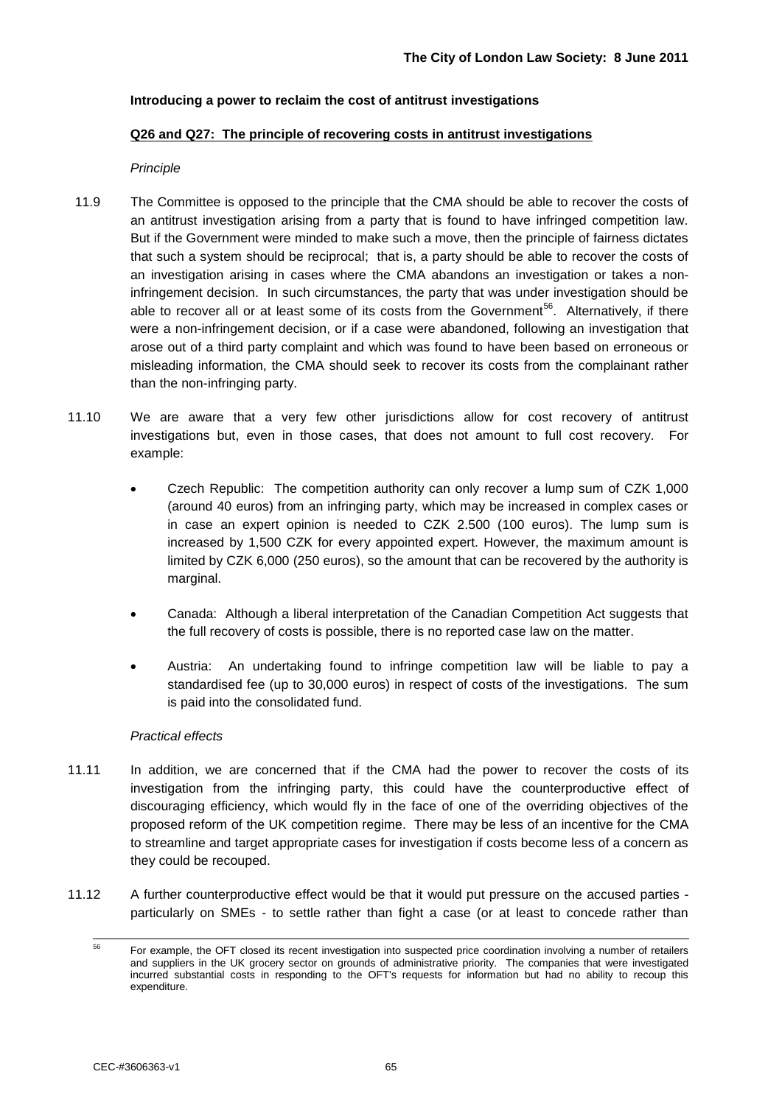#### **Introducing a power to reclaim the cost of antitrust investigations**

#### **Q26 and Q27: The principle of recovering costs in antitrust investigations**

#### *Principle*

- 11.9 The Committee is opposed to the principle that the CMA should be able to recover the costs of an antitrust investigation arising from a party that is found to have infringed competition law. But if the Government were minded to make such a move, then the principle of fairness dictates that such a system should be reciprocal; that is, a party should be able to recover the costs of an investigation arising in cases where the CMA abandons an investigation or takes a noninfringement decision. In such circumstances, the party that was under investigation should be able to recover all or at least some of its costs from the Government<sup>56</sup>. Alternatively, if there were a non-infringement decision, or if a case were abandoned, following an investigation that arose out of a third party complaint and which was found to have been based on erroneous or misleading information, the CMA should seek to recover its costs from the complainant rather than the non-infringing party.
- 11.10 We are aware that a very few other jurisdictions allow for cost recovery of antitrust investigations but, even in those cases, that does not amount to full cost recovery. For example:
	- Czech Republic: The competition authority can only recover a lump sum of CZK 1,000 (around 40 euros) from an infringing party, which may be increased in complex cases or in case an expert opinion is needed to CZK 2.500 (100 euros). The lump sum is increased by 1,500 CZK for every appointed expert. However, the maximum amount is limited by CZK 6,000 (250 euros), so the amount that can be recovered by the authority is marginal.
	- Canada: Although a liberal interpretation of the Canadian Competition Act suggests that the full recovery of costs is possible, there is no reported case law on the matter.
	- Austria: An undertaking found to infringe competition law will be liable to pay a standardised fee (up to 30,000 euros) in respect of costs of the investigations. The sum is paid into the consolidated fund.

#### *Practical effects*

- 11.11 In addition, we are concerned that if the CMA had the power to recover the costs of its investigation from the infringing party, this could have the counterproductive effect of discouraging efficiency, which would fly in the face of one of the overriding objectives of the proposed reform of the UK competition regime. There may be less of an incentive for the CMA to streamline and target appropriate cases for investigation if costs become less of a concern as they could be recouped.
- 11.12 A further counterproductive effect would be that it would put pressure on the accused parties particularly on SMEs - to settle rather than fight a case (or at least to concede rather than

<sup>56</sup> <sup>56</sup> For example, the OFT closed its recent investigation into suspected price coordination involving a number of retailers and suppliers in the UK grocery sector on grounds of administrative priority. The companies that were investigated incurred substantial costs in responding to the OFT's requests for information but had no ability to recoup this expenditure.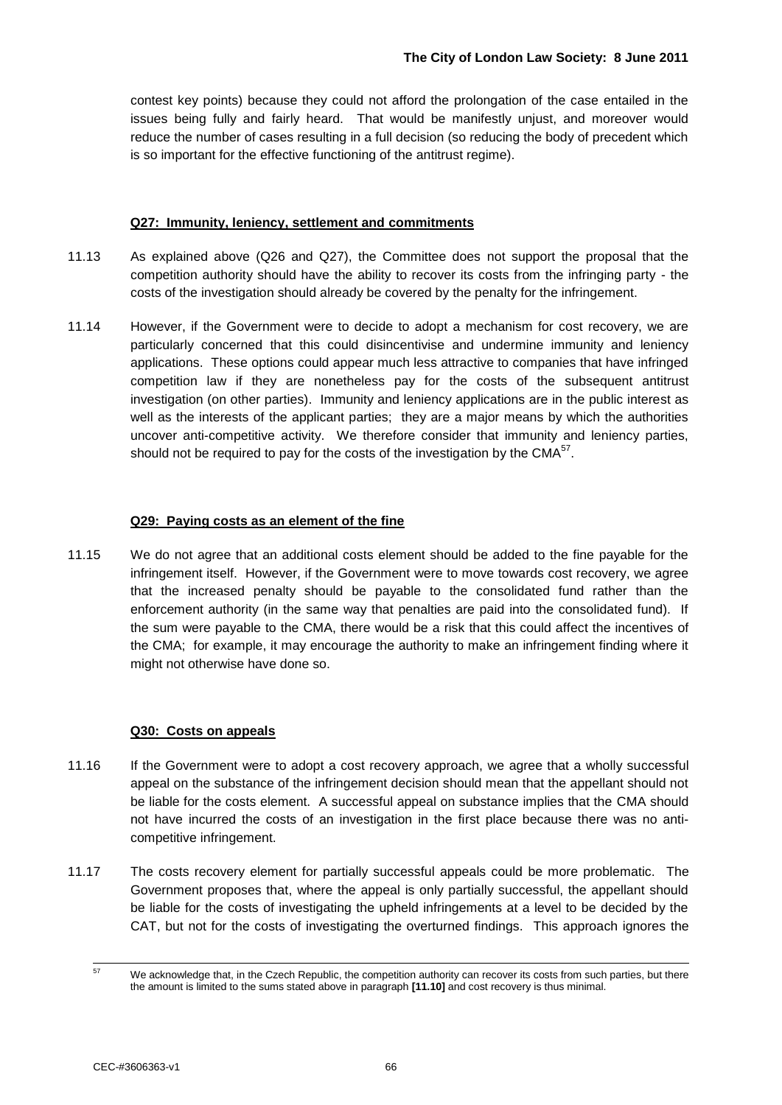contest key points) because they could not afford the prolongation of the case entailed in the issues being fully and fairly heard. That would be manifestly unjust, and moreover would reduce the number of cases resulting in a full decision (so reducing the body of precedent which is so important for the effective functioning of the antitrust regime).

#### **Q27: Immunity, leniency, settlement and commitments**

- 11.13 As explained above (Q26 and Q27), the Committee does not support the proposal that the competition authority should have the ability to recover its costs from the infringing party - the costs of the investigation should already be covered by the penalty for the infringement.
- 11.14 However, if the Government were to decide to adopt a mechanism for cost recovery, we are particularly concerned that this could disincentivise and undermine immunity and leniency applications. These options could appear much less attractive to companies that have infringed competition law if they are nonetheless pay for the costs of the subsequent antitrust investigation (on other parties). Immunity and leniency applications are in the public interest as well as the interests of the applicant parties; they are a major means by which the authorities uncover anti-competitive activity. We therefore consider that immunity and leniency parties, should not be required to pay for the costs of the investigation by the CMA $^{57}$ .

#### **Q29: Paying costs as an element of the fine**

11.15 We do not agree that an additional costs element should be added to the fine payable for the infringement itself. However, if the Government were to move towards cost recovery, we agree that the increased penalty should be payable to the consolidated fund rather than the enforcement authority (in the same way that penalties are paid into the consolidated fund). If the sum were payable to the CMA, there would be a risk that this could affect the incentives of the CMA; for example, it may encourage the authority to make an infringement finding where it might not otherwise have done so.

#### **Q30: Costs on appeals**

- 11.16 If the Government were to adopt a cost recovery approach, we agree that a wholly successful appeal on the substance of the infringement decision should mean that the appellant should not be liable for the costs element. A successful appeal on substance implies that the CMA should not have incurred the costs of an investigation in the first place because there was no anticompetitive infringement.
- 11.17 The costs recovery element for partially successful appeals could be more problematic. The Government proposes that, where the appeal is only partially successful, the appellant should be liable for the costs of investigating the upheld infringements at a level to be decided by the CAT, but not for the costs of investigating the overturned findings. This approach ignores the

 $\overline{57}$ We acknowledge that, in the Czech Republic, the competition authority can recover its costs from such parties, but there the amount is limited to the sums stated above in paragraph **[11.10]** and cost recovery is thus minimal.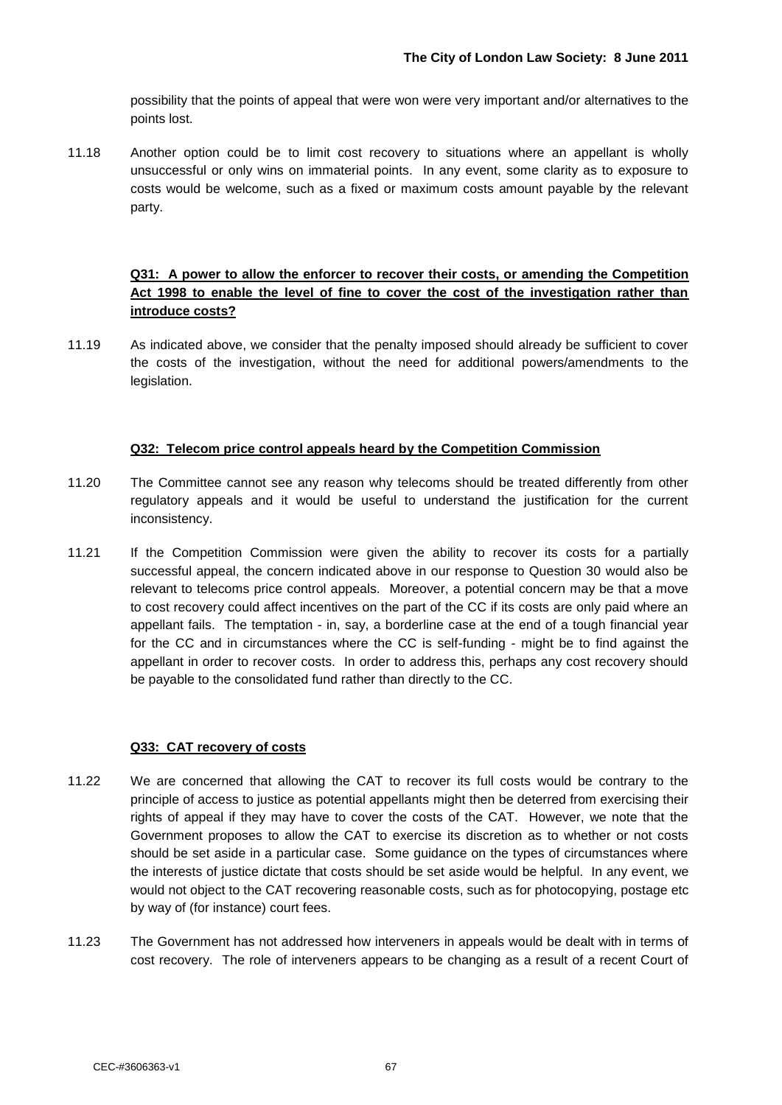possibility that the points of appeal that were won were very important and/or alternatives to the points lost.

11.18 Another option could be to limit cost recovery to situations where an appellant is wholly unsuccessful or only wins on immaterial points. In any event, some clarity as to exposure to costs would be welcome, such as a fixed or maximum costs amount payable by the relevant party.

#### **Q31: A power to allow the enforcer to recover their costs, or amending the Competition Act 1998 to enable the level of fine to cover the cost of the investigation rather than introduce costs?**

11.19 As indicated above, we consider that the penalty imposed should already be sufficient to cover the costs of the investigation, without the need for additional powers/amendments to the legislation.

#### **Q32: Telecom price control appeals heard by the Competition Commission**

- 11.20 The Committee cannot see any reason why telecoms should be treated differently from other regulatory appeals and it would be useful to understand the justification for the current inconsistency.
- 11.21 If the Competition Commission were given the ability to recover its costs for a partially successful appeal, the concern indicated above in our response to Question 30 would also be relevant to telecoms price control appeals. Moreover, a potential concern may be that a move to cost recovery could affect incentives on the part of the CC if its costs are only paid where an appellant fails. The temptation - in, say, a borderline case at the end of a tough financial year for the CC and in circumstances where the CC is self-funding - might be to find against the appellant in order to recover costs. In order to address this, perhaps any cost recovery should be payable to the consolidated fund rather than directly to the CC.

#### **Q33: CAT recovery of costs**

- 11.22 We are concerned that allowing the CAT to recover its full costs would be contrary to the principle of access to justice as potential appellants might then be deterred from exercising their rights of appeal if they may have to cover the costs of the CAT. However, we note that the Government proposes to allow the CAT to exercise its discretion as to whether or not costs should be set aside in a particular case. Some guidance on the types of circumstances where the interests of justice dictate that costs should be set aside would be helpful. In any event, we would not object to the CAT recovering reasonable costs, such as for photocopying, postage etc by way of (for instance) court fees.
- 11.23 The Government has not addressed how interveners in appeals would be dealt with in terms of cost recovery. The role of interveners appears to be changing as a result of a recent Court of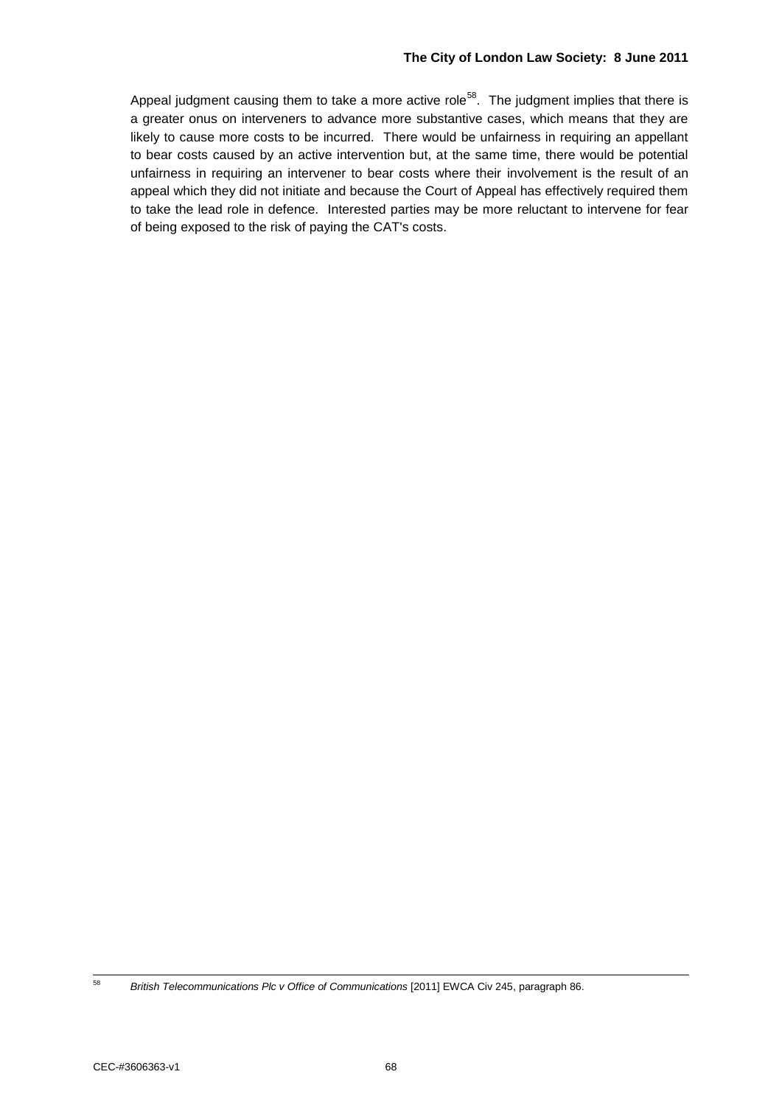Appeal judgment causing them to take a more active role<sup>58</sup>. The judgment implies that there is a greater onus on interveners to advance more substantive cases, which means that they are likely to cause more costs to be incurred. There would be unfairness in requiring an appellant to bear costs caused by an active intervention but, at the same time, there would be potential unfairness in requiring an intervener to bear costs where their involvement is the result of an appeal which they did not initiate and because the Court of Appeal has effectively required them to take the lead role in defence. Interested parties may be more reluctant to intervene for fear of being exposed to the risk of paying the CAT's costs.

<sup>58</sup> 

<sup>58</sup> *British Telecommunications Plc v Office of Communications* [2011] EWCA Civ 245, paragraph 86.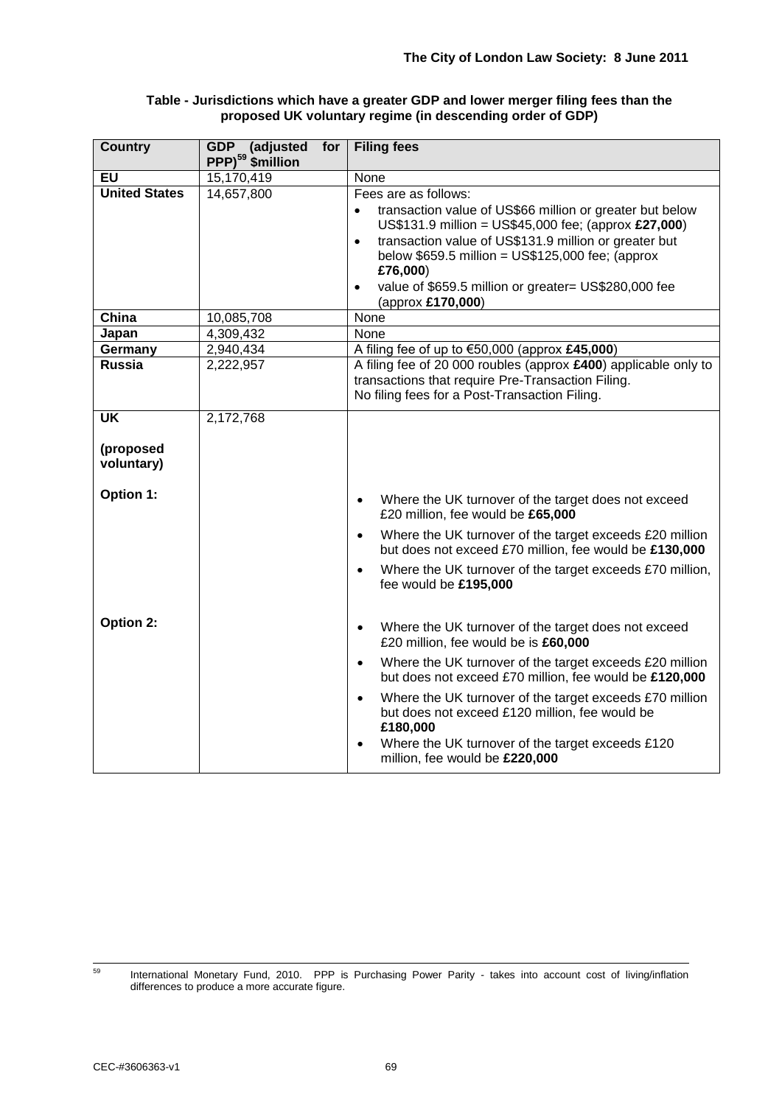| Table - Jurisdictions which have a greater GDP and lower merger filing fees than the |
|--------------------------------------------------------------------------------------|
| proposed UK voluntary regime (in descending order of GDP)                            |

| <b>Country</b>            | for<br>GDP (adjusted<br>PPP) <sup>59</sup> \$million | <b>Filing fees</b>                                                                                                                                                                                                                                                                                                                                                |
|---------------------------|------------------------------------------------------|-------------------------------------------------------------------------------------------------------------------------------------------------------------------------------------------------------------------------------------------------------------------------------------------------------------------------------------------------------------------|
| <b>EU</b>                 | 15,170,419                                           | None                                                                                                                                                                                                                                                                                                                                                              |
| <b>United States</b>      | 14,657,800                                           | Fees are as follows:<br>transaction value of US\$66 million or greater but below<br>$\bullet$<br>US\$131.9 million = US\$45,000 fee; (approx £27,000)<br>transaction value of US\$131.9 million or greater but<br>$\bullet$<br>below $$659.5$ million = US\$125,000 fee; (approx<br>£76,000)<br>value of \$659.5 million or greater= US\$280,000 fee<br>$\bullet$ |
|                           |                                                      | (approx £170,000)                                                                                                                                                                                                                                                                                                                                                 |
| China                     | 10,085,708                                           | None                                                                                                                                                                                                                                                                                                                                                              |
| Japan                     | 4,309,432                                            | None                                                                                                                                                                                                                                                                                                                                                              |
| Germany                   | 2,940,434                                            | A filing fee of up to €50,000 (approx £45,000)                                                                                                                                                                                                                                                                                                                    |
| <b>Russia</b>             | 2,222,957                                            | A filing fee of 20 000 roubles (approx £400) applicable only to<br>transactions that require Pre-Transaction Filing.<br>No filing fees for a Post-Transaction Filing.                                                                                                                                                                                             |
| $\overline{\mathsf{U}}$ K | 2,172,768                                            |                                                                                                                                                                                                                                                                                                                                                                   |
| (proposed<br>voluntary)   |                                                      |                                                                                                                                                                                                                                                                                                                                                                   |
| Option 1:                 |                                                      | Where the UK turnover of the target does not exceed<br>$\bullet$<br>£20 million, fee would be £65,000                                                                                                                                                                                                                                                             |
|                           |                                                      | Where the UK turnover of the target exceeds £20 million<br>$\bullet$<br>but does not exceed £70 million, fee would be £130,000                                                                                                                                                                                                                                    |
|                           |                                                      | Where the UK turnover of the target exceeds £70 million,<br>$\bullet$<br>fee would be £195,000                                                                                                                                                                                                                                                                    |
| Option 2:                 |                                                      | Where the UK turnover of the target does not exceed<br>$\bullet$<br>£20 million, fee would be is £60,000                                                                                                                                                                                                                                                          |
|                           |                                                      | Where the UK turnover of the target exceeds £20 million<br>$\bullet$<br>but does not exceed £70 million, fee would be £120,000                                                                                                                                                                                                                                    |
|                           |                                                      | Where the UK turnover of the target exceeds £70 million<br>$\bullet$<br>but does not exceed £120 million, fee would be<br>£180,000                                                                                                                                                                                                                                |
|                           |                                                      | Where the UK turnover of the target exceeds £120<br>$\bullet$<br>million, fee would be £220,000                                                                                                                                                                                                                                                                   |

<sup>59</sup> International Monetary Fund, 2010. PPP is Purchasing Power Parity - takes into account cost of living/inflation differences to produce a more accurate figure.